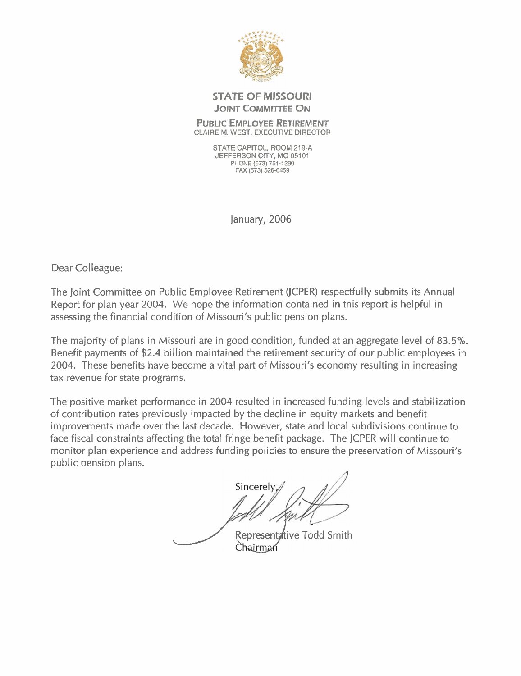

## **STATE OF MISSOURI JOINT COMMITTEE ON**

#### **PUBLIC EMPLOYEE RETIREMENT**  CLAIRE M. WEST. EXECUTIVE DIRECTOR

STATE CAPITOL, ROOM 219-A JEFFERSON CITY, MO 65101 PHONE **(573) 751** -1 **280 FAX (573) 526-6459** 

January, 2006

Dear Colleague:

The Joint Committee on Public Employee Retirement (JCPER) respectfully submits its Annual Report for plan year 2004. We hope the information contained in this report is helpful in assessing the financial condition of Missouri's public pension plans.

The majority of plans in Missouri are in good condition, funded at an aggregate level of 83.5%. Benefit payments of \$2.4 billion maintained the retirement security of our public employees in 2004. These benefits have become a vital part of Missouri's economy resulting in increasing tax revenue for state programs.

The positive market performance in 2004 resulted in increased funding levels and stabilization of contribution rates previously impacted by the decline in equity markets and benefit improvements made over the last decade. However, state and local subdivisions continue to face fiscal constraints affecting the total fringe benefit package. The JCPER will continue to monitor plan experience and address funding policies to ensure the preservation of Missouri's public pension plans.

Sincerely<br>James Sincerely<br>Representative Todd Smith<br>Chairman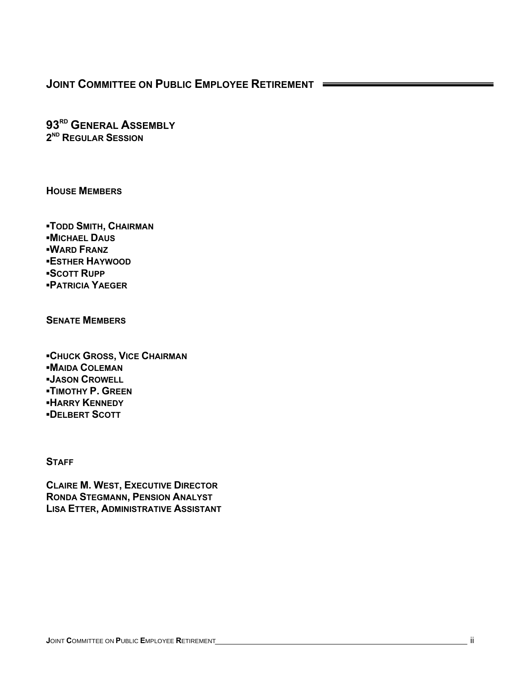**93RD GENERAL ASSEMBLY 2ND REGULAR SESSION**

**HOUSE MEMBERS**

**▪TODD SMITH, CHAIRMAN ▪MICHAEL DAUS ▪WARD FRANZ ▪ESTHER HAYWOOD ▪SCOTT RUPP ▪PATRICIA YAEGER**

**SENATE MEMBERS**

**▪CHUCK GROSS, VICE CHAIRMAN ▪MAIDA COLEMAN ▪JASON CROWELL ▪TIMOTHY P. GREEN ▪HARRY KENNEDY ▪DELBERT SCOTT**

**STAFF**

**CLAIRE M. WEST, EXECUTIVE DIRECTOR RONDA STEGMANN, PENSION ANALYST LISA ETTER, ADMINISTRATIVE ASSISTANT**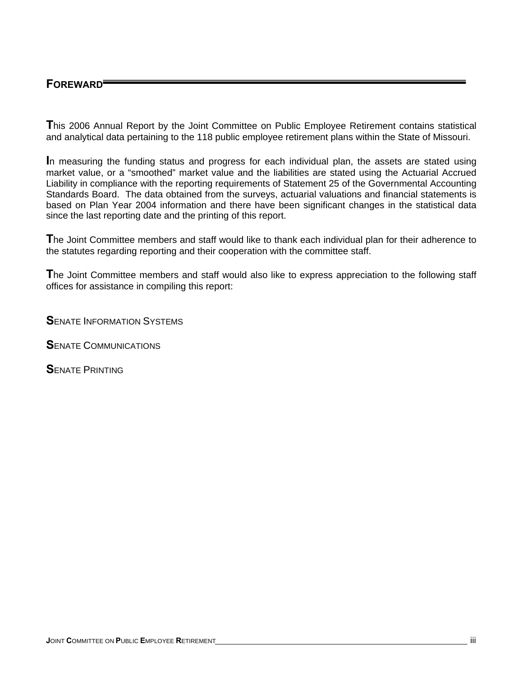## **FOREWARD**

**T**his 2006 Annual Report by the Joint Committee on Public Employee Retirement contains statistical and analytical data pertaining to the 118 public employee retirement plans within the State of Missouri.

**I**n measuring the funding status and progress for each individual plan, the assets are stated using market value, or a "smoothed" market value and the liabilities are stated using the Actuarial Accrued Liability in compliance with the reporting requirements of Statement 25 of the Governmental Accounting Standards Board. The data obtained from the surveys, actuarial valuations and financial statements is based on Plan Year 2004 information and there have been significant changes in the statistical data since the last reporting date and the printing of this report.

**T**he Joint Committee members and staff would like to thank each individual plan for their adherence to the statutes regarding reporting and their cooperation with the committee staff.

**T**he Joint Committee members and staff would also like to express appreciation to the following staff offices for assistance in compiling this report:

**S**ENATE INFORMATION SYSTEMS

**S**ENATE COMMUNICATIONS

**S**ENATE PRINTING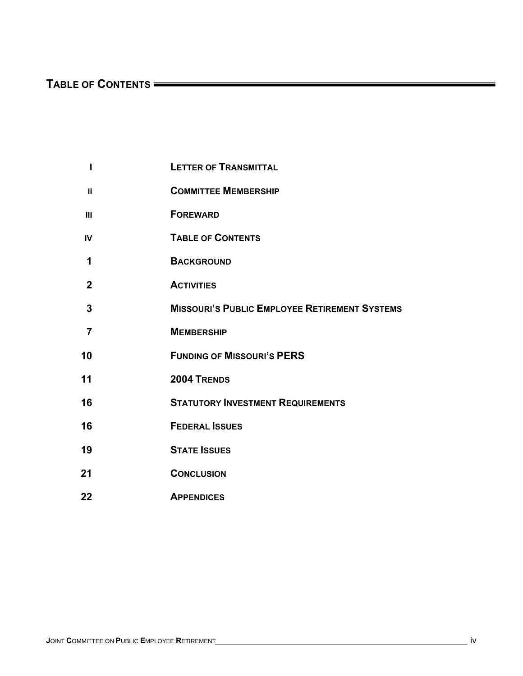# TABLE OF CONTENTS **CONTENTS**

| ı              | <b>LETTER OF TRANSMITTAL</b>                         |
|----------------|------------------------------------------------------|
| $\mathbf{II}$  | <b>COMMITTEE MEMBERSHIP</b>                          |
| III            | <b>FOREWARD</b>                                      |
| IV             | <b>TABLE OF CONTENTS</b>                             |
| 1              | <b>BACKGROUND</b>                                    |
| $\overline{2}$ | <b>ACTIVITIES</b>                                    |
| 3              | <b>MISSOURI'S PUBLIC EMPLOYEE RETIREMENT SYSTEMS</b> |
| $\overline{7}$ | <b>MEMBERSHIP</b>                                    |
| 10             | <b>FUNDING OF MISSOURI'S PERS</b>                    |
| 11             | 2004 TRENDS                                          |
| 16             | <b>STATUTORY INVESTMENT REQUIREMENTS</b>             |
| 16             | <b>FEDERAL ISSUES</b>                                |
| 19             | <b>STATE ISSUES</b>                                  |
| 21             | <b>CONCLUSION</b>                                    |
|                |                                                      |

 **22 APPENDICES**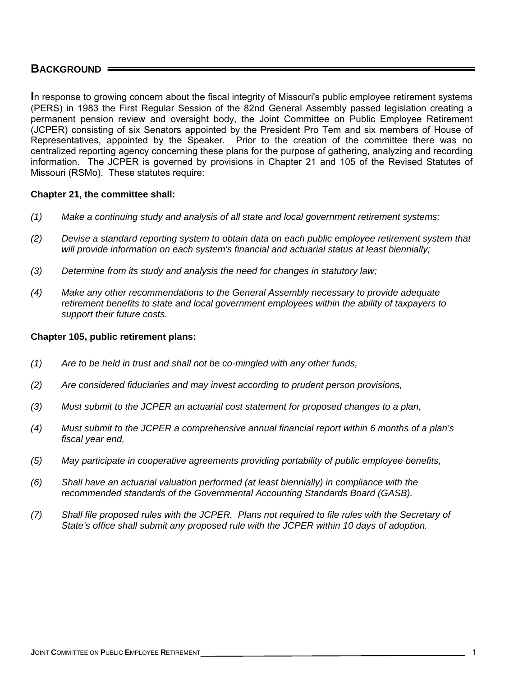### **BACKGROUND**

**I**n response to growing concern about the fiscal integrity of Missouri's public employee retirement systems (PERS) in 1983 the First Regular Session of the 82nd General Assembly passed legislation creating a permanent pension review and oversight body, the Joint Committee on Public Employee Retirement (JCPER) consisting of six Senators appointed by the President Pro Tem and six members of House of Representatives, appointed by the Speaker. Prior to the creation of the committee there was no centralized reporting agency concerning these plans for the purpose of gathering, analyzing and recording information. The JCPER is governed by provisions in Chapter 21 and 105 of the Revised Statutes of Missouri (RSMo). These statutes require:

### **Chapter 21, the committee shall:**

- *(1) Make a continuing study and analysis of all state and local government retirement systems;*
- *(2) Devise a standard reporting system to obtain data on each public employee retirement system that will provide information on each system's financial and actuarial status at least biennially;*
- *(3) Determine from its study and analysis the need for changes in statutory law;*
- *(4) Make any other recommendations to the General Assembly necessary to provide adequate retirement benefits to state and local government employees within the ability of taxpayers to support their future costs.*

### **Chapter 105, public retirement plans:**

- *(1) Are to be held in trust and shall not be co-mingled with any other funds,*
- *(2) Are considered fiduciaries and may invest according to prudent person provisions,*
- *(3) Must submit to the JCPER an actuarial cost statement for proposed changes to a plan,*
- *(4) Must submit to the JCPER a comprehensive annual financial report within 6 months of a plan's fiscal year end,*
- *(5) May participate in cooperative agreements providing portability of public employee benefits,*
- *(6) Shall have an actuarial valuation performed (at least biennially) in compliance with the recommended standards of the Governmental Accounting Standards Board (GASB).*
- *(7) Shall file proposed rules with the JCPER. Plans not required to file rules with the Secretary of State's office shall submit any proposed rule with the JCPER within 10 days of adoption.*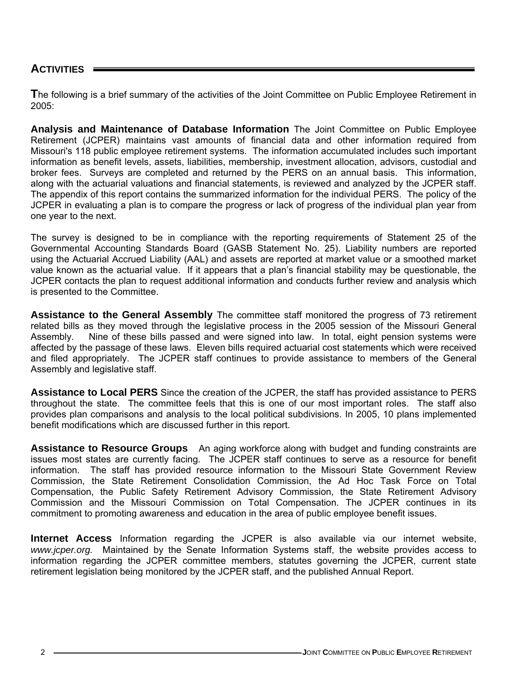### **ACTIVITIES**

**T**he following is a brief summary of the activities of the Joint Committee on Public Employee Retirement in 2005:

**Analysis and Maintenance of Database Information** The Joint Committee on Public Employee Retirement (JCPER) maintains vast amounts of financial data and other information required from Missouri's 118 public employee retirement systems. The information accumulated includes such important information as benefit levels, assets, liabilities, membership, investment allocation, advisors, custodial and broker fees. Surveys are completed and returned by the PERS on an annual basis. This information, along with the actuarial valuations and financial statements, is reviewed and analyzed by the JCPER staff. The appendix of this report contains the summarized information for the individual PERS. The policy of the JCPER in evaluating a plan is to compare the progress or lack of progress of the individual plan year from one year to the next.

The survey is designed to be in compliance with the reporting requirements of Statement 25 of the Governmental Accounting Standards Board (GASB Statement No. 25). Liability numbers are reported using the Actuarial Accrued Liability (AAL) and assets are reported at market value or a smoothed market value known as the actuarial value. If it appears that a plan's financial stability may be questionable, the JCPER contacts the plan to request additional information and conducts further review and analysis which is presented to the Committee.

**Assistance to the General Assembly** The committee staff monitored the progress of 73 retirement related bills as they moved through the legislative process in the 2005 session of the Missouri General Assembly. Nine of these bills passed and were signed into law. In total, eight pension systems were affected by the passage of these laws. Eleven bills required actuarial cost statements which were received and filed appropriately. The JCPER staff continues to provide assistance to members of the General Assembly and legislative staff.

**Assistance to Local PERS** Since the creation of the JCPER, the staff has provided assistance to PERS throughout the state. The committee feels that this is one of our most important roles. The staff also provides plan comparisons and analysis to the local political subdivisions. In 2005, 10 plans implemented benefit modifications which are discussed further in this report.

**Assistance to Resource Groups** An aging workforce along with budget and funding constraints are issues most states are currently facing. The JCPER staff continues to serve as a resource for benefit information. The staff has provided resource information to the Missouri State Government Review Commission, the State Retirement Consolidation Commission, the Ad Hoc Task Force on Total Compensation, the Public Safety Retirement Advisory Commission, the State Retirement Advisory Commission and the Missouri Commission on Total Compensation. The JCPER continues in its commitment to promoting awareness and education in the area of public employee benefit issues.

**Internet Access** Information regarding the JCPER is also available via our internet website, *www.jcper.org.* Maintained by the Senate Information Systems staff, the website provides access to information regarding the JCPER committee members, statutes governing the JCPER, current state retirement legislation being monitored by the JCPER staff, and the published Annual Report.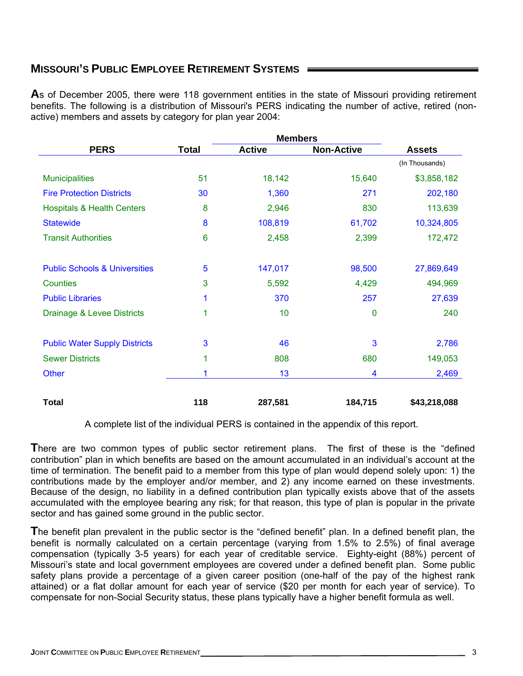## **MISSOURI'S PUBLIC EMPLOYEE RETIREMENT SYSTEMS**

**A**s of December 2005, there were 118 government entities in the state of Missouri providing retirement benefits. The following is a distribution of Missouri's PERS indicating the number of active, retired (nonactive) members and assets by category for plan year 2004:

|                                          |                 | <b>Members</b> |                   |                |
|------------------------------------------|-----------------|----------------|-------------------|----------------|
| <b>PERS</b>                              | <b>Total</b>    | <b>Active</b>  | <b>Non-Active</b> | <b>Assets</b>  |
|                                          |                 |                |                   | (In Thousands) |
| <b>Municipalities</b>                    | 51              | 18,142         | 15,640            | \$3,858,182    |
| <b>Fire Protection Districts</b>         | 30              | 1,360          | 271               | 202,180        |
| <b>Hospitals &amp; Health Centers</b>    | 8               | 2,946          | 830               | 113,639        |
| <b>Statewide</b>                         | 8               | 108,819        | 61,702            | 10,324,805     |
| <b>Transit Authorities</b>               | $6\phantom{1}6$ | 2,458          | 2,399             | 172,472        |
|                                          |                 |                |                   |                |
| <b>Public Schools &amp; Universities</b> | 5               | 147,017        | 98,500            | 27,869,649     |
| Counties                                 | 3               | 5,592          | 4,429             | 494,969        |
| <b>Public Libraries</b>                  | 1               | 370            | 257               | 27,639         |
| Drainage & Levee Districts               | 1               | 10             | 0                 | 240            |
|                                          |                 |                |                   |                |
| <b>Public Water Supply Districts</b>     | 3               | 46             | 3                 | 2,786          |
| <b>Sewer Districts</b>                   | 1               | 808            | 680               | 149,053        |
| <b>Other</b>                             |                 | 13             | 4                 | 2,469          |
| <b>Total</b>                             | 118             | 287,581        | 184,715           | \$43,218,088   |

A complete list of the individual PERS is contained in the appendix of this report.

**T**here are two common types of public sector retirement plans. The first of these is the "defined contribution" plan in which benefits are based on the amount accumulated in an individual's account at the time of termination. The benefit paid to a member from this type of plan would depend solely upon: 1) the contributions made by the employer and/or member, and 2) any income earned on these investments. Because of the design, no liability in a defined contribution plan typically exists above that of the assets accumulated with the employee bearing any risk; for that reason, this type of plan is popular in the private sector and has gained some ground in the public sector.

**T**he benefit plan prevalent in the public sector is the "defined benefit" plan. In a defined benefit plan, the benefit is normally calculated on a certain percentage (varying from 1.5% to 2.5%) of final average compensation (typically 3-5 years) for each year of creditable service. Eighty-eight (88%) percent of Missouri's state and local government employees are covered under a defined benefit plan. Some public safety plans provide a percentage of a given career position (one-half of the pay of the highest rank attained) or a flat dollar amount for each year of service (\$20 per month for each year of service). To compensate for non-Social Security status, these plans typically have a higher benefit formula as well.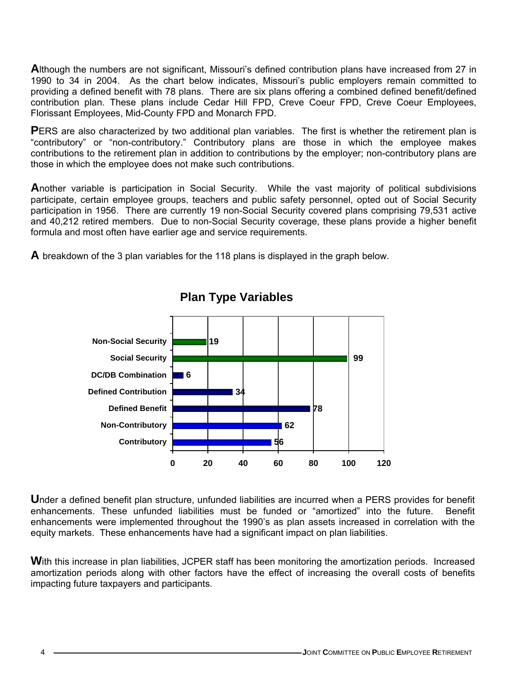**A**lthough the numbers are not significant, Missouri's defined contribution plans have increased from 27 in 1990 to 34 in 2004. As the chart below indicates, Missouri's public employers remain committed to providing a defined benefit with 78 plans. There are six plans offering a combined defined benefit/defined contribution plan. These plans include Cedar Hill FPD, Creve Coeur FPD, Creve Coeur Employees, Florissant Employees, Mid-County FPD and Monarch FPD.

PERS are also characterized by two additional plan variables. The first is whether the retirement plan is "contributory" or "non-contributory." Contributory plans are those in which the employee makes contributions to the retirement plan in addition to contributions by the employer; non-contributory plans are those in which the employee does not make such contributions.

**A**nother variable is participation in Social Security. While the vast majority of political subdivisions participate, certain employee groups, teachers and public safety personnel, opted out of Social Security participation in 1956. There are currently 19 non-Social Security covered plans comprising 79,531 active and 40,212 retired members. Due to non-Social Security coverage, these plans provide a higher benefit formula and most often have earlier age and service requirements.

**A** breakdown of the 3 plan variables for the 118 plans is displayed in the graph below.



## **Plan Type Variables**

**U**nder a defined benefit plan structure, unfunded liabilities are incurred when a PERS provides for benefit enhancements. These unfunded liabilities must be funded or "amortized" into the future. Benefit enhancements were implemented throughout the 1990's as plan assets increased in correlation with the equity markets. These enhancements have had a significant impact on plan liabilities.

With this increase in plan liabilities, JCPER staff has been monitoring the amortization periods. Increased amortization periods along with other factors have the effect of increasing the overall costs of benefits impacting future taxpayers and participants.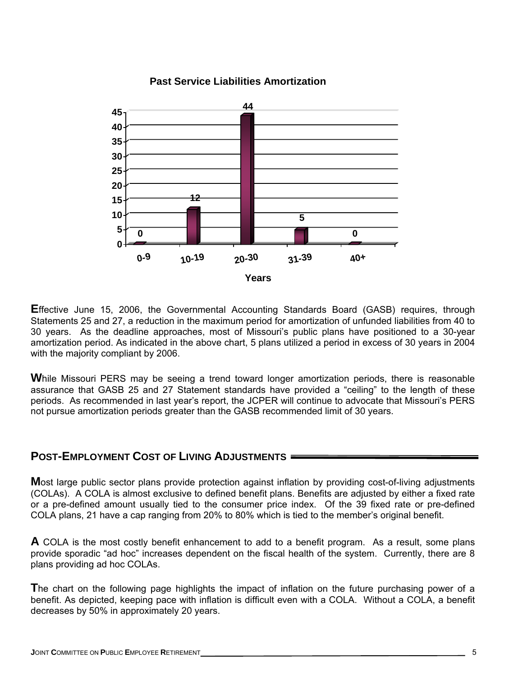

### **Past Service Liabilities Amortization**

**E**ffective June 15, 2006, the Governmental Accounting Standards Board (GASB) requires, through Statements 25 and 27, a reduction in the maximum period for amortization of unfunded liabilities from 40 to 30 years. As the deadline approaches, most of Missouri's public plans have positioned to a 30-year amortization period. As indicated in the above chart, 5 plans utilized a period in excess of 30 years in 2004 with the majority compliant by 2006.

**W**hile Missouri PERS may be seeing a trend toward longer amortization periods, there is reasonable assurance that GASB 25 and 27 Statement standards have provided a "ceiling" to the length of these periods. As recommended in last year's report, the JCPER will continue to advocate that Missouri's PERS not pursue amortization periods greater than the GASB recommended limit of 30 years.

### **POST-EMPLOYMENT COST OF LIVING ADJUSTMENTS**

**M**ost large public sector plans provide protection against inflation by providing cost-of-living adjustments (COLAs). A COLA is almost exclusive to defined benefit plans. Benefits are adjusted by either a fixed rate or a pre-defined amount usually tied to the consumer price index. Of the 39 fixed rate or pre-defined COLA plans, 21 have a cap ranging from 20% to 80% which is tied to the member's original benefit.

**A** COLA is the most costly benefit enhancement to add to a benefit program. As a result, some plans provide sporadic "ad hoc" increases dependent on the fiscal health of the system. Currently, there are 8 plans providing ad hoc COLAs.

**T**he chart on the following page highlights the impact of inflation on the future purchasing power of a benefit. As depicted, keeping pace with inflation is difficult even with a COLA. Without a COLA, a benefit decreases by 50% in approximately 20 years.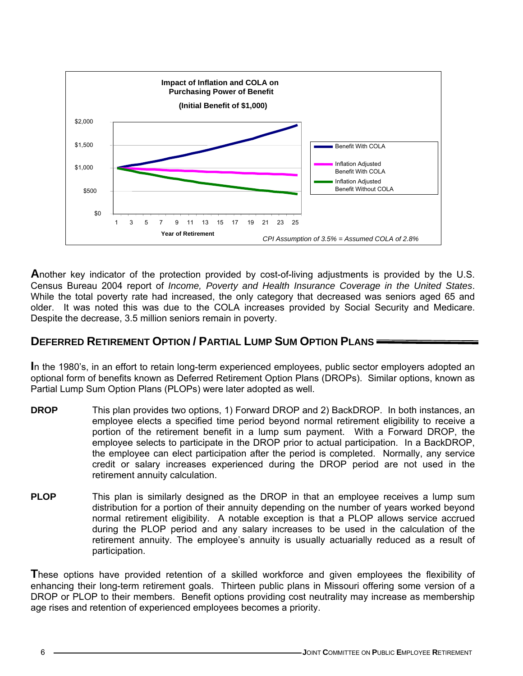

**A**nother key indicator of the protection provided by cost-of-living adjustments is provided by the U.S. Census Bureau 2004 report of *Income, Poverty and Health Insurance Coverage in the United States*. While the total poverty rate had increased, the only category that decreased was seniors aged 65 and older. It was noted this was due to the COLA increases provided by Social Security and Medicare. Despite the decrease, 3.5 million seniors remain in poverty.

## **DEFERRED RETIREMENT OPTION / PARTIAL LUMP SUM OPTION PLANS**

**I**n the 1980's, in an effort to retain long-term experienced employees, public sector employers adopted an optional form of benefits known as Deferred Retirement Option Plans (DROPs). Similar options, known as Partial Lump Sum Option Plans (PLOPs) were later adopted as well.

- **DROP** This plan provides two options, 1) Forward DROP and 2) BackDROP. In both instances, an employee elects a specified time period beyond normal retirement eligibility to receive a portion of the retirement benefit in a lump sum payment. With a Forward DROP, the employee selects to participate in the DROP prior to actual participation. In a BackDROP, the employee can elect participation after the period is completed. Normally, any service credit or salary increases experienced during the DROP period are not used in the retirement annuity calculation.
- **PLOP** This plan is similarly designed as the DROP in that an employee receives a lump sum distribution for a portion of their annuity depending on the number of years worked beyond normal retirement eligibility. A notable exception is that a PLOP allows service accrued during the PLOP period and any salary increases to be used in the calculation of the retirement annuity. The employee's annuity is usually actuarially reduced as a result of participation.

**T**hese options have provided retention of a skilled workforce and given employees the flexibility of enhancing their long-term retirement goals. Thirteen public plans in Missouri offering some version of a DROP or PLOP to their members. Benefit options providing cost neutrality may increase as membership age rises and retention of experienced employees becomes a priority.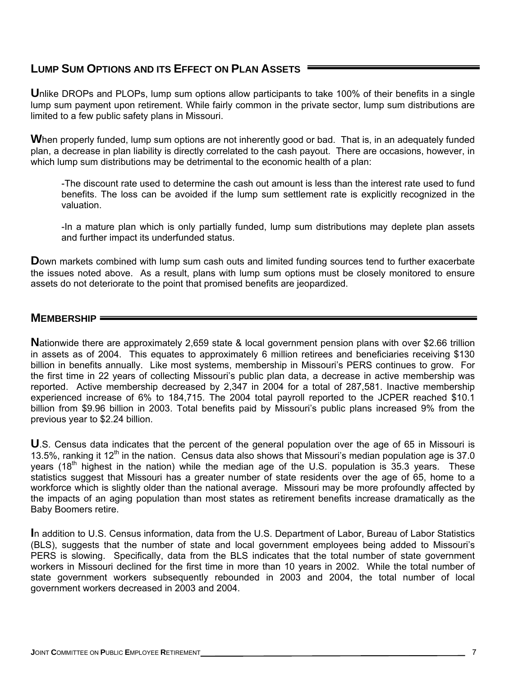## **LUMP SUM OPTIONS AND ITS EFFECT ON PLAN ASSETS**

**U**nlike DROPs and PLOPs, lump sum options allow participants to take 100% of their benefits in a single lump sum payment upon retirement. While fairly common in the private sector, lump sum distributions are limited to a few public safety plans in Missouri.

When properly funded, lump sum options are not inherently good or bad. That is, in an adequately funded plan, a decrease in plan liability is directly correlated to the cash payout. There are occasions, however, in which lump sum distributions may be detrimental to the economic health of a plan:

-The discount rate used to determine the cash out amount is less than the interest rate used to fund benefits. The loss can be avoided if the lump sum settlement rate is explicitly recognized in the valuation.

-In a mature plan which is only partially funded, lump sum distributions may deplete plan assets and further impact its underfunded status.

**D**own markets combined with lump sum cash outs and limited funding sources tend to further exacerbate the issues noted above. As a result, plans with lump sum options must be closely monitored to ensure assets do not deteriorate to the point that promised benefits are jeopardized.

### **MEMBERSHIP**

**N**ationwide there are approximately 2,659 state & local government pension plans with over \$2.66 trillion in assets as of 2004. This equates to approximately 6 million retirees and beneficiaries receiving \$130 billion in benefits annually. Like most systems, membership in Missouri's PERS continues to grow. For the first time in 22 years of collecting Missouri's public plan data, a decrease in active membership was reported. Active membership decreased by 2,347 in 2004 for a total of 287,581. Inactive membership experienced increase of 6% to 184,715. The 2004 total payroll reported to the JCPER reached \$10.1 billion from \$9.96 billion in 2003. Total benefits paid by Missouri's public plans increased 9% from the previous year to \$2.24 billion.

**U**.S. Census data indicates that the percent of the general population over the age of 65 in Missouri is 13.5%, ranking it 12<sup>th</sup> in the nation. Census data also shows that Missouri's median population age is 37.0 years (18<sup>th</sup> highest in the nation) while the median age of the U.S. population is 35.3 years. These statistics suggest that Missouri has a greater number of state residents over the age of 65, home to a workforce which is slightly older than the national average. Missouri may be more profoundly affected by the impacts of an aging population than most states as retirement benefits increase dramatically as the Baby Boomers retire.

**I**n addition to U.S. Census information, data from the U.S. Department of Labor, Bureau of Labor Statistics (BLS), suggests that the number of state and local government employees being added to Missouri's PERS is slowing. Specifically, data from the BLS indicates that the total number of state government workers in Missouri declined for the first time in more than 10 years in 2002. While the total number of state government workers subsequently rebounded in 2003 and 2004, the total number of local government workers decreased in 2003 and 2004.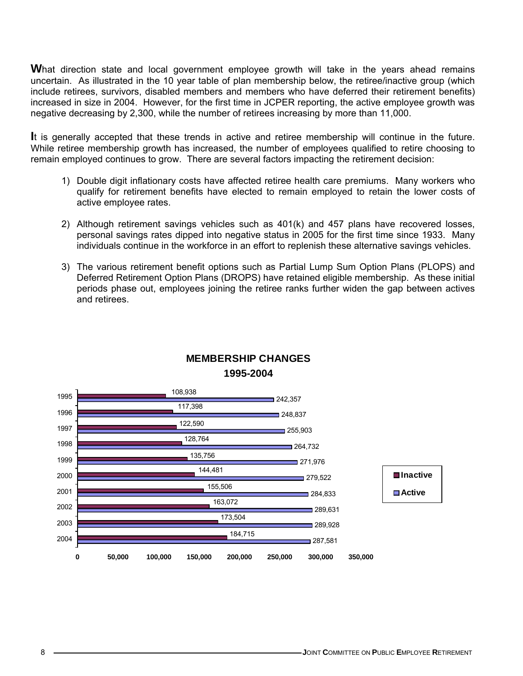**W**hat direction state and local government employee growth will take in the years ahead remains uncertain. As illustrated in the 10 year table of plan membership below, the retiree/inactive group (which include retirees, survivors, disabled members and members who have deferred their retirement benefits) increased in size in 2004. However, for the first time in JCPER reporting, the active employee growth was negative decreasing by 2,300, while the number of retirees increasing by more than 11,000.

**I**t is generally accepted that these trends in active and retiree membership will continue in the future. While retiree membership growth has increased, the number of employees qualified to retire choosing to remain employed continues to grow. There are several factors impacting the retirement decision:

- 1) Double digit inflationary costs have affected retiree health care premiums. Many workers who qualify for retirement benefits have elected to remain employed to retain the lower costs of active employee rates.
- 2) Although retirement savings vehicles such as 401(k) and 457 plans have recovered losses, personal savings rates dipped into negative status in 2005 for the first time since 1933. Many individuals continue in the workforce in an effort to replenish these alternative savings vehicles.
- 3) The various retirement benefit options such as Partial Lump Sum Option Plans (PLOPS) and Deferred Retirement Option Plans (DROPS) have retained eligible membership. As these initial periods phase out, employees joining the retiree ranks further widen the gap between actives and retirees.



## **MEMBERSHIP CHANGES 1995-2004**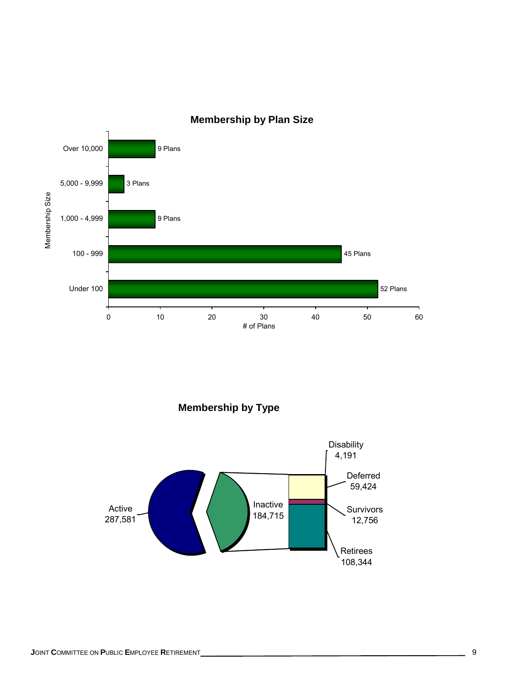

## **Membership by Plan Size**

**Membership by Type**

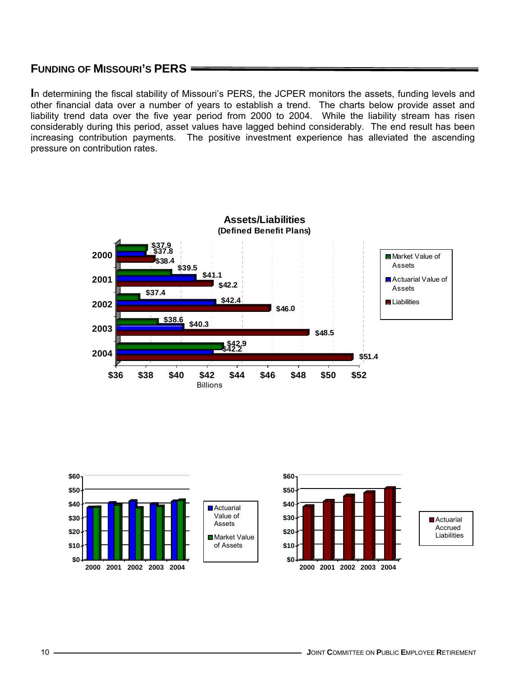### **FUNDING OF MISSOURI'S PERS**

**I**n determining the fiscal stability of Missouri's PERS, the JCPER monitors the assets, funding levels and other financial data over a number of years to establish a trend. The charts below provide asset and liability trend data over the five year period from 2000 to 2004. While the liability stream has risen considerably during this period, asset values have lagged behind considerably. The end result has been increasing contribution payments. The positive investment experience has alleviated the ascending pressure on contribution rates.



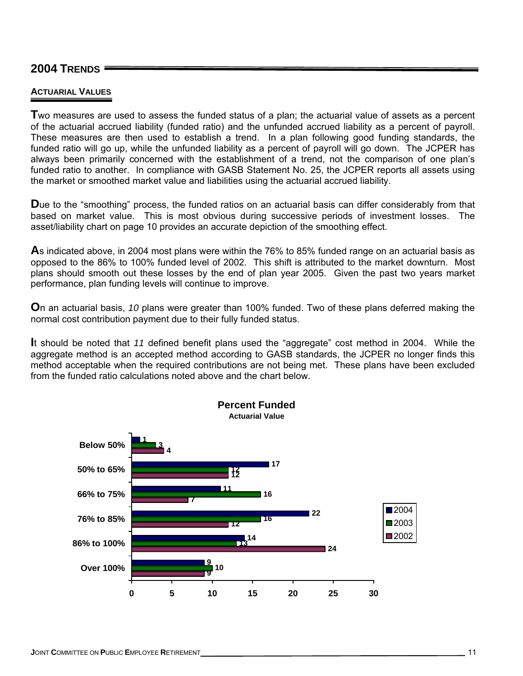### **2004 TRENDS**

### **ACTUARIAL VALUES**

**T**wo measures are used to assess the funded status of a plan; the actuarial value of assets as a percent of the actuarial accrued liability (funded ratio) and the unfunded accrued liability as a percent of payroll. These measures are then used to establish a trend. In a plan following good funding standards, the funded ratio will go up, while the unfunded liability as a percent of payroll will go down. The JCPER has always been primarily concerned with the establishment of a trend, not the comparison of one plan's funded ratio to another. In compliance with GASB Statement No. 25, the JCPER reports all assets using the market or smoothed market value and liabilities using the actuarial accrued liability.

**D**ue to the "smoothing" process, the funded ratios on an actuarial basis can differ considerably from that based on market value. This is most obvious during successive periods of investment losses. The asset/liability chart on page 10 provides an accurate depiction of the smoothing effect.

**A**s indicated above, in 2004 most plans were within the 76% to 85% funded range on an actuarial basis as opposed to the 86% to 100% funded level of 2002. This shift is attributed to the market downturn. Most plans should smooth out these losses by the end of plan year 2005. Given the past two years market performance, plan funding levels will continue to improve.

**O**n an actuarial basis, *10* plans were greater than 100% funded. Two of these plans deferred making the normal cost contribution payment due to their fully funded status.

**I**t should be noted that *11* defined benefit plans used the "aggregate" cost method in 2004. While the aggregate method is an accepted method according to GASB standards, the JCPER no longer finds this method acceptable when the required contributions are not being met. These plans have been excluded from the funded ratio calculations noted above and the chart below.

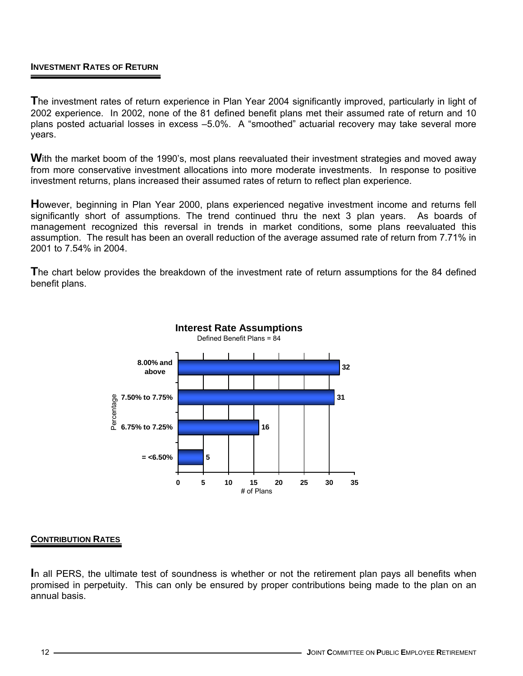### **INVESTMENT RATES OF RETURN**

**T**he investment rates of return experience in Plan Year 2004 significantly improved, particularly in light of 2002 experience. In 2002, none of the 81 defined benefit plans met their assumed rate of return and 10 plans posted actuarial losses in excess –5.0%. A "smoothed" actuarial recovery may take several more years.

With the market boom of the 1990's, most plans reevaluated their investment strategies and moved away from more conservative investment allocations into more moderate investments. In response to positive investment returns, plans increased their assumed rates of return to reflect plan experience.

**H**owever, beginning in Plan Year 2000, plans experienced negative investment income and returns fell significantly short of assumptions. The trend continued thru the next 3 plan years. As boards of management recognized this reversal in trends in market conditions, some plans reevaluated this assumption. The result has been an overall reduction of the average assumed rate of return from 7.71% in 2001 to 7.54% in 2004.

**T**he chart below provides the breakdown of the investment rate of return assumptions for the 84 defined benefit plans.



#### **CONTRIBUTION RATES**

**I**n all PERS, the ultimate test of soundness is whether or not the retirement plan pays all benefits when promised in perpetuity. This can only be ensured by proper contributions being made to the plan on an annual basis.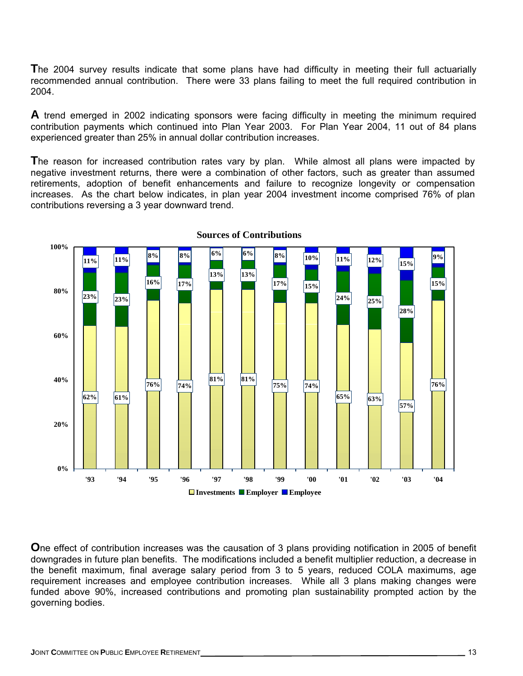**T**he 2004 survey results indicate that some plans have had difficulty in meeting their full actuarially recommended annual contribution. There were 33 plans failing to meet the full required contribution in 2004.

**A** trend emerged in 2002 indicating sponsors were facing difficulty in meeting the minimum required contribution payments which continued into Plan Year 2003. For Plan Year 2004, 11 out of 84 plans experienced greater than 25% in annual dollar contribution increases.

**T**he reason for increased contribution rates vary by plan. While almost all plans were impacted by negative investment returns, there were a combination of other factors, such as greater than assumed retirements, adoption of benefit enhancements and failure to recognize longevity or compensation increases. As the chart below indicates, in plan year 2004 investment income comprised 76% of plan contributions reversing a 3 year downward trend.



**Sources of Contributions**

**O**ne effect of contribution increases was the causation of 3 plans providing notification in 2005 of benefit downgrades in future plan benefits. The modifications included a benefit multiplier reduction, a decrease in the benefit maximum, final average salary period from 3 to 5 years, reduced COLA maximums, age requirement increases and employee contribution increases. While all 3 plans making changes were funded above 90%, increased contributions and promoting plan sustainability prompted action by the governing bodies.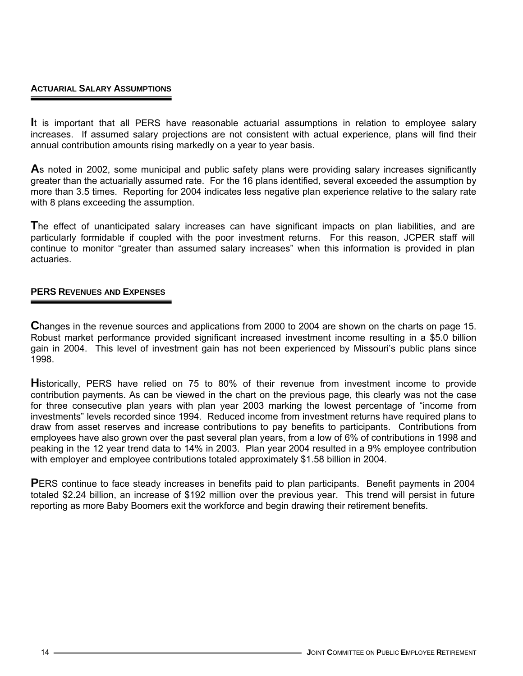### **ACTUARIAL SALARY ASSUMPTIONS**

**I**t is important that all PERS have reasonable actuarial assumptions in relation to employee salary increases. If assumed salary projections are not consistent with actual experience, plans will find their annual contribution amounts rising markedly on a year to year basis.

**A**s noted in 2002, some municipal and public safety plans were providing salary increases significantly greater than the actuarially assumed rate. For the 16 plans identified, several exceeded the assumption by more than 3.5 times. Reporting for 2004 indicates less negative plan experience relative to the salary rate with 8 plans exceeding the assumption.

**T**he effect of unanticipated salary increases can have significant impacts on plan liabilities, and are particularly formidable if coupled with the poor investment returns. For this reason, JCPER staff will continue to monitor "greater than assumed salary increases" when this information is provided in plan actuaries.

### **PERS REVENUES AND EXPENSES**

**C**hanges in the revenue sources and applications from 2000 to 2004 are shown on the charts on page 15. Robust market performance provided significant increased investment income resulting in a \$5.0 billion gain in 2004. This level of investment gain has not been experienced by Missouri's public plans since 1998.

**H**istorically, PERS have relied on 75 to 80% of their revenue from investment income to provide contribution payments. As can be viewed in the chart on the previous page, this clearly was not the case for three consecutive plan years with plan year 2003 marking the lowest percentage of "income from investments" levels recorded since 1994. Reduced income from investment returns have required plans to draw from asset reserves and increase contributions to pay benefits to participants. Contributions from employees have also grown over the past several plan years, from a low of 6% of contributions in 1998 and peaking in the 12 year trend data to 14% in 2003. Plan year 2004 resulted in a 9% employee contribution with employer and employee contributions totaled approximately \$1.58 billion in 2004.

**PERS** continue to face steady increases in benefits paid to plan participants. Benefit payments in 2004 totaled \$2.24 billion, an increase of \$192 million over the previous year. This trend will persist in future reporting as more Baby Boomers exit the workforce and begin drawing their retirement benefits.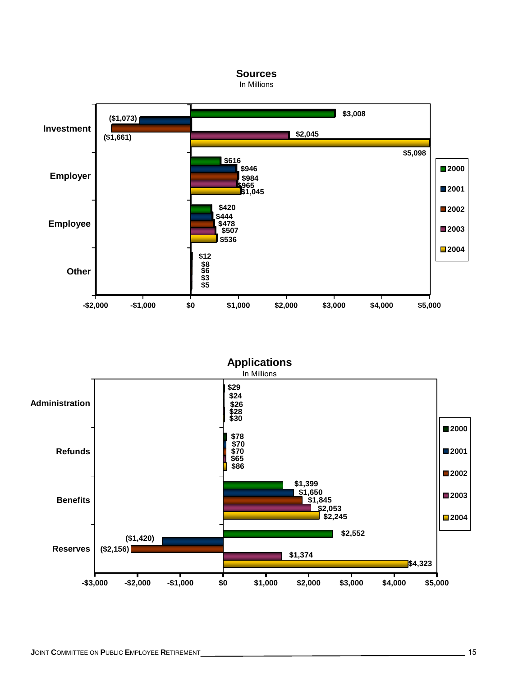

In Millions



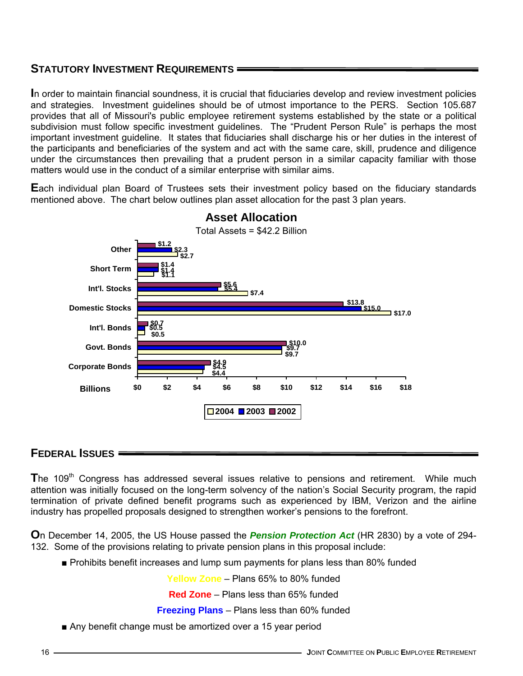## **STATUTORY INVESTMENT REQUIREMENTS**

**I**n order to maintain financial soundness, it is crucial that fiduciaries develop and review investment policies and strategies. Investment guidelines should be of utmost importance to the PERS. Section 105.687 provides that all of Missouri's public employee retirement systems established by the state or a political subdivision must follow specific investment guidelines. The "Prudent Person Rule" is perhaps the most important investment guideline. It states that fiduciaries shall discharge his or her duties in the interest of the participants and beneficiaries of the system and act with the same care, skill, prudence and diligence under the circumstances then prevailing that a prudent person in a similar capacity familiar with those matters would use in the conduct of a similar enterprise with similar aims.

**E**ach individual plan Board of Trustees sets their investment policy based on the fiduciary standards mentioned above. The chart below outlines plan asset allocation for the past 3 plan years.



# **Asset Allocation**

### **FEDERAL ISSUES**

The 109<sup>th</sup> Congress has addressed several issues relative to pensions and retirement. While much attention was initially focused on the long-term solvency of the nation's Social Security program, the rapid termination of private defined benefit programs such as experienced by IBM, Verizon and the airline industry has propelled proposals designed to strengthen worker's pensions to the forefront.

**O**n December 14, 2005, the US House passed the *Pension Protection Act* (HR 2830) by a vote of 294- 132. Some of the provisions relating to private pension plans in this proposal include:

■ Prohibits benefit increases and lump sum payments for plans less than 80% funded

**Yellow Zone** – Plans 65% to 80% funded

**Red Zone** – Plans less than 65% funded

**Freezing Plans** – Plans less than 60% funded

■ Any benefit change must be amortized over a 15 year period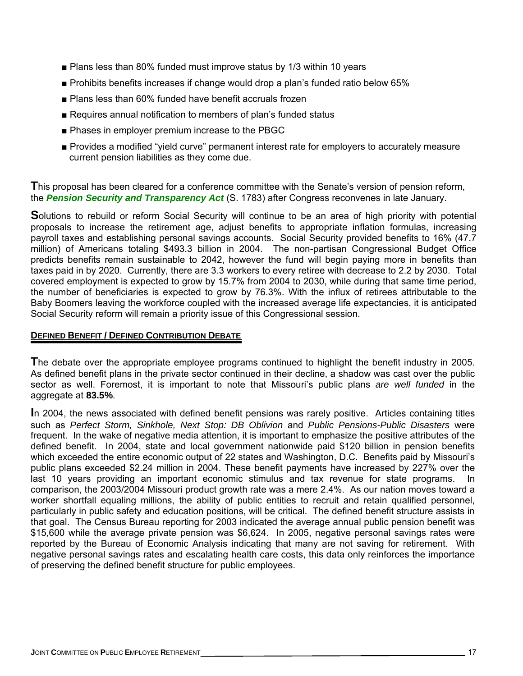- Plans less than 80% funded must improve status by 1/3 within 10 years
- Prohibits benefits increases if change would drop a plan's funded ratio below 65%
- Plans less than 60% funded have benefit accruals frozen
- Requires annual notification to members of plan's funded status
- Phases in employer premium increase to the PBGC
- Provides a modified "yield curve" permanent interest rate for employers to accurately measure current pension liabilities as they come due.

**T**his proposal has been cleared for a conference committee with the Senate's version of pension reform, the *Pension Security and Transparency Act* (S. 1783) after Congress reconvenes in late January.

**S**olutions to rebuild or reform Social Security will continue to be an area of high priority with potential proposals to increase the retirement age, adjust benefits to appropriate inflation formulas, increasing payroll taxes and establishing personal savings accounts. Social Security provided benefits to 16% (47.7 million) of Americans totaling \$493.3 billion in 2004. The non-partisan Congressional Budget Office predicts benefits remain sustainable to 2042, however the fund will begin paying more in benefits than taxes paid in by 2020. Currently, there are 3.3 workers to every retiree with decrease to 2.2 by 2030. Total covered employment is expected to grow by 15.7% from 2004 to 2030, while during that same time period, the number of beneficiaries is expected to grow by 76.3%. With the influx of retirees attributable to the Baby Boomers leaving the workforce coupled with the increased average life expectancies, it is anticipated Social Security reform will remain a priority issue of this Congressional session.

### **DEFINED BENEFIT / DEFINED CONTRIBUTION DEBATE**

**T**he debate over the appropriate employee programs continued to highlight the benefit industry in 2005. As defined benefit plans in the private sector continued in their decline, a shadow was cast over the public sector as well. Foremost, it is important to note that Missouri's public plans *are well funded* in the aggregate at **83.5%**.

**I**n 2004, the news associated with defined benefit pensions was rarely positive. Articles containing titles such as *Perfect Storm, Sinkhole, Next Stop: DB Oblivion* and *Public Pensions-Public Disasters* were frequent. In the wake of negative media attention, it is important to emphasize the positive attributes of the defined benefit. In 2004, state and local government nationwide paid \$120 billion in pension benefits which exceeded the entire economic output of 22 states and Washington, D.C. Benefits paid by Missouri's public plans exceeded \$2.24 million in 2004. These benefit payments have increased by 227% over the last 10 years providing an important economic stimulus and tax revenue for state programs. In comparison, the 2003/2004 Missouri product growth rate was a mere 2.4%. As our nation moves toward a worker shortfall equaling millions, the ability of public entities to recruit and retain qualified personnel, particularly in public safety and education positions, will be critical. The defined benefit structure assists in that goal. The Census Bureau reporting for 2003 indicated the average annual public pension benefit was \$15,600 while the average private pension was \$6,624. In 2005, negative personal savings rates were reported by the Bureau of Economic Analysis indicating that many are not saving for retirement. With negative personal savings rates and escalating health care costs, this data only reinforces the importance of preserving the defined benefit structure for public employees.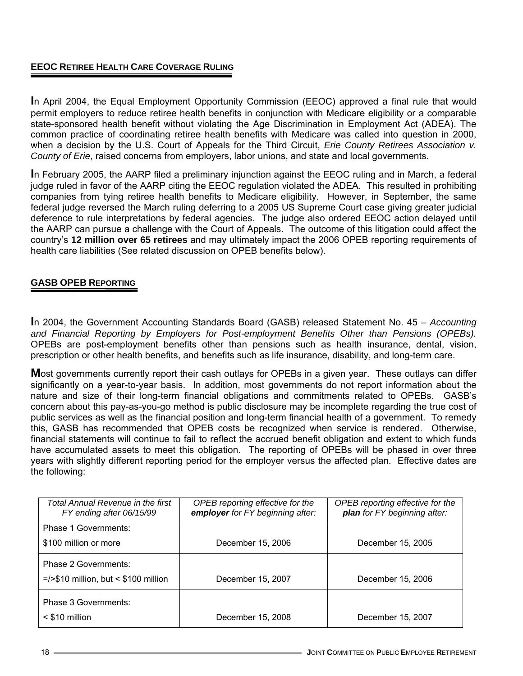### **EEOC RETIREE HEALTH CARE COVERAGE RULING**

**I**n April 2004, the Equal Employment Opportunity Commission (EEOC) approved a final rule that would permit employers to reduce retiree health benefits in conjunction with Medicare eligibility or a comparable state-sponsored health benefit without violating the Age Discrimination in Employment Act (ADEA). The common practice of coordinating retiree health benefits with Medicare was called into question in 2000, when a decision by the U.S. Court of Appeals for the Third Circuit, *Erie County Retirees Association v. County of Erie*, raised concerns from employers, labor unions, and state and local governments.

**I**n February 2005, the AARP filed a preliminary injunction against the EEOC ruling and in March, a federal judge ruled in favor of the AARP citing the EEOC regulation violated the ADEA. This resulted in prohibiting companies from tying retiree health benefits to Medicare eligibility. However, in September, the same federal judge reversed the March ruling deferring to a 2005 US Supreme Court case giving greater judicial deference to rule interpretations by federal agencies. The judge also ordered EEOC action delayed until the AARP can pursue a challenge with the Court of Appeals. The outcome of this litigation could affect the country's **12 million over 65 retirees** and may ultimately impact the 2006 OPEB reporting requirements of health care liabilities (See related discussion on OPEB benefits below).

### **GASB OPEB REPORTING**

**I**n 2004, the Government Accounting Standards Board (GASB) released Statement No. 45 – *Accounting and Financial Reporting by Employers for Post-employment Benefits Other than Pensions (OPEBs).*  OPEBs are post-employment benefits other than pensions such as health insurance, dental, vision, prescription or other health benefits, and benefits such as life insurance, disability, and long-term care.

**M**ost governments currently report their cash outlays for OPEBs in a given year. These outlays can differ significantly on a year-to-year basis. In addition, most governments do not report information about the nature and size of their long-term financial obligations and commitments related to OPEBs. GASB's concern about this pay-as-you-go method is public disclosure may be incomplete regarding the true cost of public services as well as the financial position and long-term financial health of a government. To remedy this, GASB has recommended that OPEB costs be recognized when service is rendered. Otherwise, financial statements will continue to fail to reflect the accrued benefit obligation and extent to which funds have accumulated assets to meet this obligation. The reporting of OPEBs will be phased in over three years with slightly different reporting period for the employer versus the affected plan. Effective dates are the following:

| Total Annual Revenue in the first<br>FY ending after 06/15/99   | OPEB reporting effective for the<br>employer for FY beginning after: | OPEB reporting effective for the<br>plan for FY beginning after: |
|-----------------------------------------------------------------|----------------------------------------------------------------------|------------------------------------------------------------------|
| Phase 1 Governments:<br>\$100 million or more                   | December 15, 2006                                                    | December 15, 2005                                                |
| Phase 2 Governments:<br>$=$ />\$10 million, but < \$100 million | December 15, 2007                                                    | December 15, 2006                                                |
| Phase 3 Governments:<br>$<$ \$10 million                        | December 15, 2008                                                    | December 15, 2007                                                |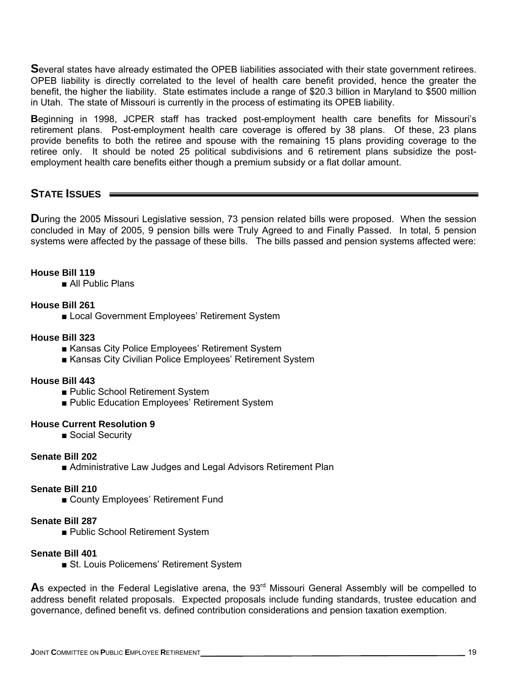**S**everal states have already estimated the OPEB liabilities associated with their state government retirees. OPEB liability is directly correlated to the level of health care benefit provided, hence the greater the benefit, the higher the liability. State estimates include a range of \$20.3 billion in Maryland to \$500 million in Utah. The state of Missouri is currently in the process of estimating its OPEB liability.

**B**eginning in 1998, JCPER staff has tracked post-employment health care benefits for Missouri's retirement plans. Post-employment health care coverage is offered by 38 plans. Of these, 23 plans provide benefits to both the retiree and spouse with the remaining 15 plans providing coverage to the retiree only. It should be noted 25 political subdivisions and 6 retirement plans subsidize the postemployment health care benefits either though a premium subsidy or a flat dollar amount.

## **STATE ISSUES**

**During the 2005 Missouri Legislative session, 73 pension related bills were proposed. When the session** concluded in May of 2005, 9 pension bills were Truly Agreed to and Finally Passed. In total, 5 pension systems were affected by the passage of these bills. The bills passed and pension systems affected were:

### **House Bill 119**

■ All Public Plans

### **House Bill 261**

■ Local Government Employees' Retirement System

#### **House Bill 323**

- Kansas City Police Employees' Retirement System
- Kansas City Civilian Police Employees' Retirement System

#### **House Bill 443**

- Public School Retirement System
- Public Education Employees' Retirement System

#### **House Current Resolution 9**

■ Social Security

#### **Senate Bill 202**

■ Administrative Law Judges and Legal Advisors Retirement Plan

### **Senate Bill 210**

■ County Employees' Retirement Fund

### **Senate Bill 287**

■ Public School Retirement System

#### **Senate Bill 401**

■ St. Louis Policemens' Retirement System

As expected in the Federal Legislative arena, the 93<sup>rd</sup> Missouri General Assembly will be compelled to address benefit related proposals. Expected proposals include funding standards, trustee education and governance, defined benefit vs. defined contribution considerations and pension taxation exemption.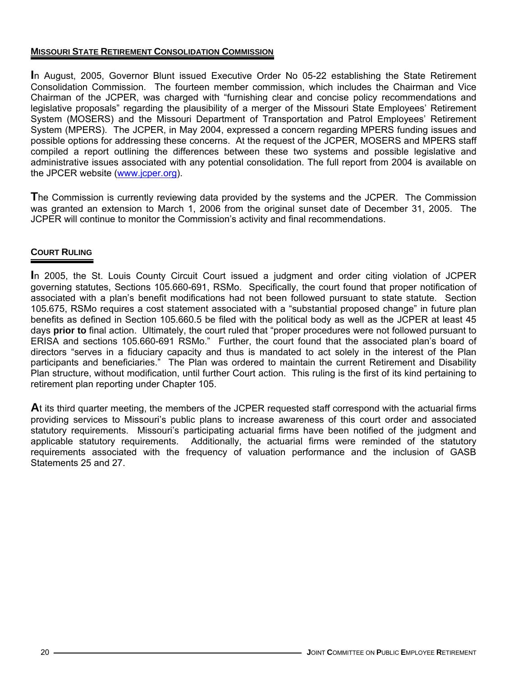### **MISSOURI STATE RETIREMENT CONSOLIDATION COMMISSION**

**I**n August, 2005, Governor Blunt issued Executive Order No 05-22 establishing the State Retirement Consolidation Commission. The fourteen member commission, which includes the Chairman and Vice Chairman of the JCPER, was charged with "furnishing clear and concise policy recommendations and legislative proposals" regarding the plausibility of a merger of the Missouri State Employees' Retirement System (MOSERS) and the Missouri Department of Transportation and Patrol Employees' Retirement System (MPERS). The JCPER, in May 2004, expressed a concern regarding MPERS funding issues and possible options for addressing these concerns. At the request of the JCPER, MOSERS and MPERS staff compiled a report outlining the differences between these two systems and possible legislative and administrative issues associated with any potential consolidation. The full report from 2004 is available on the JPCER website (www.jcper.org).

**T**he Commission is currently reviewing data provided by the systems and the JCPER. The Commission was granted an extension to March 1, 2006 from the original sunset date of December 31, 2005. The JCPER will continue to monitor the Commission's activity and final recommendations.

### **COURT RULING**

**I**n 2005, the St. Louis County Circuit Court issued a judgment and order citing violation of JCPER governing statutes, Sections 105.660-691, RSMo. Specifically, the court found that proper notification of associated with a plan's benefit modifications had not been followed pursuant to state statute. Section 105.675, RSMo requires a cost statement associated with a "substantial proposed change" in future plan benefits as defined in Section 105.660.5 be filed with the political body as well as the JCPER at least 45 days **prior to** final action. Ultimately, the court ruled that "proper procedures were not followed pursuant to ERISA and sections 105.660-691 RSMo." Further, the court found that the associated plan's board of directors "serves in a fiduciary capacity and thus is mandated to act solely in the interest of the Plan participants and beneficiaries." The Plan was ordered to maintain the current Retirement and Disability Plan structure, without modification, until further Court action. This ruling is the first of its kind pertaining to retirement plan reporting under Chapter 105.

**A**t its third quarter meeting, the members of the JCPER requested staff correspond with the actuarial firms providing services to Missouri's public plans to increase awareness of this court order and associated statutory requirements. Missouri's participating actuarial firms have been notified of the judgment and applicable statutory requirements. Additionally, the actuarial firms were reminded of the statutory requirements associated with the frequency of valuation performance and the inclusion of GASB Statements 25 and 27.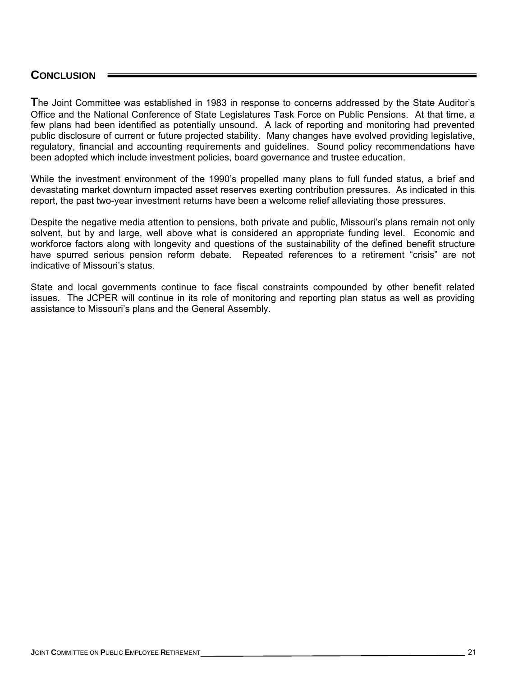## **CONCLUSION**

**T**he Joint Committee was established in 1983 in response to concerns addressed by the State Auditor's Office and the National Conference of State Legislatures Task Force on Public Pensions. At that time, a few plans had been identified as potentially unsound. A lack of reporting and monitoring had prevented public disclosure of current or future projected stability. Many changes have evolved providing legislative, regulatory, financial and accounting requirements and guidelines. Sound policy recommendations have been adopted which include investment policies, board governance and trustee education.

While the investment environment of the 1990's propelled many plans to full funded status, a brief and devastating market downturn impacted asset reserves exerting contribution pressures. As indicated in this report, the past two-year investment returns have been a welcome relief alleviating those pressures.

Despite the negative media attention to pensions, both private and public, Missouri's plans remain not only solvent, but by and large, well above what is considered an appropriate funding level. Economic and workforce factors along with longevity and questions of the sustainability of the defined benefit structure have spurred serious pension reform debate. Repeated references to a retirement "crisis" are not indicative of Missouri's status.

State and local governments continue to face fiscal constraints compounded by other benefit related issues. The JCPER will continue in its role of monitoring and reporting plan status as well as providing assistance to Missouri's plans and the General Assembly.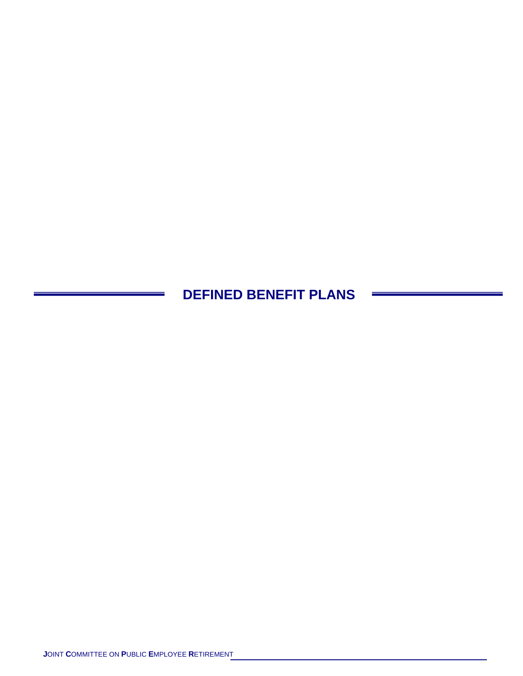**DEFINED BENEFIT PLANS**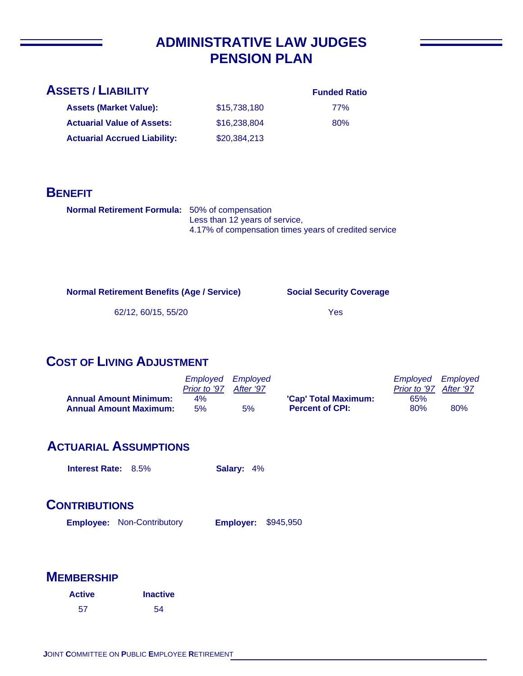# **ADMINISTRATIVE LAW JUDGES PENSION PLAN**

## **ASSETS / LIABILITY**

**Assets (Market Value): Actuarial Value of Assets:**

**Actuarial Accrued Liability:**

#### **Funded Ratio**

77% 80%

**BENEFIT**

| <b>Normal Retirement Formula:</b> 50% of compensation |                                                       |
|-------------------------------------------------------|-------------------------------------------------------|
|                                                       | Less than 12 years of service,                        |
|                                                       | 4.17% of compensation times years of credited service |

\$15,738,180 \$16,238,804

\$20,384,213

**Normal Retirement Benefits (Age / Service)**

**Social Security Coverage**

62/12, 60/15, 55/20

#### Yes

## **COST OF LIVING ADJUSTMENT**

|                                                                | Employed Employed<br>Prior to '97 After '97 |    |                                                | Employed Employed<br>Prior to '97 After '97 |     |
|----------------------------------------------------------------|---------------------------------------------|----|------------------------------------------------|---------------------------------------------|-----|
| <b>Annual Amount Minimum:</b><br><b>Annual Amount Maximum:</b> | 4%<br>5%                                    | 5% | 'Cap' Total Maximum:<br><b>Percent of CPI:</b> | 65%<br>80%                                  | 80% |

## **ACTUARIAL ASSUMPTIONS**

**Interest Rate:** 8.5% **Salary:** 4%

## **CONTRIBUTIONS**

**Employee: Employer:** Non-Contributory **Employer: \$945,950** 

| <b>Active</b> | <b>Inactive</b> |
|---------------|-----------------|
| 57            | -54             |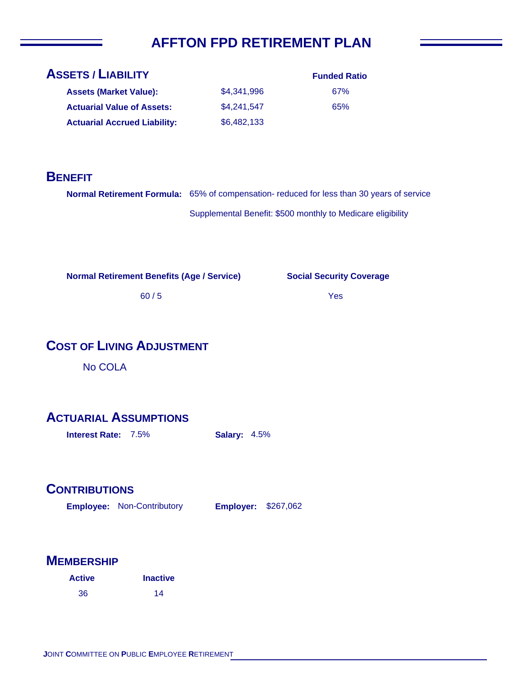# **AFFTON FPD RETIREMENT PLAN**

| <b>ASSETS / LIABILITY</b>           | <b>Funded Ratio</b> |     |
|-------------------------------------|---------------------|-----|
| <b>Assets (Market Value):</b>       | \$4.341.996         | 67% |
| <b>Actuarial Value of Assets:</b>   | \$4,241,547         | 65% |
| <b>Actuarial Accrued Liability:</b> | \$6,482,133         |     |

## **BENEFIT**

| Normal Retirement Formula: 65% of compensation- reduced for less than 30 years of service |
|-------------------------------------------------------------------------------------------|
| Supplemental Benefit: \$500 monthly to Medicare eligibility                               |

**Normal Retirement Benefits (Age / Service)**

60 / 5

### **Social Security Coverage**

Yes

## **COST OF LIVING ADJUSTMENT**

No COLA

## **ACTUARIAL ASSUMPTIONS**

**Interest Rate:** 7.5% **Salary:** 4.5%

## **CONTRIBUTIONS**

Employee: Non-Contributory **Employer:** \$267,062

| <b>Active</b> | <b>Inactive</b> |
|---------------|-----------------|
| 36            | 14              |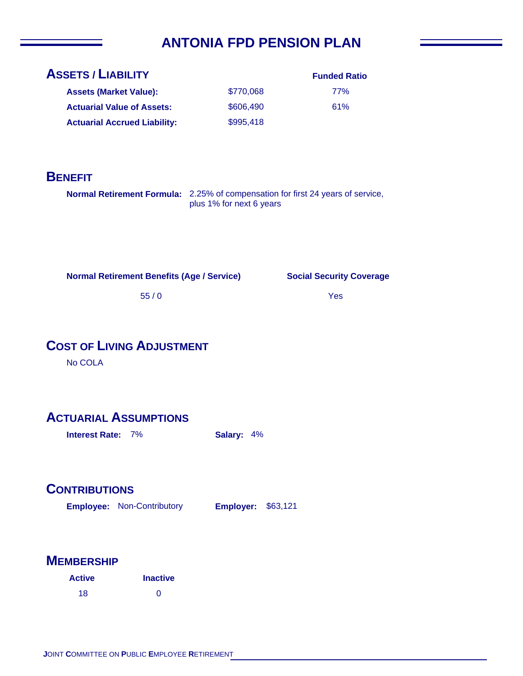# **ANTONIA FPD PENSION PLAN**

| <b>ASSETS / LIABILITY</b>           | <b>Funded Ratio</b> |     |
|-------------------------------------|---------------------|-----|
| <b>Assets (Market Value):</b>       | \$770,068           | 77% |
| <b>Actuarial Value of Assets:</b>   | \$606,490           | 61% |
| <b>Actuarial Accrued Liability:</b> | \$995,418           |     |

## **BENEFIT**

**Normal Retirement Formula:** 2.25% of compensation for first 24 years of service, plus 1% for next 6 years

**Normal Retirement Benefits (Age / Service)**

**Social Security Coverage**

Yes

55 / 0

# **COST OF LIVING ADJUSTMENT**

No COLA

## **ACTUARIAL ASSUMPTIONS**

**Interest Rate:** 7% **Salary:** 4%

## **CONTRIBUTIONS**

**Employee: Employer:** Non-Contributory **Employer: \$63,121** 

| <b>Active</b> | <b>Inactive</b> |
|---------------|-----------------|
| 18            | ∩               |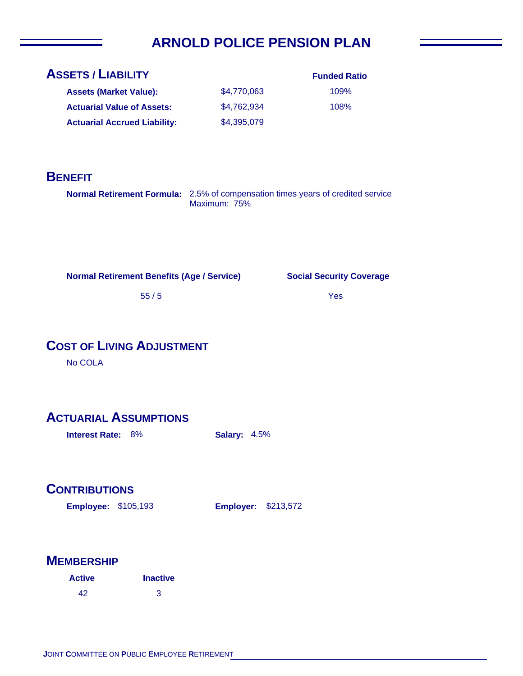# **ARNOLD POLICE PENSION PLAN**

| <b>ASSETS / LIABILITY</b>           | <b>Funded Ratio</b> |      |
|-------------------------------------|---------------------|------|
| <b>Assets (Market Value):</b>       | \$4,770,063         | 109% |
| <b>Actuarial Value of Assets:</b>   | \$4,762,934         | 108% |
| <b>Actuarial Accrued Liability:</b> | \$4,395,079         |      |

## **BENEFIT**

**Normal Retirement Formula:** 2.5% of compensation times years of credited service Maximum: 75%

**Normal Retirement Benefits (Age / Service)**

**Social Security Coverage**

Yes

55 / 5

# **COST OF LIVING ADJUSTMENT**

No COLA

## **ACTUARIAL ASSUMPTIONS**

**Interest Rate:** 8% **Salary:** 4.5%

## **CONTRIBUTIONS**

**Employee: Employer:** \$105,193

**Employer: \$213,572** 

| <b>Active</b> | <b>Inactive</b> |
|---------------|-----------------|
| 42            | 3               |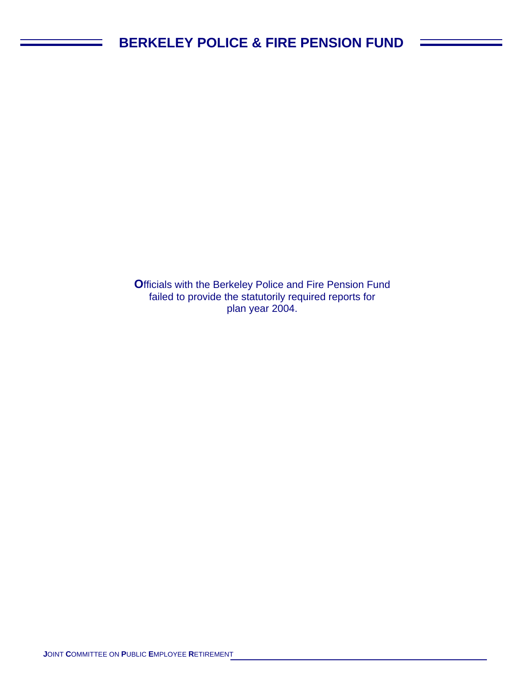**O**fficials with the Berkeley Police and Fire Pension Fund failed to provide the statutorily required reports for plan year 2004.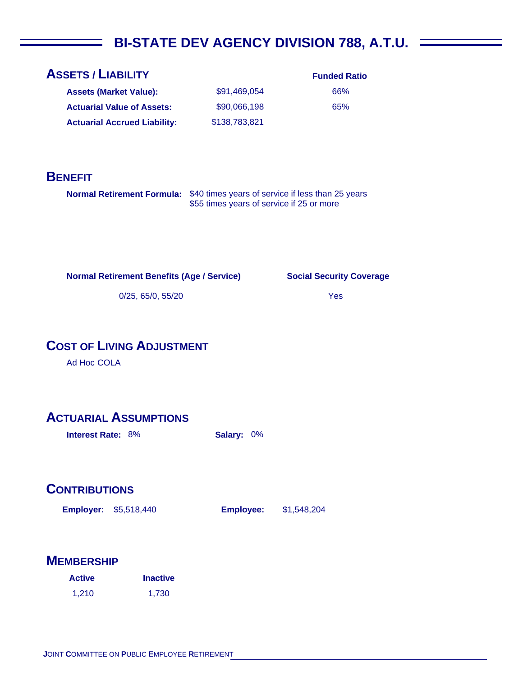# **BI-STATE DEV AGENCY DIVISION 788, A.T.U.**

| <b>Assets (Market Value):</b>       | \$91.469.054  |
|-------------------------------------|---------------|
| <b>Actuarial Value of Assets:</b>   | \$90,066,198  |
| <b>Actuarial Accrued Liability:</b> | \$138,783,821 |

## **BENEFIT**

**Normal Retirement Formula:** \$40 times years of service if less than 25 years \$55 times years of service if 25 or more

**Normal Retirement Benefits (Age / Service)**

**Social Security Coverage**

**Funded Ratio** 66% 65%

Yes

0/25, 65/0, 55/20

## **COST OF LIVING ADJUSTMENT**

Ad Hoc COLA

## **ACTUARIAL ASSUMPTIONS**

**Interest Rate:** 8% **Salary:** 0%

## **CONTRIBUTIONS**

**Employer: Employee:** \$5,518,440

\$1,548,204

| <b>Active</b> | <b>Inactive</b> |  |
|---------------|-----------------|--|
| 1,210         | 1,730           |  |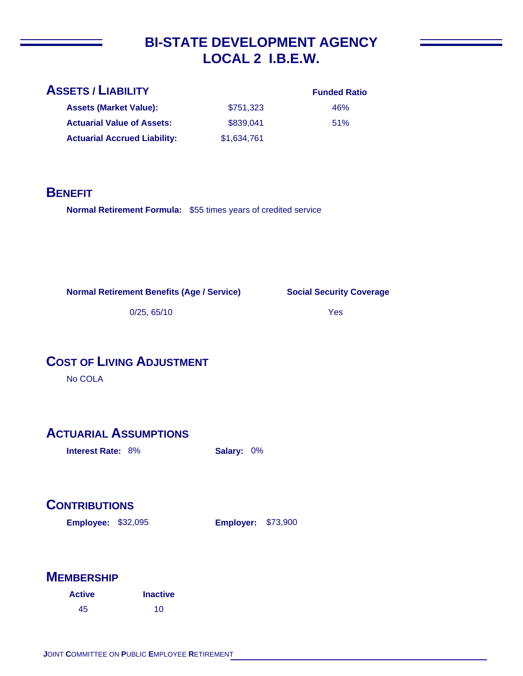# **BI-STATE DEVELOPMENT AGENCY LOCAL 2 I.B.E.W.**

| <b>ASSETS / LIABILITY</b>           |             | <b>Funded Ratio</b> |
|-------------------------------------|-------------|---------------------|
| <b>Assets (Market Value):</b>       | \$751,323   | 46%                 |
| <b>Actuarial Value of Assets:</b>   | \$839,041   | 51%                 |
| <b>Actuarial Accrued Liability:</b> | \$1,634,761 |                     |

## **BENEFIT**

Normal Retirement Formula: \$55 times years of credited service

**Normal Retirement Benefits (Age / Service)**

**Social Security Coverage**

0/25, 65/10

Yes

# **COST OF LIVING ADJUSTMENT**

No COLA

# **ACTUARIAL ASSUMPTIONS**

**Interest Rate:** 8% **Salary:** 0%

# **CONTRIBUTIONS**

**Employee: Employer:** \$32,095 **Employer: \$73,900** 

| <b>Active</b> | <b>Inactive</b> |  |
|---------------|-----------------|--|
| 45            | 10              |  |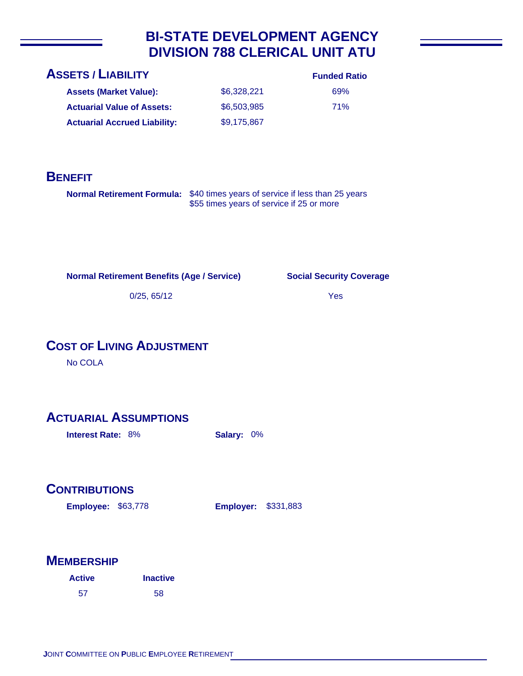# **BI-STATE DEVELOPMENT AGENCY DIVISION 788 CLERICAL UNIT ATU**

| <b>ASSETS / LIABILITY</b>           |             | <b>Funded Ratio</b> |
|-------------------------------------|-------------|---------------------|
| <b>Assets (Market Value):</b>       | \$6,328,221 | 69%                 |
| <b>Actuarial Value of Assets:</b>   | \$6,503,985 | <b>71%</b>          |
| <b>Actuarial Accrued Liability:</b> | \$9,175,867 |                     |

## **BENEFIT**

**Normal Retirement Formula:** \$40 times years of service if less than 25 years \$55 times years of service if 25 or more

**Normal Retirement Benefits (Age / Service)**

**Social Security Coverage**

Yes

0/25, 65/12

# **COST OF LIVING ADJUSTMENT**

No COLA

## **ACTUARIAL ASSUMPTIONS**

**Interest Rate:** 8% **Salary:** 0%

## **CONTRIBUTIONS**

**Employee: Employer:** \$63,778

**Employer: \$331,883** 

| <b>Active</b> | <b>Inactive</b> |  |
|---------------|-----------------|--|
| 57            | 58              |  |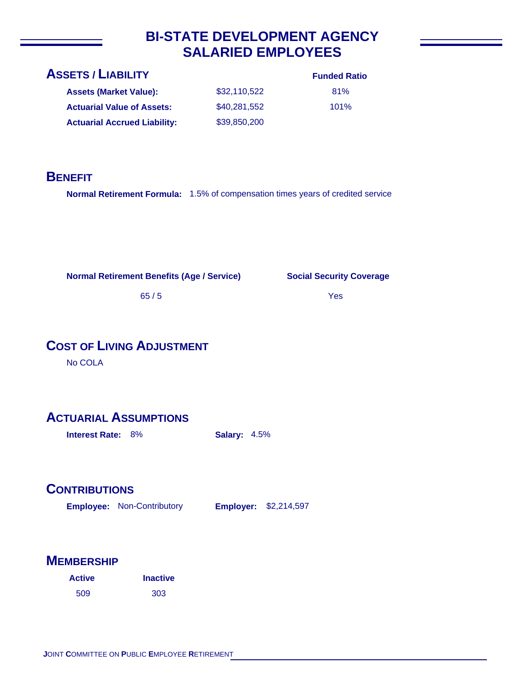# **BI-STATE DEVELOPMENT AGENCY SALARIED EMPLOYEES**

| <b>ASSETS / LIABILITY</b>           |              | <b>Funded Ratio</b> |
|-------------------------------------|--------------|---------------------|
| <b>Assets (Market Value):</b>       | \$32,110,522 | 81%                 |
| <b>Actuarial Value of Assets:</b>   | \$40,281,552 | 101%                |
| <b>Actuarial Accrued Liability:</b> | \$39,850,200 |                     |

## **BENEFIT**

**Normal Retirement Formula:** 1.5% of compensation times years of credited service

**Normal Retirement Benefits (Age / Service)**

**Social Security Coverage**

Yes

65 / 5

# **COST OF LIVING ADJUSTMENT**

No COLA

## **ACTUARIAL ASSUMPTIONS**

**Interest Rate:** 8% **Salary:** 4.5%

## **CONTRIBUTIONS**

**Employee: Employer:** Non-Contributory **Employer: \$2,214,597** 

| <b>Active</b> | <b>Inactive</b> |  |
|---------------|-----------------|--|
| 509           | 303             |  |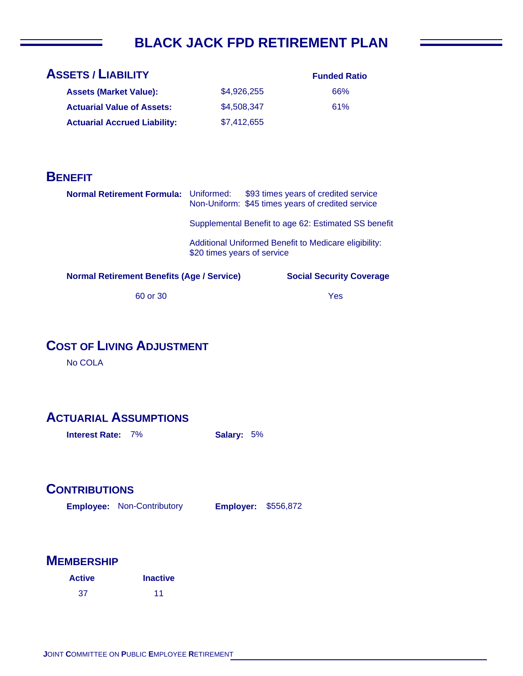# **BLACK JACK FPD RETIREMENT PLAN**

| <b>ASSETS / LIABILITY</b>           |             | <b>Funded Ratio</b> |
|-------------------------------------|-------------|---------------------|
| <b>Assets (Market Value):</b>       | \$4,926,255 | 66%                 |
| <b>Actuarial Value of Assets:</b>   | \$4,508,347 | 61%                 |
| <b>Actuarial Accrued Liability:</b> | \$7,412,655 |                     |

## **BENEFIT**

| Normal Retirement Formula: Uniformed:             |                             | \$93 times years of credited service<br>Non-Uniform: \$45 times years of credited service |
|---------------------------------------------------|-----------------------------|-------------------------------------------------------------------------------------------|
|                                                   |                             | Supplemental Benefit to age 62: Estimated SS benefit                                      |
|                                                   | \$20 times years of service | Additional Uniformed Benefit to Medicare eligibility:                                     |
| <b>Normal Retirement Benefits (Age / Service)</b> |                             | <b>Social Security Coverage</b>                                                           |
| 60 or 30                                          |                             | Yes                                                                                       |

# **COST OF LIVING ADJUSTMENT**

No COLA

# **ACTUARIAL ASSUMPTIONS**

**Interest Rate:** 7% **Salary:** 5%

#### **CONTRIBUTIONS**

**Employee: Employer:** Non-Contributory **Employer: \$556,872** 

| <b>Active</b> | <b>Inactive</b> |
|---------------|-----------------|
| 37            | 11              |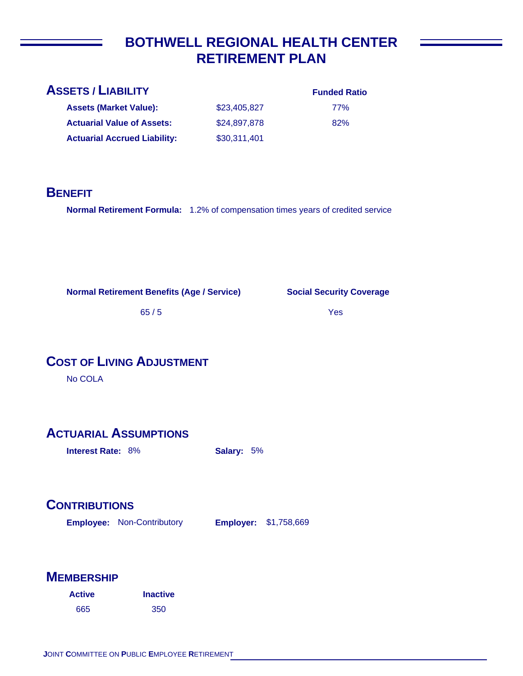# **BOTHWELL REGIONAL HEALTH CENTER RETIREMENT PLAN**

| <b>ASSETS / LIABILITY</b>           |              | <b>Funded Ratio</b> |
|-------------------------------------|--------------|---------------------|
| <b>Assets (Market Value):</b>       | \$23,405,827 | <b>77%</b>          |
| <b>Actuarial Value of Assets:</b>   | \$24,897,878 | 82%                 |
| <b>Actuarial Accrued Liability:</b> | \$30,311,401 |                     |

### **BENEFIT**

**Normal Retirement Formula:** 1.2% of compensation times years of credited service

**Normal Retirement Benefits (Age / Service)**

**Social Security Coverage**

65 / 5

Yes

# **COST OF LIVING ADJUSTMENT**

No COLA

# **ACTUARIAL ASSUMPTIONS**

**Interest Rate:** 8% **Salary:** 5%

# **CONTRIBUTIONS**

**Employee: Employer:** Non-Contributory **Employer: \$1,758,669** 

| <b>Active</b> | <b>Inactive</b> |
|---------------|-----------------|
| 665           | 350             |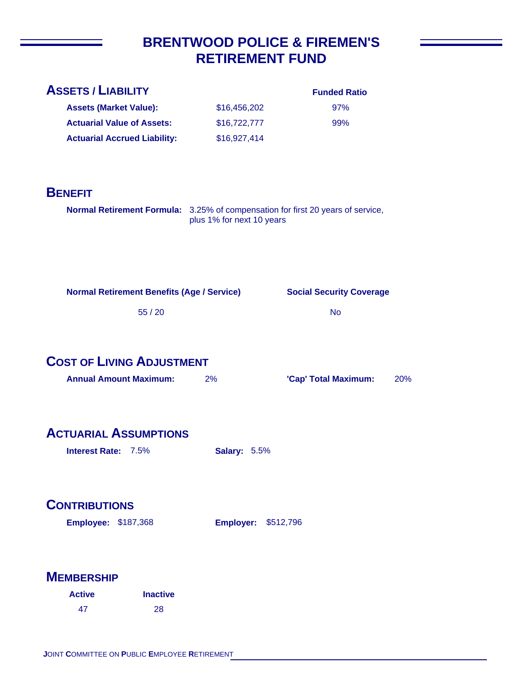# **BRENTWOOD POLICE & FIREMEN'S RETIREMENT FUND**

| <b>ASSETS / LIABILITY</b>           |              | <b>Funded Ratio</b> |
|-------------------------------------|--------------|---------------------|
| <b>Assets (Market Value):</b>       | \$16,456,202 | 97%                 |
| <b>Actuarial Value of Assets:</b>   | \$16,722,777 | 99%                 |
| <b>Actuarial Accrued Liability:</b> | \$16,927,414 |                     |
|                                     |              |                     |

## **BENEFIT**

| <b>Normal Retirement Formula:</b> 3.25% of compensation for first 20 years of service, |
|----------------------------------------------------------------------------------------|
| plus 1% for next 10 years                                                              |

| <b>Normal Retirement Benefits (Age / Service)</b> |  |  |  |  |  |
|---------------------------------------------------|--|--|--|--|--|
|---------------------------------------------------|--|--|--|--|--|

**Social Security Coverage**

55 / 20

| No |
|----|
|----|

**COST OF LIVING ADJUSTMENT**

| <b>Annual Amount Maximum:</b> | 2% | 'Cap' Total Maximum: | 20% |
|-------------------------------|----|----------------------|-----|
|                               |    |                      |     |

# **ACTUARIAL ASSUMPTIONS**

**Interest Rate:** 7.5% **Salary:** 5.5%

# **CONTRIBUTIONS**

**Employee: Employer:** \$187,368 **Employer: \$512,796** 

| <b>Active</b> | <b>Inactive</b> |
|---------------|-----------------|
| 47            | -28             |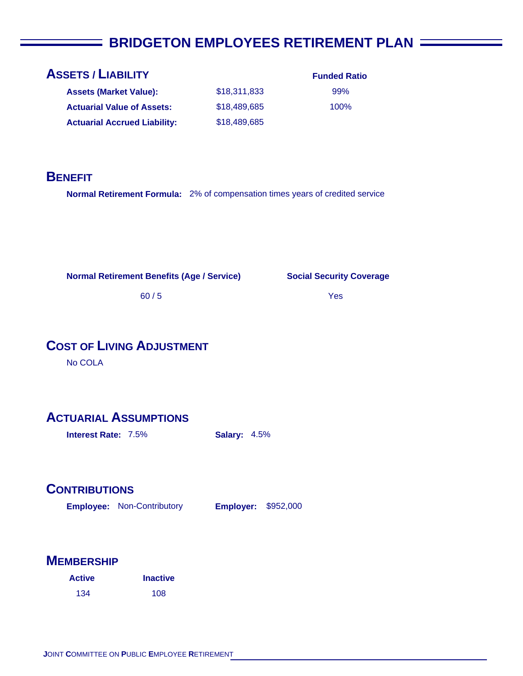# **E BRIDGETON EMPLOYEES RETIREMENT PLAN**

## **ASSETS / LIABILITY**

| <b>Assets (Market Value):</b>       | \$18,311,833 |
|-------------------------------------|--------------|
| <b>Actuarial Value of Assets:</b>   | \$18,489,685 |
| <b>Actuarial Accrued Liability:</b> | \$18,489,685 |

**Funded Ratio** 99% 100%

#### **BENEFIT**

**Normal Retirement Formula:** 2% of compensation times years of credited service

**Normal Retirement Benefits (Age / Service)**

**Social Security Coverage**

Yes

60 / 5

# **COST OF LIVING ADJUSTMENT**

No COLA

### **ACTUARIAL ASSUMPTIONS**

**Interest Rate:** 7.5% **Salary:** 4.5%

#### **CONTRIBUTIONS**

**Employee: Employer:** Non-Contributory **Employer: \$952,000** 

| <b>Active</b> | <b>Inactive</b> |
|---------------|-----------------|
| 134           | 108             |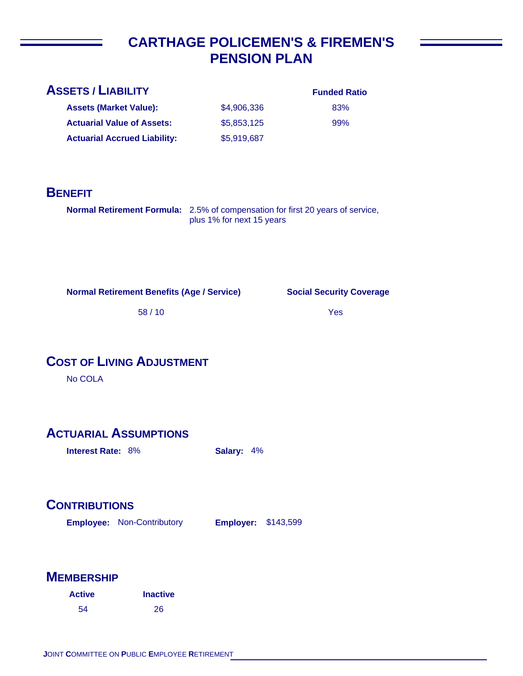# **CARTHAGE POLICEMEN'S & FIREMEN'S PENSION PLAN**

|             | <b>Funded Ratio</b> |
|-------------|---------------------|
| \$4,906,336 | 83%                 |
| \$5,853,125 | 99%                 |
| \$5,919,687 |                     |
|             |                     |

### **BENEFIT**

**Normal Retirement Formula:** 2.5% of compensation for first 20 years of service, plus 1% for next 15 years

**Normal Retirement Benefits (Age / Service)**

**Social Security Coverage**

58 / 10

Yes

# **COST OF LIVING ADJUSTMENT**

No COLA

# **ACTUARIAL ASSUMPTIONS**

**Interest Rate:** 8% **Salary:** 4%

# **CONTRIBUTIONS**

**Employee: Employer:** Non-Contributory **Employer: \$143,599** 

| <b>Active</b> | <b>Inactive</b> |
|---------------|-----------------|
| 54            | 26              |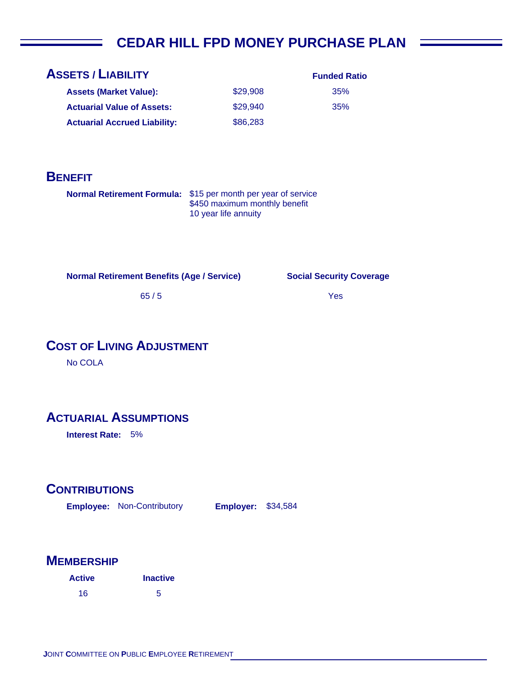# **CEDAR HILL FPD MONEY PURCHASE PLAN**

| <b>ASSETS / LIABILITY</b>           |          | <b>Funded Ratio</b> |
|-------------------------------------|----------|---------------------|
| <b>Assets (Market Value):</b>       | \$29,908 | 35%                 |
| <b>Actuarial Value of Assets:</b>   | \$29.940 | 35%                 |
| <b>Actuarial Accrued Liability:</b> | \$86,283 |                     |

#### **BENEFIT**

Normal Retirement Formula: \$15 per month per year of service \$450 maximum monthly benefit 10 year life annuity

**Normal Retirement Benefits (Age / Service)**

**Social Security Coverage**

Yes

65 / 5

# **COST OF LIVING ADJUSTMENT**

No COLA

### **ACTUARIAL ASSUMPTIONS**

**Interest Rate:** 5%

#### **CONTRIBUTIONS**

**Employee: Employer:** Non-Contributory **Employer: \$34,584** 

| <b>Active</b> | <b>Inactive</b> |
|---------------|-----------------|
| 16            | 5               |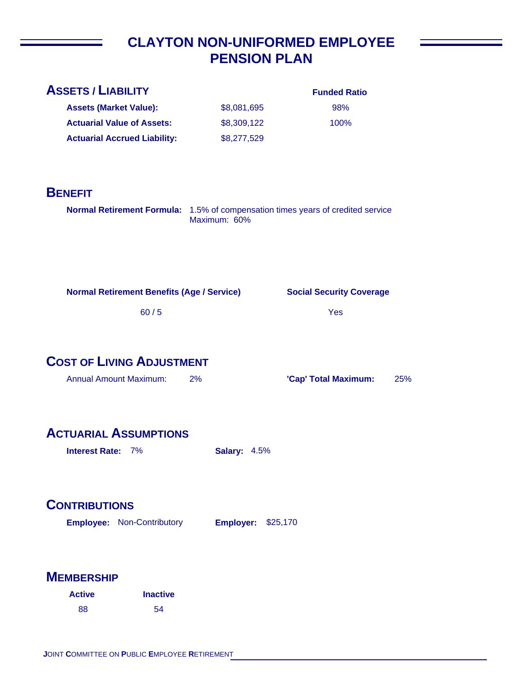# **CLAYTON NON-UNIFORMED EMPLOYEE PENSION PLAN**

| <b>ASSETS / LIABILITY</b>                                                       |                     | <b>Funded Ratio</b>             |     |
|---------------------------------------------------------------------------------|---------------------|---------------------------------|-----|
| <b>Assets (Market Value):</b>                                                   | \$8,081,695         | 98%                             |     |
| <b>Actuarial Value of Assets:</b>                                               | \$8,309,122         | 100%                            |     |
| <b>Actuarial Accrued Liability:</b>                                             | \$8,277,529         |                                 |     |
| <b>BENEFIT</b>                                                                  |                     |                                 |     |
| Normal Retirement Formula: 1.5% of compensation times years of credited service | Maximum: 60%        |                                 |     |
| <b>Normal Retirement Benefits (Age / Service)</b>                               |                     | <b>Social Security Coverage</b> |     |
| 60/5                                                                            |                     | Yes                             |     |
| <b>COST OF LIVING ADJUSTMENT</b>                                                |                     |                                 |     |
| <b>Annual Amount Maximum:</b>                                                   | 2%                  | 'Cap' Total Maximum:            | 25% |
| <b>ACTUARIAL ASSUMPTIONS</b><br>Interest Rate: 7%                               | <b>Salary: 4.5%</b> |                                 |     |

# **CONTRIBUTIONS**

**Employee: Employer:** Non-Contributory **Employer: \$25,170** 

| <b>Active</b> | <b>Inactive</b> |
|---------------|-----------------|
| 88            | 54              |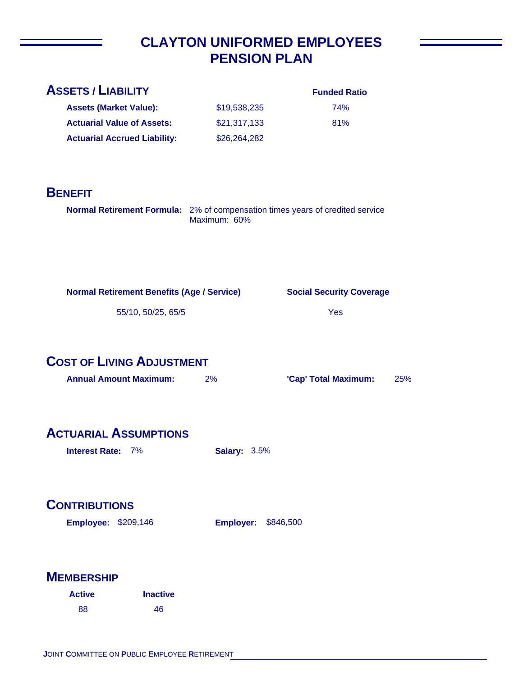# **CLAYTON UNIFORMED EMPLOYEES PENSION PLAN**

| <b>ASSETS / LIABILITY</b>           |              | <b>Funded Ratio</b> |
|-------------------------------------|--------------|---------------------|
| <b>Assets (Market Value):</b>       | \$19,538,235 | 74%                 |
| <b>Actuarial Value of Assets:</b>   | \$21,317,133 | 81%                 |
| <b>Actuarial Accrued Liability:</b> | \$26,264,282 |                     |
|                                     |              |                     |

### **BENEFIT**

| <b>Normal Retirement Formula:</b> 2% of compensation times years of credited service |
|--------------------------------------------------------------------------------------|
| Maximum: 60%                                                                         |

**Normal Retirement Benefits (Age / Service)**

**Social Security Coverage**

55/10, 50/25, 65/5

# **COST OF LIVING ADJUSTMENT**

| <b>Annual Amount Maximum:</b> | 2% | 'Cap' Total Maximum: | 25% |
|-------------------------------|----|----------------------|-----|
|-------------------------------|----|----------------------|-----|

# **ACTUARIAL ASSUMPTIONS**

**Interest Rate:** 7% **Salary:** 3.5%

# **CONTRIBUTIONS**

**Employee: Employer:** \$209,146 **Employer: \$846,500** 

| <b>Active</b> | <b>Inactive</b> |
|---------------|-----------------|
| 88            | 46              |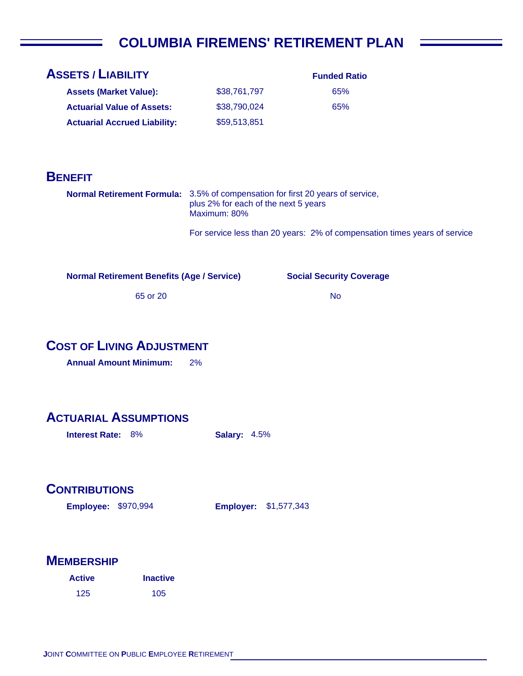# **COLUMBIA FIREMENS' RETIREMENT PLAN**

| <b>ASSETS / LIABILITY</b>           |              | <b>Funded Ratio</b> |
|-------------------------------------|--------------|---------------------|
| <b>Assets (Market Value):</b>       | \$38,761,797 | 65%                 |
| <b>Actuarial Value of Assets:</b>   | \$38,790,024 | 65%                 |
| <b>Actuarial Accrued Liability:</b> | \$59,513,851 |                     |
|                                     |              |                     |

### **BENEFIT**

**Normal Retirement Formula:** 3.5% of compensation for first 20 years of service, plus 2% for each of the next 5 years Maximum: 80%

For service less than 20 years: 2% of compensation times years of service

**Normal Retirement Benefits (Age / Service)**

**Social Security Coverage**

No

65 or 20

### **COST OF LIVING ADJUSTMENT**

**Annual Amount Minimum:** 2%

### **ACTUARIAL ASSUMPTIONS**

**Interest Rate:** 8% **Salary:** 4.5%

### **CONTRIBUTIONS**

**Employee: Employer:** \$970,994

**Employer: \$1,577,343** 

| <b>Active</b> | <b>Inactive</b> |
|---------------|-----------------|
| 125           | 105             |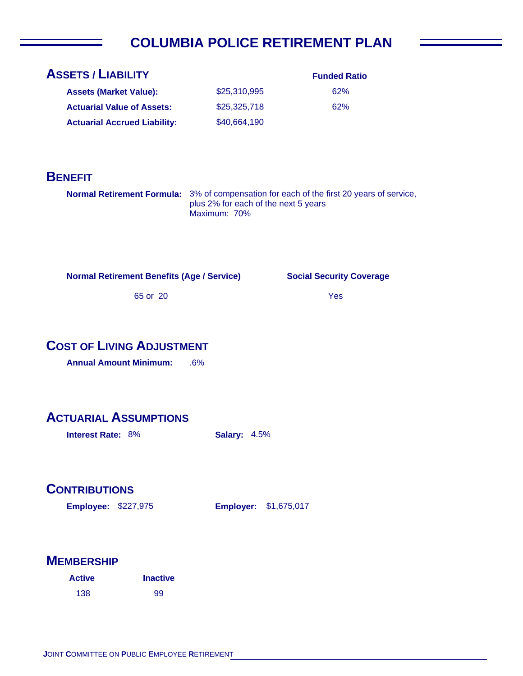# **COLUMBIA POLICE RETIREMENT PLAN**

| <b>ASSETS / LIABILITY</b>           |              | <b>Funded Ratio</b> |
|-------------------------------------|--------------|---------------------|
| <b>Assets (Market Value):</b>       | \$25,310,995 | 62%                 |
| <b>Actuarial Value of Assets:</b>   | \$25,325,718 | 62%                 |
| <b>Actuarial Accrued Liability:</b> | \$40,664,190 |                     |

### **BENEFIT**

**Normal Retirement Formula:** 3% of compensation for each of the first 20 years of service, plus 2% for each of the next 5 years Maximum: 70%

**Normal Retirement Benefits (Age / Service)**

**Social Security Coverage**

Yes

65 or 20

## **COST OF LIVING ADJUSTMENT**

**Annual Amount Minimum:** .6%

### **ACTUARIAL ASSUMPTIONS**

**Interest Rate:** 8% **Salary:** 4.5%

### **CONTRIBUTIONS**

**Employee: Employer:** \$227,975

**Employer: \$1,675,017** 

| <b>Active</b> | <b>Inactive</b> |  |
|---------------|-----------------|--|
| 138           | 99              |  |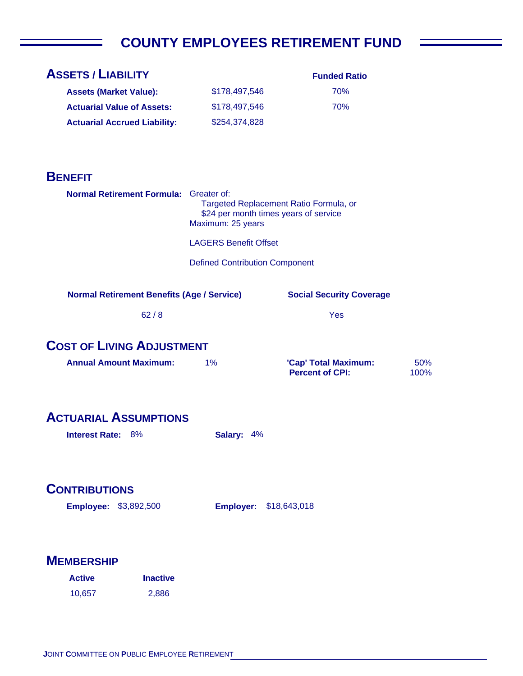# **COUNTY EMPLOYEES RETIREMENT FUND**

| <b>ASSETS / LIABILITY</b>                         |                                                                                                      | <b>Funded Ratio</b>                            |             |
|---------------------------------------------------|------------------------------------------------------------------------------------------------------|------------------------------------------------|-------------|
| <b>Assets (Market Value):</b>                     | \$178,497,546                                                                                        | 70%                                            |             |
| <b>Actuarial Value of Assets:</b>                 | \$178,497,546                                                                                        | 70%                                            |             |
| <b>Actuarial Accrued Liability:</b>               | \$254,374,828                                                                                        |                                                |             |
|                                                   |                                                                                                      |                                                |             |
|                                                   |                                                                                                      |                                                |             |
| <b>BENEFIT</b>                                    |                                                                                                      |                                                |             |
| Normal Retirement Formula: Greater of:            | Targeted Replacement Ratio Formula, or<br>\$24 per month times years of service<br>Maximum: 25 years |                                                |             |
|                                                   | <b>LAGERS Benefit Offset</b>                                                                         |                                                |             |
|                                                   | <b>Defined Contribution Component</b>                                                                |                                                |             |
|                                                   |                                                                                                      |                                                |             |
| <b>Normal Retirement Benefits (Age / Service)</b> |                                                                                                      | <b>Social Security Coverage</b>                |             |
| 62/8                                              |                                                                                                      | Yes                                            |             |
|                                                   |                                                                                                      |                                                |             |
| <b>COST OF LIVING ADJUSTMENT</b>                  |                                                                                                      |                                                |             |
| <b>Annual Amount Maximum:</b>                     | 1%                                                                                                   | 'Cap' Total Maximum:<br><b>Percent of CPI:</b> | 50%<br>100% |
|                                                   |                                                                                                      |                                                |             |
|                                                   |                                                                                                      |                                                |             |
| <b>ACTUARIAL ASSUMPTIONS</b>                      |                                                                                                      |                                                |             |
| <b>Interest Rate: 8%</b>                          | <b>Salary: 4%</b>                                                                                    |                                                |             |
|                                                   |                                                                                                      |                                                |             |
|                                                   |                                                                                                      |                                                |             |
| <b>CONTRIBUTIONS</b>                              |                                                                                                      |                                                |             |
| <b>Employee: \$3,892,500</b>                      | <b>Employer:</b>                                                                                     | \$18,643,018                                   |             |
|                                                   |                                                                                                      |                                                |             |
|                                                   |                                                                                                      |                                                |             |
| <b>MEMBERSHIP</b>                                 |                                                                                                      |                                                |             |
| <b>Inactive</b><br><b>Active</b>                  |                                                                                                      |                                                |             |
| 10,657<br>2,886                                   |                                                                                                      |                                                |             |
|                                                   |                                                                                                      |                                                |             |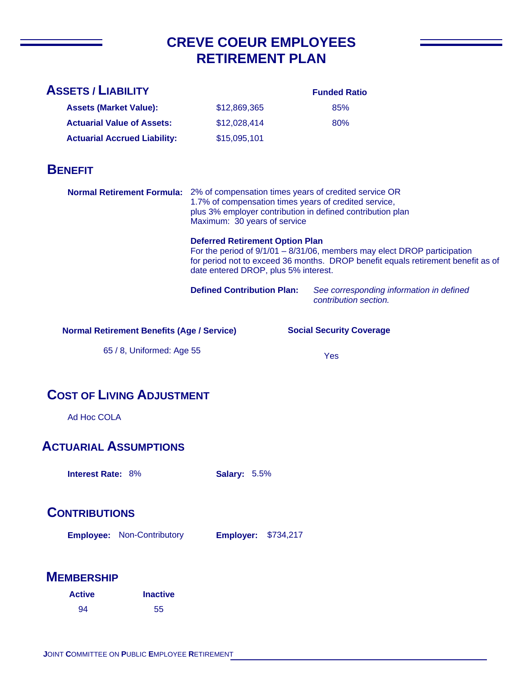# **CREVE COEUR EMPLOYEES RETIREMENT PLAN**

| <b>ASSETS / LIABILITY</b>                                                      |                                                                                                                                                                                                                                         | <b>Funded Ratio</b>                                                                                                                                             |
|--------------------------------------------------------------------------------|-----------------------------------------------------------------------------------------------------------------------------------------------------------------------------------------------------------------------------------------|-----------------------------------------------------------------------------------------------------------------------------------------------------------------|
| <b>Assets (Market Value):</b>                                                  | \$12,869,365                                                                                                                                                                                                                            | 85%                                                                                                                                                             |
| <b>Actuarial Value of Assets:</b>                                              | \$12,028,414                                                                                                                                                                                                                            | 80%                                                                                                                                                             |
| <b>Actuarial Accrued Liability:</b>                                            | \$15,095,101                                                                                                                                                                                                                            |                                                                                                                                                                 |
| <b>BENEFIT</b>                                                                 |                                                                                                                                                                                                                                         |                                                                                                                                                                 |
|                                                                                | Normal Retirement Formula: 2% of compensation times years of credited service OR<br>1.7% of compensation times years of credited service,<br>plus 3% employer contribution in defined contribution plan<br>Maximum: 30 years of service |                                                                                                                                                                 |
|                                                                                | <b>Deferred Retirement Option Plan</b><br>date entered DROP, plus 5% interest.                                                                                                                                                          | For the period of $9/1/01 - 8/31/06$ , members may elect DROP participation<br>for period not to exceed 36 months. DROP benefit equals retirement benefit as of |
|                                                                                | <b>Defined Contribution Plan:</b>                                                                                                                                                                                                       | See corresponding information in defined<br>contribution section.                                                                                               |
| <b>Normal Retirement Benefits (Age / Service)</b><br>65 / 8, Uniformed: Age 55 |                                                                                                                                                                                                                                         | <b>Social Security Coverage</b><br>Yes                                                                                                                          |
| <b>COST OF LIVING ADJUSTMENT</b>                                               |                                                                                                                                                                                                                                         |                                                                                                                                                                 |
| Ad Hoc COLA                                                                    |                                                                                                                                                                                                                                         |                                                                                                                                                                 |
| <b>ACTUARIAL ASSUMPTIONS</b>                                                   |                                                                                                                                                                                                                                         |                                                                                                                                                                 |
| <b>Interest Rate: 8%</b>                                                       | <b>Salary: 5.5%</b>                                                                                                                                                                                                                     |                                                                                                                                                                 |
| <b>CONTRIBUTIONS</b>                                                           |                                                                                                                                                                                                                                         |                                                                                                                                                                 |
| <b>Employee: Non-Contributory</b>                                              | <b>Employer: \$734,217</b>                                                                                                                                                                                                              |                                                                                                                                                                 |
| <b>MEMBERSHIP</b>                                                              |                                                                                                                                                                                                                                         |                                                                                                                                                                 |
| <b>Active</b><br><b>Inactive</b>                                               |                                                                                                                                                                                                                                         |                                                                                                                                                                 |
| 94<br>55                                                                       |                                                                                                                                                                                                                                         |                                                                                                                                                                 |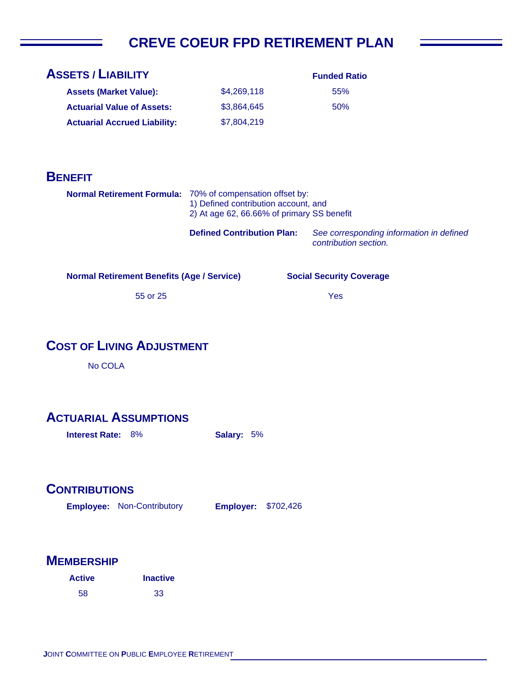# **CREVE COEUR FPD RETIREMENT PLAN**

| <b>ASSETS / LIABILITY</b>           |             | <b>Funded Ratio</b> |
|-------------------------------------|-------------|---------------------|
| <b>Assets (Market Value):</b>       | \$4,269,118 | 55%                 |
| <b>Actuarial Value of Assets:</b>   | \$3,864,645 | 50%                 |
| <b>Actuarial Accrued Liability:</b> | \$7,804,219 |                     |

## **BENEFIT**

| <b>Normal Retirement Formula:</b> 70% of compensation offset by:<br>1) Defined contribution account, and<br>2) At age 62, 66.66% of primary SS benefit |                                                        |
|--------------------------------------------------------------------------------------------------------------------------------------------------------|--------------------------------------------------------|
| <b>Defined Contribution Plan:</b>                                                                                                                      | See corresponding information<br>contribution section. |

**Normal Retirement Benefits (Age / Service)**

55 or 25

#### Yes

**Social Security Coverage**

**Defined Contribution Plan:** *See corresponding information in defined* 

**COST OF LIVING ADJUSTMENT**

No COLA

### **ACTUARIAL ASSUMPTIONS**

**Interest Rate:** 8% **Salary:** 5%

## **CONTRIBUTIONS**

**Employee: Employer:** Non-Contributory **Employer: \$702,426** 

| <b>Active</b> | <b>Inactive</b> |
|---------------|-----------------|
| 58            | 33              |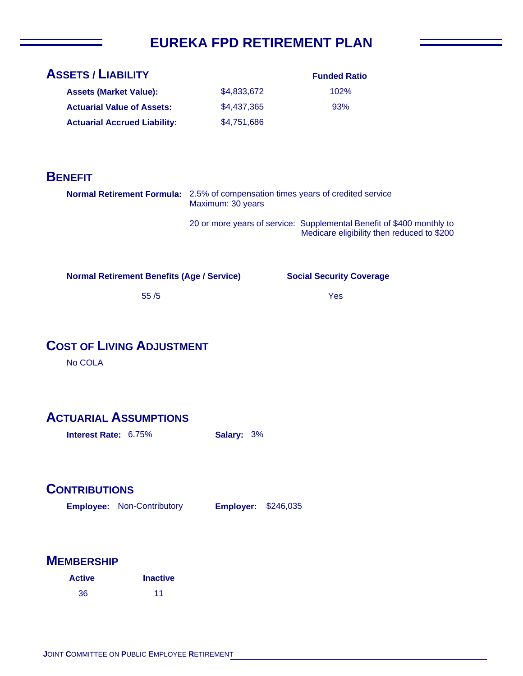# **EUREKA FPD RETIREMENT PLAN**

| <b>ASSETS / LIABILITY</b>           |             | <b>Funded Ratio</b> |
|-------------------------------------|-------------|---------------------|
| <b>Assets (Market Value):</b>       | \$4,833,672 | 102%                |
| <b>Actuarial Value of Assets:</b>   | \$4,437,365 | 93%                 |
| <b>Actuarial Accrued Liability:</b> | \$4,751,686 |                     |

## **BENEFIT**

| DENEFII                                              |                                                                                                             |                                                                                                                     |
|------------------------------------------------------|-------------------------------------------------------------------------------------------------------------|---------------------------------------------------------------------------------------------------------------------|
|                                                      | <b>Normal Retirement Formula:</b> 2.5% of compensation times years of credited service<br>Maximum: 30 years |                                                                                                                     |
|                                                      |                                                                                                             | 20 or more years of service: Supplemental Benefit of \$400 monthly to<br>Medicare eligibility then reduced to \$200 |
| <b>Normal Retirement Benefits (Age / Service)</b>    |                                                                                                             | <b>Social Security Coverage</b>                                                                                     |
| 55/5                                                 |                                                                                                             | Yes                                                                                                                 |
| <b>COST OF LIVING ADJUSTMENT</b><br>No COLA          |                                                                                                             |                                                                                                                     |
| <b>ACTUARIAL ASSUMPTIONS</b><br>Interest Rate: 6.75% | Salary: 3%                                                                                                  |                                                                                                                     |

# **CONTRIBUTIONS**

**Employee: Employer:** Non-Contributory **Employer: \$246,035** 

| <b>Active</b> | <b>Inactive</b> |
|---------------|-----------------|
| 36            | 11              |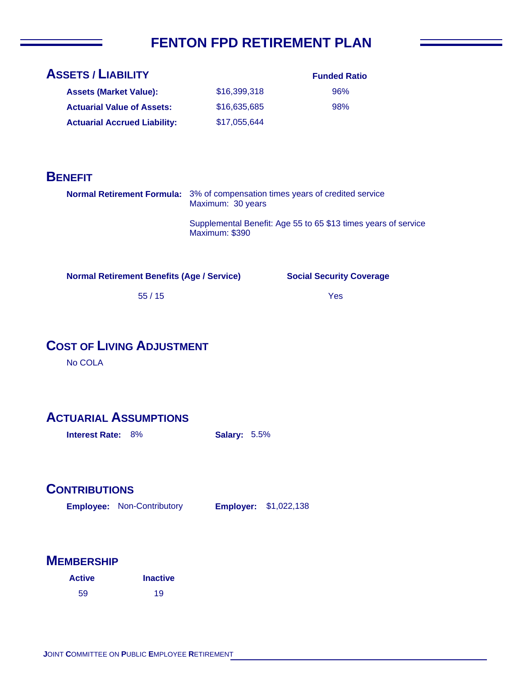# **FENTON FPD RETIREMENT PLAN**

| <b>ASSETS / LIABILITY</b>           |              | <b>Funded Ratio</b> |
|-------------------------------------|--------------|---------------------|
| <b>Assets (Market Value):</b>       | \$16,399,318 | 96%                 |
| <b>Actuarial Value of Assets:</b>   | \$16,635,685 | 98%                 |
| <b>Actuarial Accrued Liability:</b> | \$17.055.644 |                     |

## **BENEFIT**

| <b>Normal Retirement Formula:</b> 3% of compensation times years of credited service<br>Maximum: 30 years |
|-----------------------------------------------------------------------------------------------------------|
| Supplemental Benefit: Age 55 to 65 \$13 times years of service<br>Maximum: \$390                          |

**Normal Retirement Benefits (Age / Service)**

**Social Security Coverage**

Yes

55 / 15

# **COST OF LIVING ADJUSTMENT**

No COLA

### **ACTUARIAL ASSUMPTIONS**

**Interest Rate: 8% <br>
Salary: 5.5%** 

### **CONTRIBUTIONS**

**Employee: Employer:** Non-Contributory **Employer: \$1,022,138** 

| <b>Active</b> | <b>Inactive</b> |
|---------------|-----------------|
| 59            | 19              |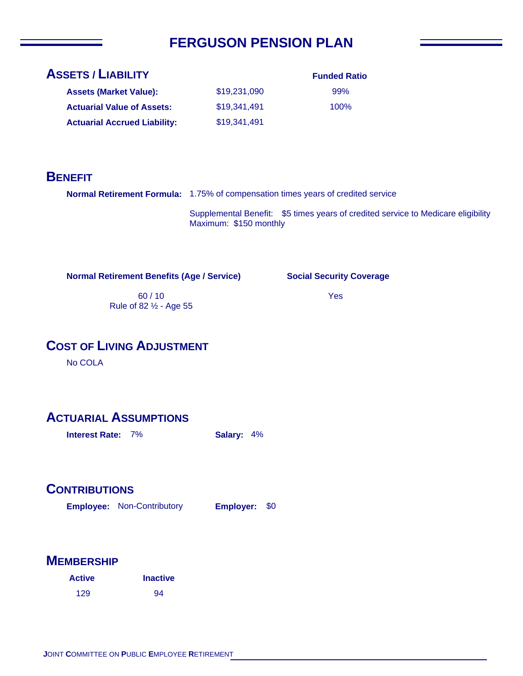# **FERGUSON PENSION PLAN**

# **ASSETS / LIABILITY**

| <b>Assets (Market Value):</b>       | \$19,231,090 |
|-------------------------------------|--------------|
| <b>Actuarial Value of Assets:</b>   | \$19,341,491 |
| <b>Actuarial Accrued Liability:</b> | \$19,341,491 |

## **Funded Ratio** 99% 100%

## **BENEFIT**

**Normal Retirement Formula:** 1.75% of compensation times years of credited service

Supplemental Benefit: \$5 times years of credited service to Medicare eligibility Maximum: \$150 monthly

**Normal Retirement Benefits (Age / Service)**

#### **Social Security Coverage**

Yes

60 / 10 Rule of 82 ½ - Age 55

# **COST OF LIVING ADJUSTMENT**

No COLA

### **ACTUARIAL ASSUMPTIONS**

**Interest Rate:** 7% **Salary:** 4%

#### **CONTRIBUTIONS**

**Employee: Employer:** Non-Contributory Employer: \$0

| <b>Active</b> | <b>Inactive</b> |
|---------------|-----------------|
| 129           | 94              |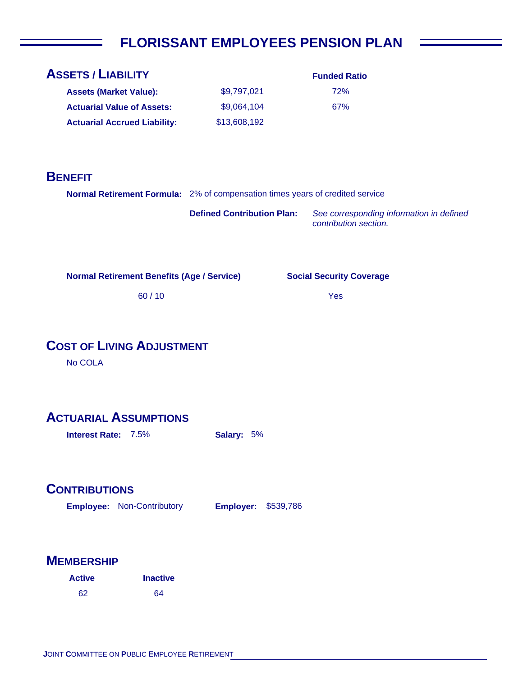# **FLORISSANT EMPLOYEES PENSION PLAN**

| <b>ASSETS / LIABILITY</b>                                                     |                                   | <b>Funded Ratio</b>                                               |
|-------------------------------------------------------------------------------|-----------------------------------|-------------------------------------------------------------------|
| <b>Assets (Market Value):</b>                                                 | \$9,797,021                       | 72%                                                               |
| <b>Actuarial Value of Assets:</b>                                             | \$9,064,104                       | 67%                                                               |
| <b>Actuarial Accrued Liability:</b>                                           | \$13,608,192                      |                                                                   |
|                                                                               |                                   |                                                                   |
|                                                                               |                                   |                                                                   |
| <b>BENEFIT</b>                                                                |                                   |                                                                   |
| Normal Retirement Formula: 2% of compensation times years of credited service |                                   |                                                                   |
|                                                                               | <b>Defined Contribution Plan:</b> | See corresponding information in defined<br>contribution section. |
|                                                                               |                                   |                                                                   |
| <b>Normal Retirement Benefits (Age / Service)</b>                             |                                   | <b>Social Security Coverage</b>                                   |
| 60/10                                                                         |                                   | Yes                                                               |
|                                                                               |                                   |                                                                   |
| <b>COST OF LIVING ADJUSTMENT</b><br>No COLA                                   |                                   |                                                                   |
|                                                                               |                                   |                                                                   |
| <b>ACTUARIAL ASSUMPTIONS</b>                                                  |                                   |                                                                   |
| Interest Rate: 7.5%                                                           | Salary: 5%                        |                                                                   |
|                                                                               |                                   |                                                                   |
|                                                                               |                                   |                                                                   |
| <b>CONTRIBUTIONS</b>                                                          |                                   |                                                                   |
| <b>Employee: Non-Contributory</b>                                             | Employer:<br>\$539,786            |                                                                   |
|                                                                               |                                   |                                                                   |
|                                                                               |                                   |                                                                   |
| <b>MEMBERSHIP</b>                                                             |                                   |                                                                   |
| <b>Active</b><br><b>Inactive</b>                                              |                                   |                                                                   |

64

62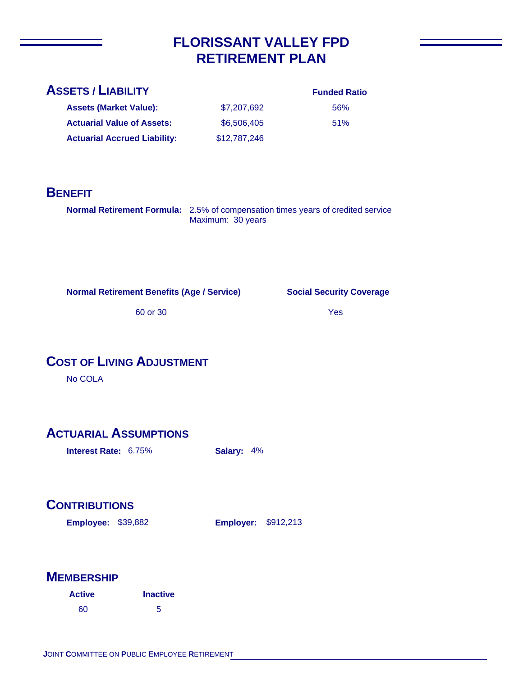# **FLORISSANT VALLEY FPD RETIREMENT PLAN**

#### **ASSETS / LIABILITY**

**Assets (Market Value): Actuarial Value of Assets:**

**Actuarial Accrued Liability:**

#### **Funded Ratio** 56%

51%

| \$7,207,692  |  |
|--------------|--|
| \$6,506,405  |  |
| \$12,787,246 |  |

#### **BENEFIT**

**Normal Retirement Formula:** 2.5% of compensation times years of credited service Maximum: 30 years

**Normal Retirement Benefits (Age / Service)**

**Social Security Coverage**

60 or 30

Yes

### **COST OF LIVING ADJUSTMENT**

No COLA

### **ACTUARIAL ASSUMPTIONS**

**Interest Rate:** 6.75% **Salary:** 4%

# **CONTRIBUTIONS**

**Employee: Employer:** \$39,882 **Employer: \$912,213** 

| <b>Active</b> | <b>Inactive</b> |
|---------------|-----------------|
| 60            | 5               |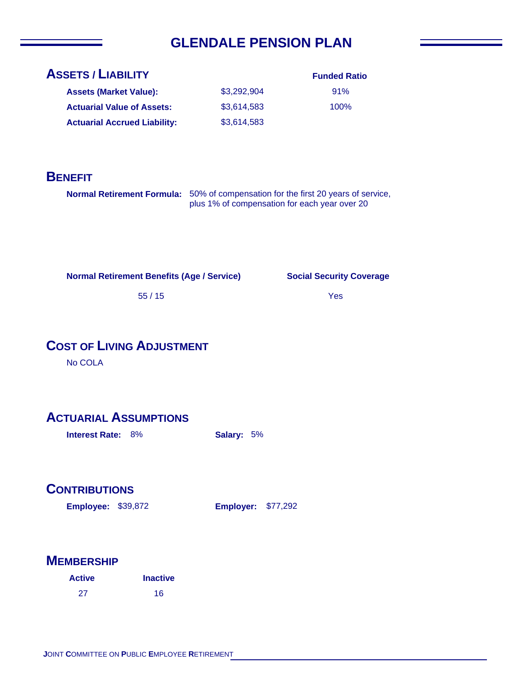# **GLENDALE PENSION PLAN**

| <b>ASSETS / LIABILITY</b>           |             | <b>Funded Ratio</b> |
|-------------------------------------|-------------|---------------------|
| <b>Assets (Market Value):</b>       | \$3.292.904 | 91%                 |
| <b>Actuarial Value of Assets:</b>   | \$3,614,583 | 100%                |
| <b>Actuarial Accrued Liability:</b> | \$3,614,583 |                     |

#### **BENEFIT**

**Normal Retirement Formula:** 50% of compensation for the first 20 years of service, plus 1% of compensation for each year over 20

**Normal Retirement Benefits (Age / Service)**

**Social Security Coverage**

Yes

55 / 15

## **COST OF LIVING ADJUSTMENT**

No COLA

### **ACTUARIAL ASSUMPTIONS**

**Interest Rate:** 8% **Salary:** 5%

#### **CONTRIBUTIONS**

**Employee: Employer:** \$39,872

**Employer: \$77,292** 

| <b>Active</b> | <b>Inactive</b> |
|---------------|-----------------|
| 27            | 16              |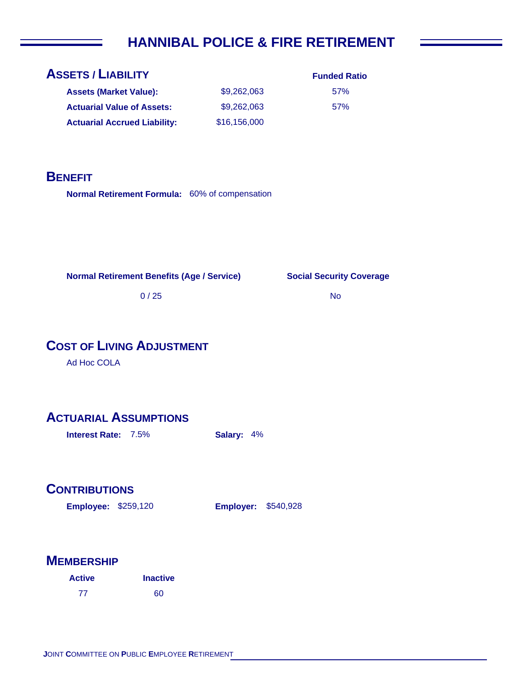# **HANNIBAL POLICE & FIRE RETIREMENT**

| <b>ASSETS / LIABILITY</b>         |  |
|-----------------------------------|--|
| <b>Assets (Market Value):</b>     |  |
| <b>Actuarial Value of Assets:</b> |  |

| <b>Assets (Market Value):</b>       | \$9,262,063  |
|-------------------------------------|--------------|
| <b>Actuarial Value of Assets:</b>   | \$9,262,063  |
| <b>Actuarial Accrued Liability:</b> | \$16,156,000 |

**Funded Ratio** 57% 57%

**BENEFIT**

Normal Retirement Formula: 60% of compensation

**Normal Retirement Benefits (Age / Service)**

**Social Security Coverage**

No

0 / 25

# **COST OF LIVING ADJUSTMENT**

Ad Hoc COLA

### **ACTUARIAL ASSUMPTIONS**

**Interest Rate:** 7.5% **Salary:** 4%

### **CONTRIBUTIONS**

**Employee: Employer:** \$259,120

**Employer: \$540,928** 

| <b>Active</b> | <b>Inactive</b> |
|---------------|-----------------|
| 77            | 60              |

|  |  | <b>JOINT COMMITTEE ON PUBLIC EMPLOYEE RETIREMENT</b> |
|--|--|------------------------------------------------------|
|  |  |                                                      |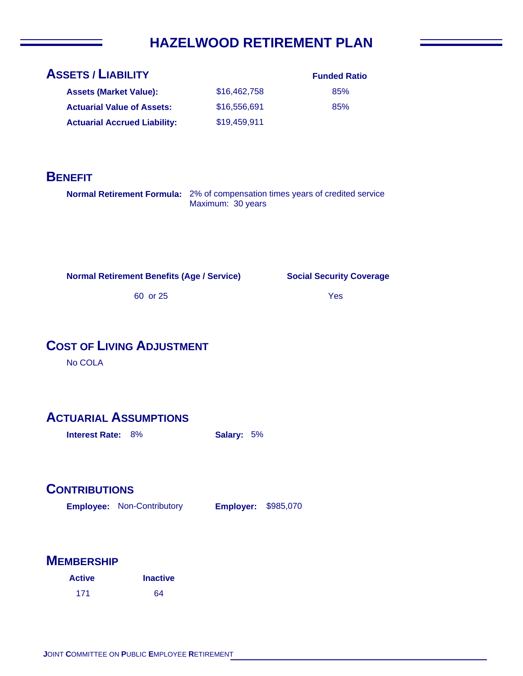# **HAZELWOOD RETIREMENT PLAN**

| <b>ASSETS / LIABILITY</b>           |              | <b>Funded Ratio</b> |
|-------------------------------------|--------------|---------------------|
| <b>Assets (Market Value):</b>       | \$16,462,758 | 85%                 |
| <b>Actuarial Value of Assets:</b>   | \$16,556,691 | 85%                 |
| <b>Actuarial Accrued Liability:</b> | \$19,459,911 |                     |

## **BENEFIT**

**Normal Retirement Formula:** 2% of compensation times years of credited service Maximum: 30 years

**Normal Retirement Benefits (Age / Service)**

**Social Security Coverage**

Yes

60 or 25

# **COST OF LIVING ADJUSTMENT**

No COLA

## **ACTUARIAL ASSUMPTIONS**

**Interest Rate:** 8% **Salary:** 5%

### **CONTRIBUTIONS**

**Employee: Employer:** Non-Contributory **Employer: \$985,070** 

| <b>Active</b> | <b>Inactive</b> |  |
|---------------|-----------------|--|
| 171           | 64              |  |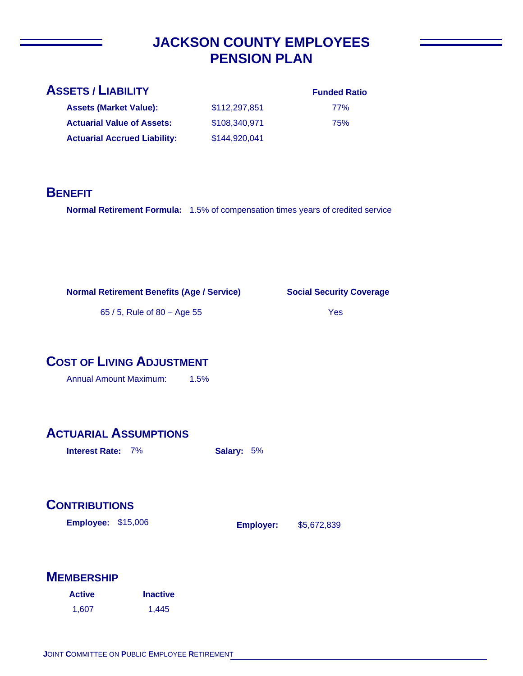# **JACKSON COUNTY EMPLOYEES PENSION PLAN**

**Assets (Market Value): Actuarial Value of Assets:**

**Actuarial Accrued Liability:**

| <b>Funded Ratio</b> |  |
|---------------------|--|
|                     |  |

77% 75%

## **BENEFIT**

**Normal Retirement Formula:** 1.5% of compensation times years of credited service

\$112,297,851 \$108,340,971

\$144,920,041

**Social Security Coverage**

65 / 5, Rule of 80 – Age 55

#### Yes

\$5,672,839

# **COST OF LIVING ADJUSTMENT**

Annual Amount Maximum: 1.5%

# **ACTUARIAL ASSUMPTIONS**

**Interest Rate:** 7% **Salary:** 5%

# **CONTRIBUTIONS**

**Employee: Employer:** \$15,006

| <b>Active</b> | <b>Inactive</b> |
|---------------|-----------------|
| 1.607         | 1,445           |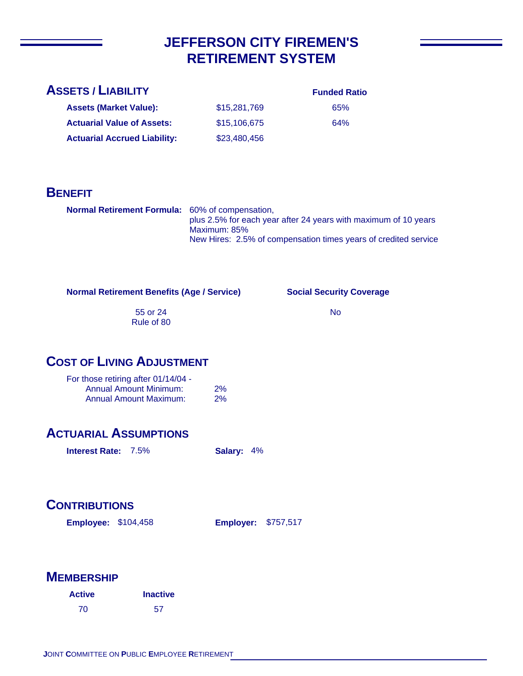# **JEFFERSON CITY FIREMEN'S RETIREMENT SYSTEM**

#### **Funded Ratio**

65% 64%

| <b>Assets (Market Value):</b>       | \$15,281,769 |
|-------------------------------------|--------------|
| <b>Actuarial Value of Assets:</b>   | \$15,106,675 |
| <b>Actuarial Accrued Liability:</b> | \$23,480,456 |

### **BENEFIT**

| <b>Normal Retirement Formula:</b> 60% of compensation, | plus 2.5% for each year after 24 years with maximum of 10 years                 |  |
|--------------------------------------------------------|---------------------------------------------------------------------------------|--|
|                                                        | Maximum: 85%<br>New Hires: 2.5% of compensation times years of credited service |  |

#### **Normal Retirement Benefits (Age / Service)**

**Social Security Coverage**

55 or 24 Rule of 80

#### No

## **COST OF LIVING ADJUSTMENT**

| For those retiring after 01/14/04 - |    |
|-------------------------------------|----|
| <b>Annual Amount Minimum:</b>       | 2% |
| <b>Annual Amount Maximum:</b>       | 2% |

### **ACTUARIAL ASSUMPTIONS**

**Interest Rate:** 7.5% **Salary:** 4%

# **CONTRIBUTIONS**

**Employee: Employer:** \$104,458 **Employer: \$757,517** 

| <b>Active</b> | <b>Inactive</b> |
|---------------|-----------------|
| 70            | -57             |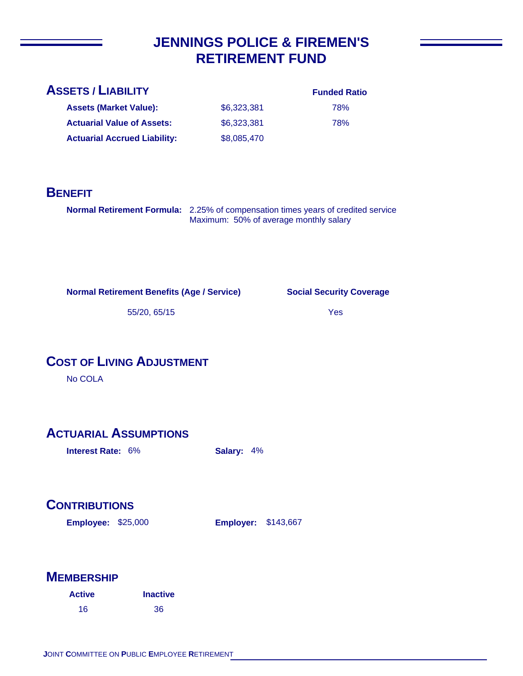# **JENNINGS POLICE & FIREMEN'S RETIREMENT FUND**

78%

**Assets (Market Value): Actuarial Value of Assets:** \$6,323,381 \$6,323,381 \$8,085,470 **Actuarial Accrued Liability:**

78%

# **BENEFIT**

**Normal Retirement Formula:** 2.25% of compensation times years of credited service Maximum: 50% of average monthly salary

**Normal Retirement Benefits (Age / Service)**

**Social Security Coverage**

55/20, 65/15

Yes

# **COST OF LIVING ADJUSTMENT**

No COLA

# **ACTUARIAL ASSUMPTIONS**

**Interest Rate:** 6% **Salary:** 4%

# **CONTRIBUTIONS**

**Employee: Employer:** \$25,000

**Employer: \$143,667** 

| <b>Active</b> | <b>Inactive</b> |
|---------------|-----------------|
| 16            | 36              |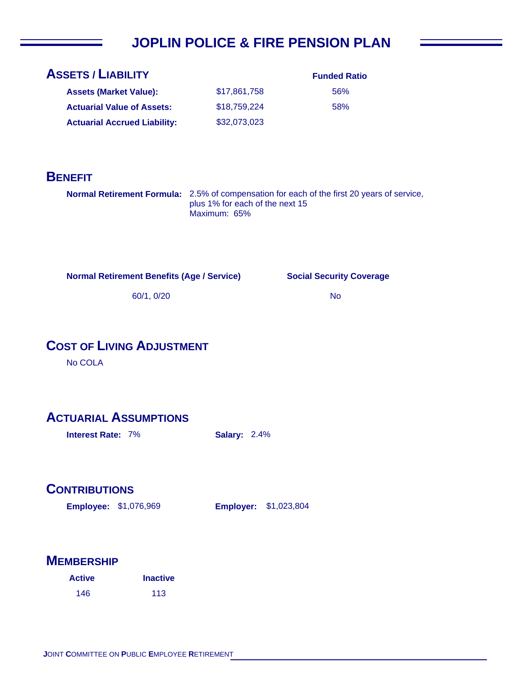# **JOPLIN POLICE & FIRE PENSION PLAN**

| <b>ASSETS / LIABILITY</b>           |              | <b>Funded Ratio</b> |
|-------------------------------------|--------------|---------------------|
| <b>Assets (Market Value):</b>       | \$17.861.758 | 56%                 |
| <b>Actuarial Value of Assets:</b>   | \$18,759,224 | 58%                 |
| <b>Actuarial Accrued Liability:</b> | \$32,073,023 |                     |

### **BENEFIT**

**Normal Retirement Formula:** 2.5% of compensation for each of the first 20 years of service, plus 1% for each of the next 15 Maximum: 65%

**Normal Retirement Benefits (Age / Service)**

#### **Social Security Coverage**

No

60/1, 0/20

## **COST OF LIVING ADJUSTMENT**

No COLA

### **ACTUARIAL ASSUMPTIONS**

**Interest Rate:** 7% **Salary:** 2.4%

#### **CONTRIBUTIONS**

**Employee: Employer:** \$1,076,969

**Employer: \$1,023,804** 

| <b>Active</b> | <b>Inactive</b> |
|---------------|-----------------|
| 146           | 113             |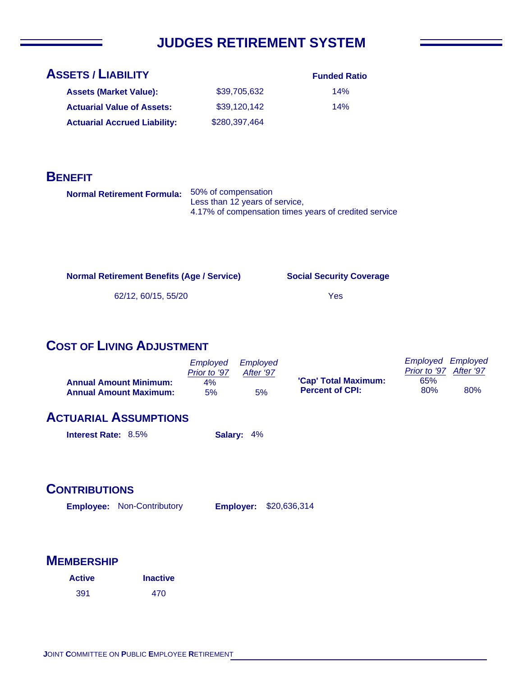# **JUDGES RETIREMENT SYSTEM**

| <b>ASSETS / LIABILITY</b>           |               | <b>Funded Ratio</b> |
|-------------------------------------|---------------|---------------------|
| <b>Assets (Market Value):</b>       | \$39,705,632  | 14%                 |
| <b>Actuarial Value of Assets:</b>   | \$39,120,142  | 14%                 |
| <b>Actuarial Accrued Liability:</b> | \$280,397,464 |                     |

### **BENEFIT**

| Normal Retirement Formula: 50% of compensation |                                                       |  |
|------------------------------------------------|-------------------------------------------------------|--|
|                                                | Less than 12 years of service,                        |  |
|                                                | 4.17% of compensation times years of credited service |  |

**Normal Retirement Benefits (Age / Service)**

**Social Security Coverage**

62/12, 60/15, 55/20

Yes

# **COST OF LIVING ADJUSTMENT**

|                               | Employed     | Emploved  |                        | <b>Employed Employed</b> |           |
|-------------------------------|--------------|-----------|------------------------|--------------------------|-----------|
|                               | Prior to '97 | After '97 |                        | Prior to '97             | After '97 |
| <b>Annual Amount Minimum:</b> | 4%           |           | 'Cap' Total Maximum:   | 65%                      |           |
| <b>Annual Amount Maximum:</b> | 5%           | 5%        | <b>Percent of CPI:</b> | 80%                      | 80%       |

## **ACTUARIAL ASSUMPTIONS**

| <b>Interest Rate: 8.5%</b> |  | Salary: 4% |
|----------------------------|--|------------|
|----------------------------|--|------------|

## **CONTRIBUTIONS**

Employee: Non-Contributory **Employer:** \$20,636,314

| <b>Active</b> | <b>Inactive</b> |
|---------------|-----------------|
| 391           | 470             |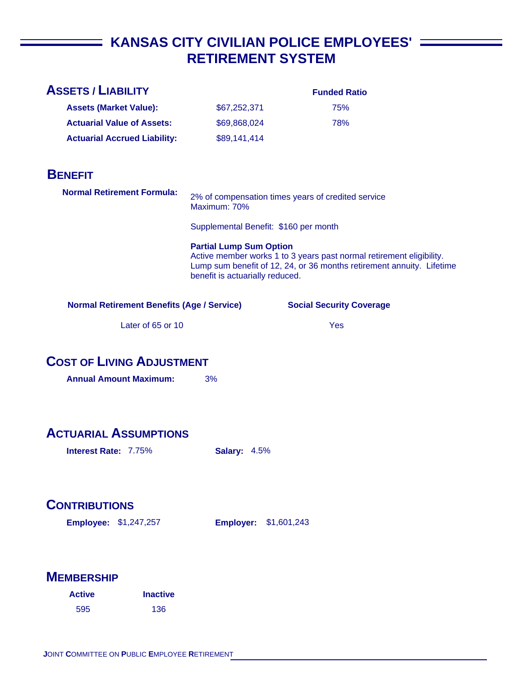# **KANSAS CITY CIVILIAN POLICE EMPLOYEES'**  $\equiv$ **RETIREMENT SYSTEM**

| <b>ASSETS / LIABILITY</b>                                         |                                                                   | <b>Funded Ratio</b>                                                                                                                           |
|-------------------------------------------------------------------|-------------------------------------------------------------------|-----------------------------------------------------------------------------------------------------------------------------------------------|
| <b>Assets (Market Value):</b>                                     | \$67,252,371                                                      | 75%                                                                                                                                           |
| <b>Actuarial Value of Assets:</b>                                 | \$69,868,024                                                      | 78%                                                                                                                                           |
| <b>Actuarial Accrued Liability:</b>                               | \$89,141,414                                                      |                                                                                                                                               |
|                                                                   |                                                                   |                                                                                                                                               |
| <b>BENEFIT</b>                                                    |                                                                   |                                                                                                                                               |
| <b>Normal Retirement Formula:</b>                                 | Maximum: 70%                                                      | 2% of compensation times years of credited service                                                                                            |
|                                                                   | Supplemental Benefit: \$160 per month                             |                                                                                                                                               |
|                                                                   | <b>Partial Lump Sum Option</b><br>benefit is actuarially reduced. | Active member works 1 to 3 years past normal retirement eligibility.<br>Lump sum benefit of 12, 24, or 36 months retirement annuity. Lifetime |
| <b>Normal Retirement Benefits (Age / Service)</b>                 |                                                                   | <b>Social Security Coverage</b>                                                                                                               |
| Later of 65 or 10                                                 |                                                                   | Yes                                                                                                                                           |
| <b>COST OF LIVING ADJUSTMENT</b><br><b>Annual Amount Maximum:</b> | 3%                                                                |                                                                                                                                               |
| <b>ACTUARIAL ASSUMPTIONS</b>                                      |                                                                   |                                                                                                                                               |
| <b>Interest Rate: 7.75%</b>                                       | <b>Salary: 4.5%</b>                                               |                                                                                                                                               |
| <b>CONTRIBUTIONS</b><br><b>Employee: \$1,247,257</b>              | <b>Employer:</b>                                                  | \$1,601,243                                                                                                                                   |
| <b>MEMBERSHIP</b>                                                 |                                                                   |                                                                                                                                               |

| <b>Active</b> | <b>Inactive</b> |
|---------------|-----------------|
| 595           | 136             |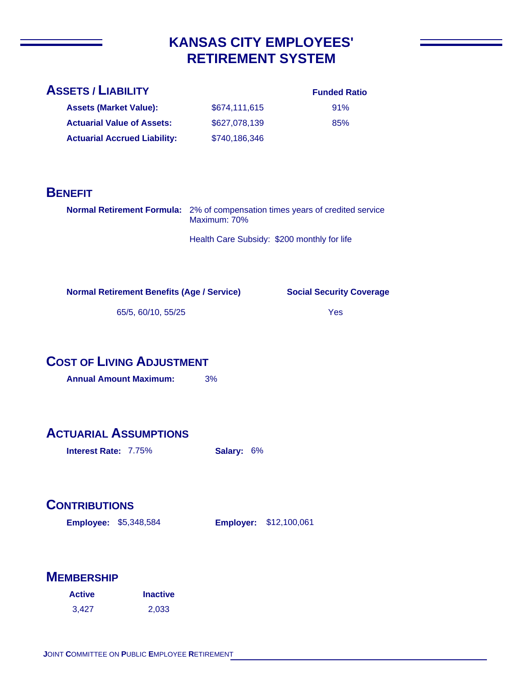# **KANSAS CITY EMPLOYEES' RETIREMENT SYSTEM**

#### **ASSETS / LIABILITY**

#### **Funded Ratio**

| <b>Assets (Market Value):</b>       | \$674.111.615 | 91% |
|-------------------------------------|---------------|-----|
| <b>Actuarial Value of Assets:</b>   | \$627,078,139 | 85% |
| <b>Actuarial Accrued Liability:</b> | \$740,186,346 |     |

### **BENEFIT**

| <b>Normal Retirement Formula:</b> 2% of compensation times years of credited service<br>Maximum: 70% |
|------------------------------------------------------------------------------------------------------|
|                                                                                                      |

Health Care Subsidy: \$200 monthly for life

**Normal Retirement Benefits (Age / Service)**

**Social Security Coverage**

65/5, 60/10, 55/25

Yes

# **COST OF LIVING ADJUSTMENT**

**Annual Amount Maximum:** 3%

# **ACTUARIAL ASSUMPTIONS**

**Interest Rate:** 7.75% **Salary:** 6%

# **CONTRIBUTIONS**

**Employee: Employer:** \$5,348,584 **Employer: \$12,100,061** 

| <b>Active</b> | <b>Inactive</b> |  |
|---------------|-----------------|--|
| 3.427         | 2,033           |  |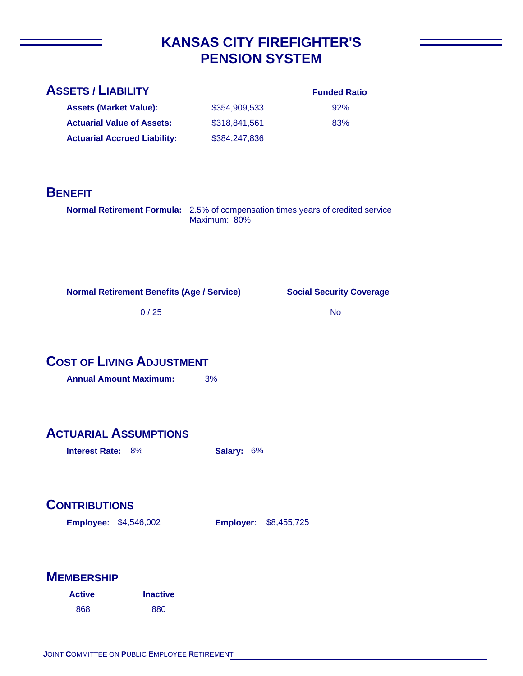# **KANSAS CITY FIREFIGHTER'S PENSION SYSTEM**

| <b>ASSETS / LIABILITY</b> |  |
|---------------------------|--|
|                           |  |

| <b>Funded Ratio</b> |  |
|---------------------|--|

| 92% |
|-----|
| 83% |

**Assets (Market Value): Actuarial Value of Assets:** \$354,909,533 \$318,841,561 \$384,247,836 **Actuarial Accrued Liability:**

# **BENEFIT**

**Normal Retirement Formula:** 2.5% of compensation times years of credited service Maximum: 80%

**Normal Retirement Benefits (Age / Service)**

**Social Security Coverage**

0 / 25

No

## **COST OF LIVING ADJUSTMENT**

**Annual Amount Maximum:** 3%

# **ACTUARIAL ASSUMPTIONS**

**Interest Rate:** 8% **Salary:** 6%

# **CONTRIBUTIONS**

**Employee: Employer:** \$4,546,002 **Employer: \$8,455,725** 

| <b>Active</b> | <b>Inactive</b> |
|---------------|-----------------|
| 868           | 880             |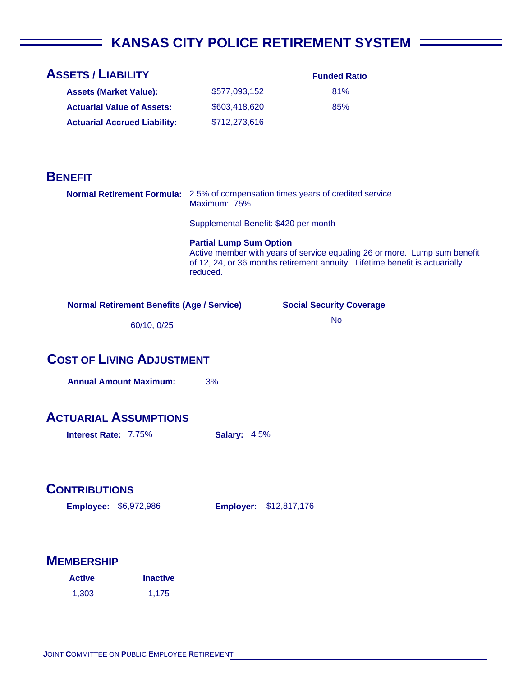# **KANSAS CITY POLICE RETIREMENT SYSTEM**

| <b>ASSETS / LIABILITY</b>                                                       |                                            | <b>Funded Ratio</b>                                                                                                                                      |  |
|---------------------------------------------------------------------------------|--------------------------------------------|----------------------------------------------------------------------------------------------------------------------------------------------------------|--|
| <b>Assets (Market Value):</b>                                                   | \$577,093,152                              | 81%                                                                                                                                                      |  |
| <b>Actuarial Value of Assets:</b>                                               | \$603,418,620                              | 85%                                                                                                                                                      |  |
| <b>Actuarial Accrued Liability:</b>                                             | \$712,273,616                              |                                                                                                                                                          |  |
|                                                                                 |                                            |                                                                                                                                                          |  |
|                                                                                 |                                            |                                                                                                                                                          |  |
| <b>BENEFIT</b>                                                                  |                                            |                                                                                                                                                          |  |
| Normal Retirement Formula: 2.5% of compensation times years of credited service | Maximum: 75%                               |                                                                                                                                                          |  |
|                                                                                 | Supplemental Benefit: \$420 per month      |                                                                                                                                                          |  |
|                                                                                 | <b>Partial Lump Sum Option</b><br>reduced. | Active member with years of service equaling 26 or more. Lump sum benefit<br>of 12, 24, or 36 months retirement annuity. Lifetime benefit is actuarially |  |
| <b>Normal Retirement Benefits (Age / Service)</b>                               |                                            | <b>Social Security Coverage</b>                                                                                                                          |  |
| 60/10, 0/25                                                                     |                                            | <b>No</b>                                                                                                                                                |  |
|                                                                                 |                                            |                                                                                                                                                          |  |
| <b>COST OF LIVING ADJUSTMENT</b>                                                |                                            |                                                                                                                                                          |  |
| <b>Annual Amount Maximum:</b>                                                   | 3%                                         |                                                                                                                                                          |  |
|                                                                                 |                                            |                                                                                                                                                          |  |
| <b>ACTUARIAL ASSUMPTIONS</b>                                                    |                                            |                                                                                                                                                          |  |
| <b>Interest Rate: 7.75%</b>                                                     | <b>Salary: 4.5%</b>                        |                                                                                                                                                          |  |
|                                                                                 |                                            |                                                                                                                                                          |  |
|                                                                                 |                                            |                                                                                                                                                          |  |
| <b>CONTRIBUTIONS</b>                                                            |                                            |                                                                                                                                                          |  |
| <b>Employee: \$6,972,986</b>                                                    | <b>Employer:</b>                           | \$12,817,176                                                                                                                                             |  |
|                                                                                 |                                            |                                                                                                                                                          |  |
|                                                                                 |                                            |                                                                                                                                                          |  |
| <b>MEMBERSHIP</b>                                                               |                                            |                                                                                                                                                          |  |
| <b>Inactive</b><br><b>Active</b>                                                |                                            |                                                                                                                                                          |  |
| 1,303<br>1,175                                                                  |                                            |                                                                                                                                                          |  |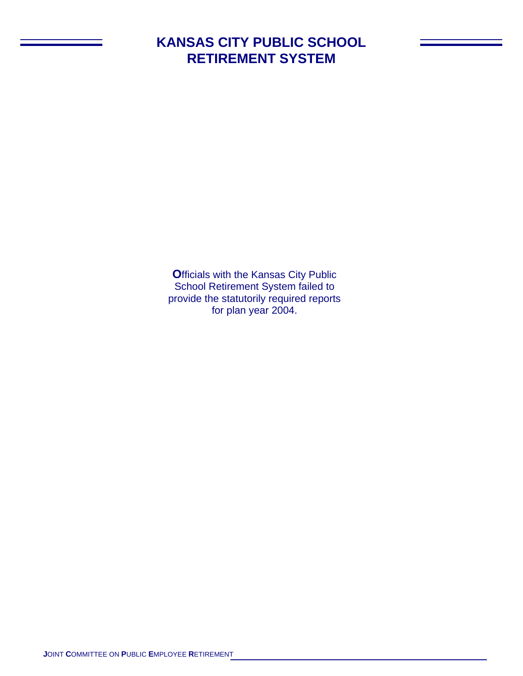# **KANSAS CITY PUBLIC SCHOOL RETIREMENT SYSTEM**

**O**fficials with the Kansas City Public School Retirement System failed to provide the statutorily required reports for plan year 2004.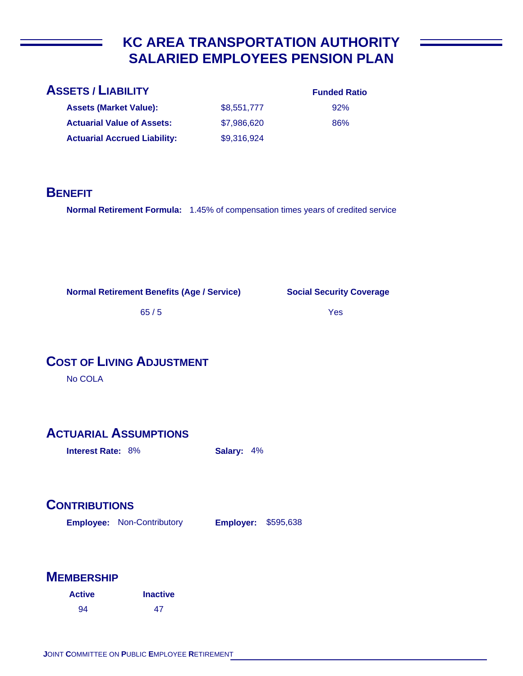# **KC AREA TRANSPORTATION AUTHORITY SALARIED EMPLOYEES PENSION PLAN**

| <b>ASSETS / LIABILITY</b>           |             | <b>Funded Ratio</b> |
|-------------------------------------|-------------|---------------------|
| <b>Assets (Market Value):</b>       | \$8,551,777 | 92%                 |
| <b>Actuarial Value of Assets:</b>   | \$7,986,620 | 86%                 |
| <b>Actuarial Accrued Liability:</b> | \$9,316,924 |                     |
|                                     |             |                     |

### **BENEFIT**

**Normal Retirement Formula:** 1.45% of compensation times years of credited service

**Normal Retirement Benefits (Age / Service)**

**Social Security Coverage**

65 / 5

Yes

# **COST OF LIVING ADJUSTMENT**

No COLA

# **ACTUARIAL ASSUMPTIONS**

**Interest Rate:** 8% **Salary:** 4%

# **CONTRIBUTIONS**

**Employee: Employer:** Non-Contributory **Employer: \$595,638** 

| <b>Active</b> | <b>Inactive</b> |
|---------------|-----------------|
| 94            | 47              |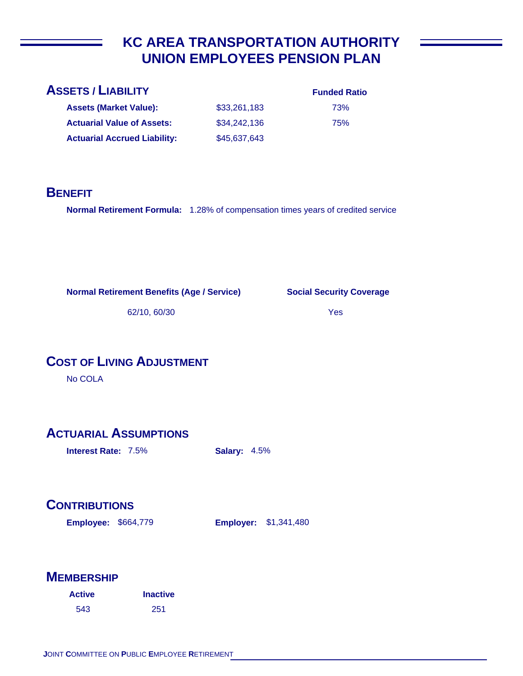# **KC AREA TRANSPORTATION AUTHORITY UNION EMPLOYEES PENSION PLAN**

| <b>ASSETS / LIABILITY</b>           |              | <b>Funded Ratio</b> |
|-------------------------------------|--------------|---------------------|
| <b>Assets (Market Value):</b>       | \$33,261,183 | 73%                 |
| <b>Actuarial Value of Assets:</b>   | \$34,242,136 | 75%                 |
| <b>Actuarial Accrued Liability:</b> | \$45,637,643 |                     |
|                                     |              |                     |

#### **BENEFIT**

**Normal Retirement Formula:** 1.28% of compensation times years of credited service

**Normal Retirement Benefits (Age / Service)**

**Social Security Coverage**

62/10, 60/30

#### Yes

**COST OF LIVING ADJUSTMENT**

No COLA

# **ACTUARIAL ASSUMPTIONS**

**Interest Rate:** 7.5% **Salary:** 4.5%

# **CONTRIBUTIONS**

**Employee: Employer:** \$664,779

**Employer: \$1,341,480** 

| <b>Active</b> | <b>Inactive</b> |
|---------------|-----------------|
| 543           | 251             |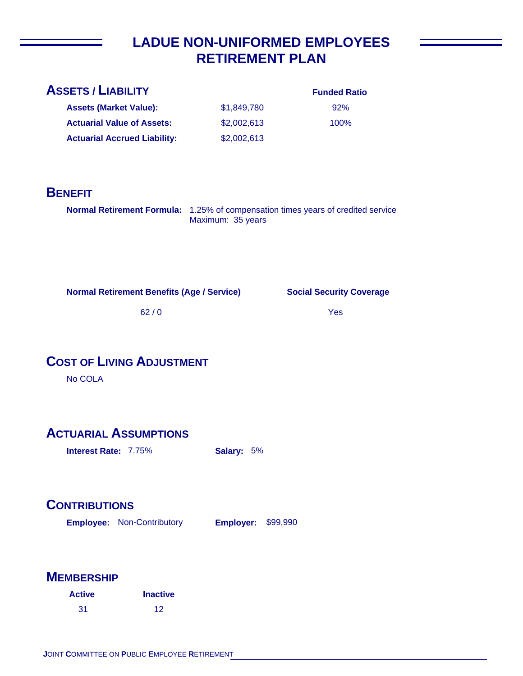# **LADUE NON-UNIFORMED EMPLOYEES RETIREMENT PLAN**

| <b>Funded Ratio</b> |
|---------------------|
| 92%                 |
| $100\%$             |
|                     |
|                     |

### **BENEFIT**

**Normal Retirement Formula:** 1.25% of compensation times years of credited service Maximum: 35 years

**Normal Retirement Benefits (Age / Service)**

**Social Security Coverage**

62 / 0

Yes

# **COST OF LIVING ADJUSTMENT**

No COLA

### **ACTUARIAL ASSUMPTIONS**

**Interest Rate:** 7.75% **Salary:** 5%

# **CONTRIBUTIONS**

**Employee: Employer:** Non-Contributory **Employer: \$99,990** 

| <b>Active</b> | <b>Inactive</b> |
|---------------|-----------------|
| 31            | 12              |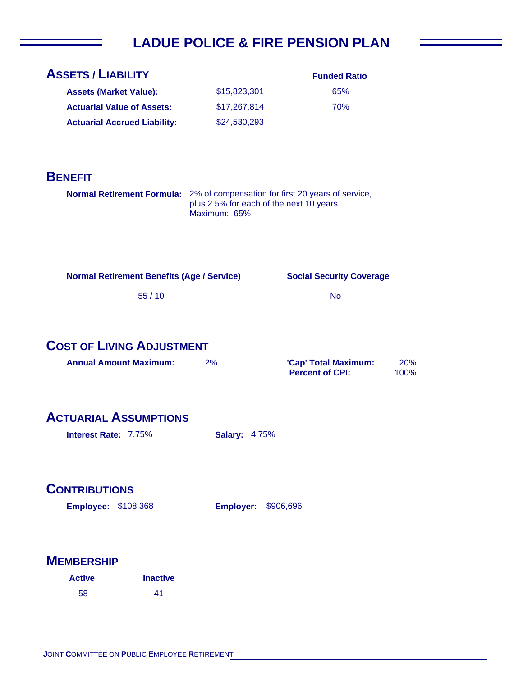# **LADUE POLICE & FIRE PENSION PLAN**

| <b>ASSETS / LIABILITY</b>                                                    |                                                         | <b>Funded Ratio</b>             |      |
|------------------------------------------------------------------------------|---------------------------------------------------------|---------------------------------|------|
| <b>Assets (Market Value):</b>                                                | \$15,823,301                                            | 65%                             |      |
| <b>Actuarial Value of Assets:</b>                                            | \$17,267,814                                            | 70%                             |      |
| <b>Actuarial Accrued Liability:</b>                                          | \$24,530,293                                            |                                 |      |
|                                                                              |                                                         |                                 |      |
|                                                                              |                                                         |                                 |      |
| <b>BENEFIT</b>                                                               |                                                         |                                 |      |
| Normal Retirement Formula: 2% of compensation for first 20 years of service, |                                                         |                                 |      |
|                                                                              | plus 2.5% for each of the next 10 years<br>Maximum: 65% |                                 |      |
|                                                                              |                                                         |                                 |      |
|                                                                              |                                                         |                                 |      |
|                                                                              |                                                         |                                 |      |
| <b>Normal Retirement Benefits (Age / Service)</b>                            |                                                         | <b>Social Security Coverage</b> |      |
| 55/10                                                                        |                                                         | <b>No</b>                       |      |
|                                                                              |                                                         |                                 |      |
|                                                                              |                                                         |                                 |      |
| <b>COST OF LIVING ADJUSTMENT</b>                                             |                                                         |                                 |      |
| <b>Annual Amount Maximum:</b>                                                |                                                         |                                 |      |
|                                                                              | 2%                                                      | 'Cap' Total Maximum:            | 20%  |
|                                                                              |                                                         | <b>Percent of CPI:</b>          | 100% |
|                                                                              |                                                         |                                 |      |
|                                                                              |                                                         |                                 |      |
| <b>ACTUARIAL ASSUMPTIONS</b>                                                 |                                                         |                                 |      |
| <b>Interest Rate: 7.75%</b>                                                  | <b>Salary: 4.75%</b>                                    |                                 |      |
|                                                                              |                                                         |                                 |      |
|                                                                              |                                                         |                                 |      |
| <b>CONTRIBUTIONS</b>                                                         |                                                         |                                 |      |
| <b>Employee: \$108,368</b>                                                   | <b>Employer:</b>                                        | \$906,696                       |      |
|                                                                              |                                                         |                                 |      |
|                                                                              |                                                         |                                 |      |
| <b>MEMBERSHIP</b>                                                            |                                                         |                                 |      |
| <b>Inactive</b><br><b>Active</b>                                             |                                                         |                                 |      |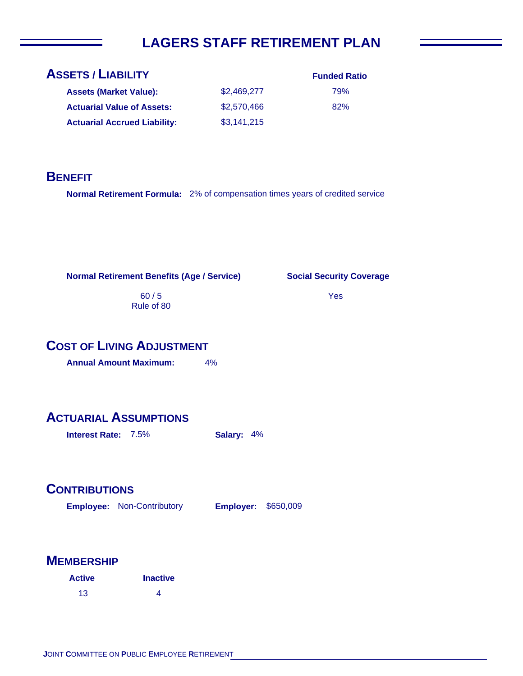# **LAGERS STAFF RETIREMENT PLAN**

| <b>ASSETS / LIABILITY</b>           |             | <b>Funded Ratio</b> |
|-------------------------------------|-------------|---------------------|
| <b>Assets (Market Value):</b>       | \$2,469,277 | 79%                 |
| <b>Actuarial Value of Assets:</b>   | \$2,570,466 | 82%                 |
| <b>Actuarial Accrued Liability:</b> | \$3,141,215 |                     |

#### **BENEFIT**

**Normal Retirement Formula:** 2% of compensation times years of credited service

**Normal Retirement Benefits (Age / Service)**

60 / 5 Rule of 80

#### **Social Security Coverage**

Yes

### **COST OF LIVING ADJUSTMENT**

**Annual Amount Maximum:** 4%

## **ACTUARIAL ASSUMPTIONS**

**Interest Rate:** 7.5% **Salary:** 4%

#### **CONTRIBUTIONS**

**Employee: Employer:** Non-Contributory **Employer: \$650,009** 

| <b>Active</b> | <b>Inactive</b> |
|---------------|-----------------|
| 13            | 4               |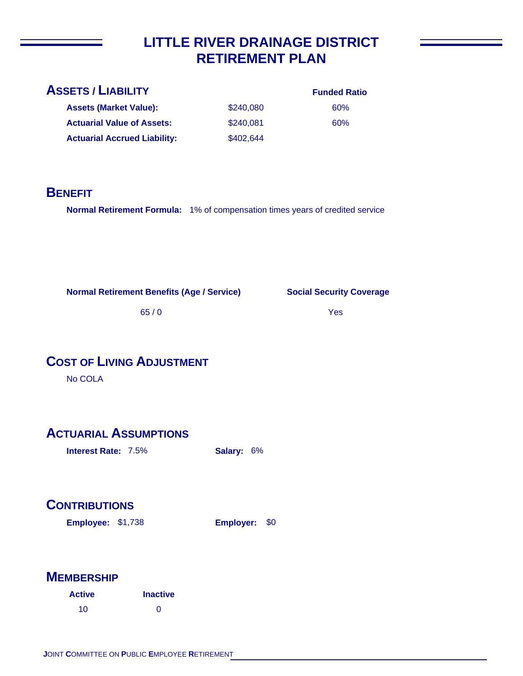## **LITTLE RIVER DRAINAGE DISTRICT RETIREMENT PLAN**

| <b>ASSETS / LIABILITY</b>           |           | <b>Funded Ratio</b> |
|-------------------------------------|-----------|---------------------|
| <b>Assets (Market Value):</b>       | \$240,080 | 60%                 |
| <b>Actuarial Value of Assets:</b>   | \$240,081 | 60%                 |
| <b>Actuarial Accrued Liability:</b> | \$402,644 |                     |
|                                     |           |                     |

#### **BENEFIT**

**Normal Retirement Formula:** 1% of compensation times years of credited service

**Normal Retirement Benefits (Age / Service)**

**Social Security Coverage**

65 / 0

Yes

## **COST OF LIVING ADJUSTMENT**

No COLA

## **ACTUARIAL ASSUMPTIONS**

**Interest Rate:** 7.5% **Salary:** 6%

## **CONTRIBUTIONS**

**Employee: Employer:** \$1,738 Employer: \$0

| <b>Active</b> | <b>Inactive</b> |
|---------------|-----------------|
| 10            | ∩               |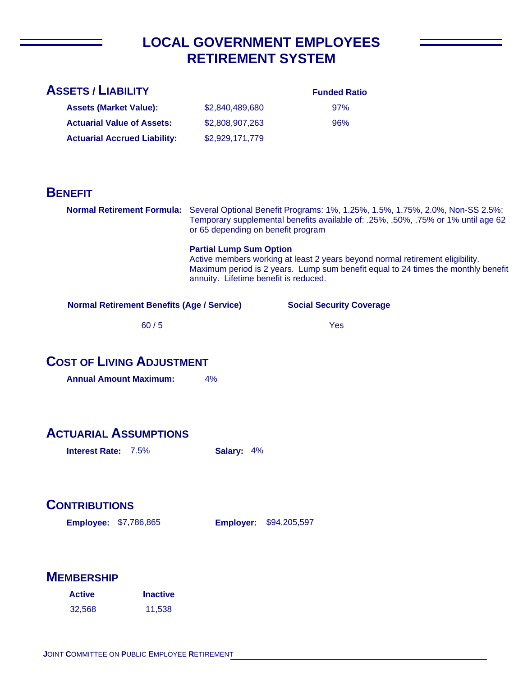## **LOCAL GOVERNMENT EMPLOYEES RETIREMENT SYSTEM**

| <b>ASSETS / LIABILITY</b>                                                |                                                                                                                                                                                                                                               | <b>Funded Ratio</b>             |  |
|--------------------------------------------------------------------------|-----------------------------------------------------------------------------------------------------------------------------------------------------------------------------------------------------------------------------------------------|---------------------------------|--|
| <b>Assets (Market Value):</b>                                            | \$2,840,489,680                                                                                                                                                                                                                               | 97%                             |  |
| <b>Actuarial Value of Assets:</b>                                        | \$2,808,907,263                                                                                                                                                                                                                               | 96%                             |  |
| <b>Actuarial Accrued Liability:</b>                                      | \$2,929,171,779                                                                                                                                                                                                                               |                                 |  |
|                                                                          |                                                                                                                                                                                                                                               |                                 |  |
| <b>BENEFIT</b>                                                           |                                                                                                                                                                                                                                               |                                 |  |
|                                                                          | Normal Retirement Formula: Several Optional Benefit Programs: 1%, 1.25%, 1.5%, 1.75%, 2.0%, Non-SS 2.5%;<br>Temporary supplemental benefits available of: .25%, .50%, .75% or 1% until age 62<br>or 65 depending on benefit program           |                                 |  |
|                                                                          | <b>Partial Lump Sum Option</b><br>Active members working at least 2 years beyond normal retirement eligibility.<br>Maximum period is 2 years. Lump sum benefit equal to 24 times the monthly benefit<br>annuity. Lifetime benefit is reduced. |                                 |  |
| <b>Normal Retirement Benefits (Age / Service)</b>                        |                                                                                                                                                                                                                                               | <b>Social Security Coverage</b> |  |
| 60/5                                                                     |                                                                                                                                                                                                                                               | <b>Yes</b>                      |  |
| <b>COST OF LIVING ADJUSTMENT</b>                                         |                                                                                                                                                                                                                                               |                                 |  |
| <b>Annual Amount Maximum:</b>                                            | 4%                                                                                                                                                                                                                                            |                                 |  |
|                                                                          |                                                                                                                                                                                                                                               |                                 |  |
| <b>ACTUARIAL ASSUMPTIONS</b><br><b>Interest Rate: 7.5%</b><br>Salary: 4% |                                                                                                                                                                                                                                               |                                 |  |
| <b>CONTRIBUTIONS</b><br><b>Employee: \$7,786,865</b>                     | <b>Employer: \$94,205,597</b>                                                                                                                                                                                                                 |                                 |  |

| <b>Active</b> | <b>Inactive</b> |
|---------------|-----------------|
| 32,568        | 11,538          |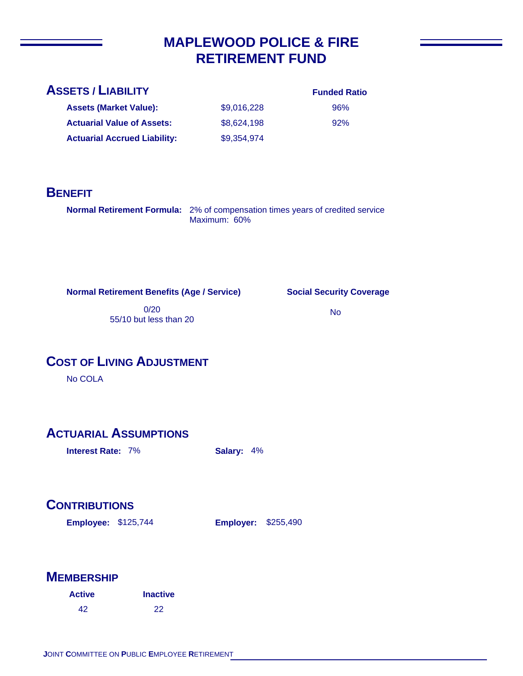## **MAPLEWOOD POLICE & FIRE RETIREMENT FUND**

| <b>Funded Ratio</b> |  |
|---------------------|--|
|                     |  |

96% 92%

**Assets (Market Value): Actuarial Value of Assets:** \$9,016,228 \$8,624,198 \$9,354,974 **Actuarial Accrued Liability:**

## **BENEFIT**

**Normal Retirement Formula:** 2% of compensation times years of credited service Maximum: 60%

**Normal Retirement Benefits (Age / Service)**

**Social Security Coverage**

0/20 55/10 but less than 20

No

## **COST OF LIVING ADJUSTMENT**

No COLA

## **ACTUARIAL ASSUMPTIONS**

**Interest Rate:** 7% **Salary:** 4%

## **CONTRIBUTIONS**

**Employee: Employer:** \$125,744

**Employer: \$255,490** 

| <b>Active</b> | <b>Inactive</b> |
|---------------|-----------------|
| 42            | 22              |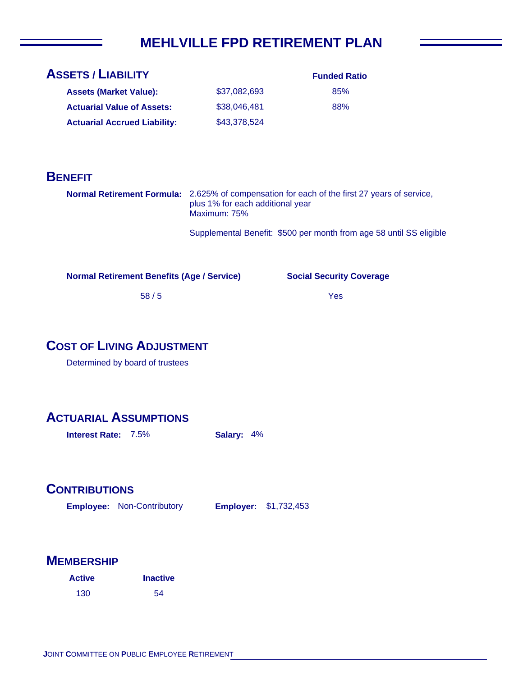## **MEHLVILLE FPD RETIREMENT PLAN**

| <b>ASSETS / LIABILITY</b>           |              | <b>Funded Ratio</b> |
|-------------------------------------|--------------|---------------------|
| <b>Assets (Market Value):</b>       | \$37.082.693 | 85%                 |
| <b>Actuarial Value of Assets:</b>   | \$38,046,481 | 88%                 |
| <b>Actuarial Accrued Liability:</b> | \$43,378,524 |                     |

#### **BENEFIT**

**Normal Retirement Formula:** 2.625% of compensation for each of the first 27 years of service, plus 1% for each additional year Maximum: 75%

Supplemental Benefit: \$500 per month from age 58 until SS eligible

**Normal Retirement Benefits (Age / Service)**

**Social Security Coverage**

Yes

58 / 5

#### **COST OF LIVING ADJUSTMENT**

Determined by board of trustees

#### **ACTUARIAL ASSUMPTIONS**

**Interest Rate:** 7.5% **Salary:** 4%

#### **CONTRIBUTIONS**

**Employee: Employer:** Non-Contributory **Employer: \$1,732,453** 

| <b>Active</b> | <b>Inactive</b> |
|---------------|-----------------|
| 130           | 54              |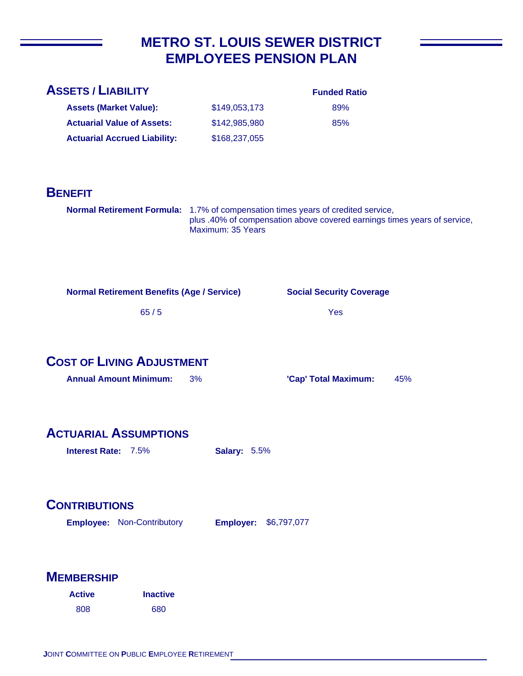## **METRO ST. LOUIS SEWER DISTRICT EMPLOYEES PENSION PLAN**

| <b>ASSETS / LIABILITY</b>                                                                          |                     | <b>Funded Ratio</b>                                                      |     |
|----------------------------------------------------------------------------------------------------|---------------------|--------------------------------------------------------------------------|-----|
| <b>Assets (Market Value):</b>                                                                      | \$149,053,173       | 89%                                                                      |     |
| <b>Actuarial Value of Assets:</b>                                                                  | \$142,985,980       | 85%                                                                      |     |
| <b>Actuarial Accrued Liability:</b>                                                                | \$168,237,055       |                                                                          |     |
| <b>BENEFIT</b><br>Normal Retirement Formula: 1.7% of compensation times years of credited service, | Maximum: 35 Years   | plus .40% of compensation above covered earnings times years of service, |     |
| <b>Normal Retirement Benefits (Age / Service)</b><br>65/5                                          |                     | <b>Social Security Coverage</b><br>Yes                                   |     |
| <b>COST OF LIVING ADJUSTMENT</b>                                                                   |                     |                                                                          |     |
| <b>Annual Amount Minimum:</b>                                                                      | 3%                  | 'Cap' Total Maximum:                                                     | 45% |
| <b>ACTUARIAL ASSUMPTIONS</b><br>Interest Rate: 7.5%                                                | <b>Salary: 5.5%</b> |                                                                          |     |
| <b>CONTRIBUTIONS</b><br><b>Employee: Non-Contributory</b><br>\$6,797,077<br><b>Employer:</b>       |                     |                                                                          |     |

| <b>Active</b> | <b>Inactive</b> |
|---------------|-----------------|
| 808           | 680             |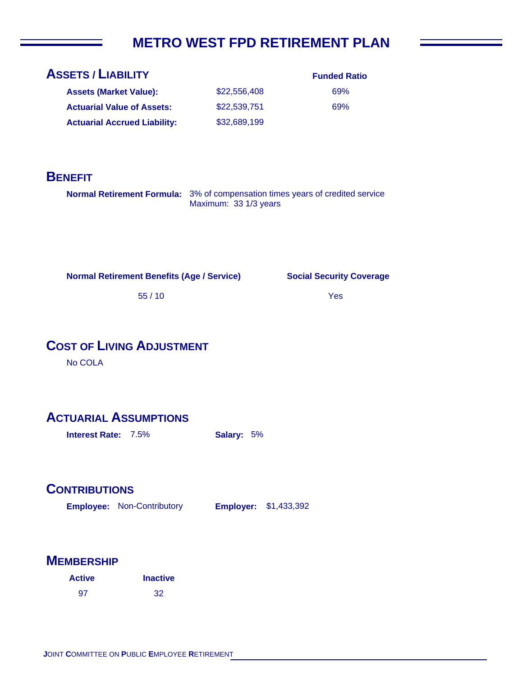## **METRO WEST FPD RETIREMENT PLAN**

| <b>ASSETS / LIABILITY</b>           |              | <b>Funded Ratio</b> |
|-------------------------------------|--------------|---------------------|
| <b>Assets (Market Value):</b>       | \$22,556,408 | 69%                 |
| <b>Actuarial Value of Assets:</b>   | \$22,539,751 | 69%                 |
| <b>Actuarial Accrued Liability:</b> | \$32,689,199 |                     |

#### **BENEFIT**

**Normal Retirement Formula:** 3% of compensation times years of credited service Maximum: 33 1/3 years

**Normal Retirement Benefits (Age / Service)**

**Social Security Coverage**

Yes

55 / 10

## **COST OF LIVING ADJUSTMENT**

No COLA

#### **ACTUARIAL ASSUMPTIONS**

**Interest Rate:** 7.5% **Salary:** 5%

#### **CONTRIBUTIONS**

**Employee: Employer:** Non-Contributory **Employer: \$1,433,392** 

| <b>Active</b> | <b>Inactive</b> |
|---------------|-----------------|
| 97            | 32              |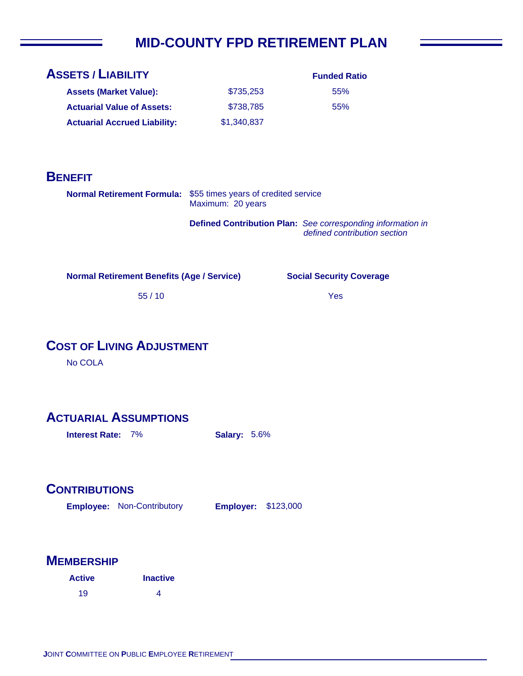# **MID-COUNTY FPD RETIREMENT PLAN**

| <b>ASSETS / LIABILITY</b>           |             | <b>Funded Ratio</b> |
|-------------------------------------|-------------|---------------------|
| <b>Assets (Market Value):</b>       | \$735,253   | 55%                 |
| <b>Actuarial Value of Assets:</b>   | \$738,785   | 55%                 |
| <b>Actuarial Accrued Liability:</b> | \$1,340,837 |                     |

#### **BENEFIT**

| <b>Normal Retirement Formula:</b> \$55 times years of credited service<br>Maximum: 20 years |
|---------------------------------------------------------------------------------------------|
|                                                                                             |

**Defined Contribution Plan:** *See corresponding information in defined contribution section*

Yes

**Social Security Coverage**

**Normal Retirement Benefits (Age / Service)**

55 / 10

## **COST OF LIVING ADJUSTMENT**

No COLA

#### **ACTUARIAL ASSUMPTIONS**

**Interest Rate:** 7% **Salary:** 5.6%

#### **CONTRIBUTIONS**

**Employee: Employer:** Non-Contributory **Employer: \$123,000** 

| <b>Active</b> | <b>Inactive</b> |
|---------------|-----------------|
| 19            | 4               |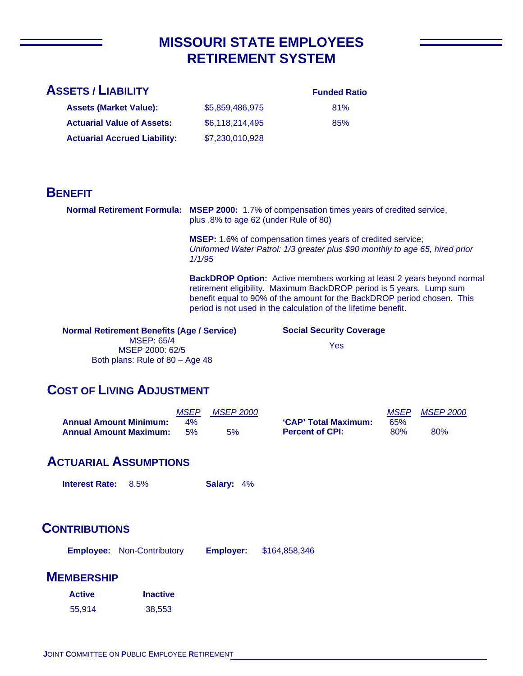## **MISSOURI STATE EMPLOYEES RETIREMENT SYSTEM**

#### **ASSETS / LIABILITY**

#### **Funded Ratio**

| <b>Assets (Market Value):</b>       | \$5,859,486,975 | 81% |
|-------------------------------------|-----------------|-----|
| <b>Actuarial Value of Assets:</b>   | \$6,118,214,495 | 85% |
| <b>Actuarial Accrued Liability:</b> | \$7,230,010,928 |     |

#### **BENEFIT**

**Normal Retirement Formula: MSEP 2000:** 1.7% of compensation times years of credited service, plus .8% to age 62 (under Rule of 80)

> **MSEP:** 1.6% of compensation times years of credited service; *Uniformed Water Patrol: 1/3 greater plus \$90 monthly to age 65, hired prior 1/1/95*

**BackDROP Option:** Active members working at least 2 years beyond normal retirement eligibility. Maximum BackDROP period is 5 years. Lump sum benefit equal to 90% of the amount for the BackDROP period chosen. This period is not used in the calculation of the lifetime benefit.

**Normal Retirement Benefits (Age / Service)** MSEP: 65/4 MSEP 2000: 62/5 Both plans: Rule of 80 – Age 48

**Social Security Coverage**

Yes

#### **COST OF LIVING ADJUSTMENT**

|                               | <i>MSEP</i> | <i>MSEP 2000</i> |                        | <i>MSEP</i> | <i>MSEP 2000</i> |
|-------------------------------|-------------|------------------|------------------------|-------------|------------------|
| <b>Annual Amount Minimum:</b> | 4%          |                  | 'CAP' Total Maximum:   | 65%         |                  |
| <b>Annual Amount Maximum:</b> | .5%         | 5%               | <b>Percent of CPI:</b> | 80%         | 80%              |

#### **ACTUARIAL ASSUMPTIONS**

**Interest Rate:** 8.5% **Salary:** 4%

#### **CONTRIBUTIONS**

**Employee: Employer:** Non-Contributory \$164,858,346

| <b>Active</b> | <b>Inactive</b> |
|---------------|-----------------|
| 55,914        | 38,553          |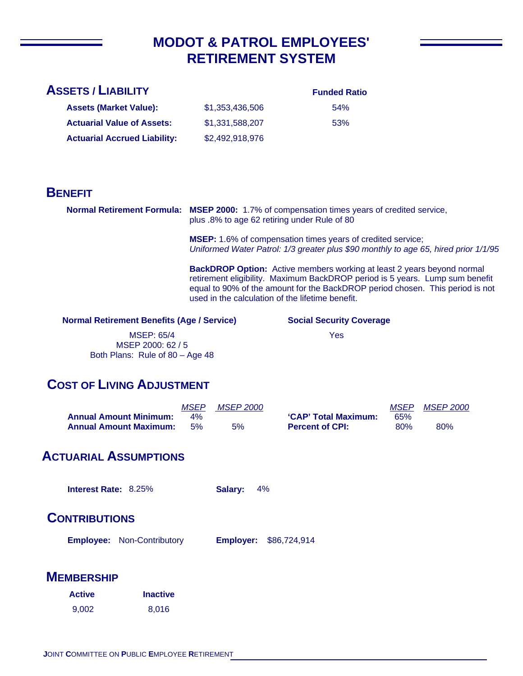## **MODOT & PATROL EMPLOYEES' RETIREMENT SYSTEM**

#### **Funded Ratio**

| <b>Assets (Market Value):</b>       | \$1.353.436.506 | 54% |
|-------------------------------------|-----------------|-----|
| <b>Actuarial Value of Assets:</b>   | \$1.331.588.207 | 53% |
| <b>Actuarial Accrued Liability:</b> | \$2,492,918,976 |     |

#### **BENEFIT**

**Normal Retirement Formula: MSEP 2000:** 1.7% of compensation times years of credited service, plus .8% to age 62 retiring under Rule of 80

> **MSEP:** 1.6% of compensation times years of credited service; *Uniformed Water Patrol: 1/3 greater plus \$90 monthly to age 65, hired prior 1/1/95*

**BackDROP Option:** Active members working at least 2 years beyond normal retirement eligibility. Maximum BackDROP period is 5 years. Lump sum benefit equal to 90% of the amount for the BackDROP period chosen. This period is not used in the calculation of the lifetime benefit.

#### **Normal Retirement Benefits (Age / Service)**

MSEP: 65/4 MSEP 2000: 62 / 5 Both Plans: Rule of 80 – Age 48 **Social Security Coverage**

Yes

#### **COST OF LIVING ADJUSTMENT**

|                               | <b>MSEP</b> | <i>MSEP 2000</i> |                        | <i>MSEP</i> | <i>MSEP 2000</i> |
|-------------------------------|-------------|------------------|------------------------|-------------|------------------|
| <b>Annual Amount Minimum:</b> | 4%          |                  | 'CAP' Total Maximum:   | 65%         |                  |
| <b>Annual Amount Maximum:</b> | .5%         | 5%               | <b>Percent of CPI:</b> | 80%         | 80%              |

#### **ACTUARIAL ASSUMPTIONS**

**Interest Rate:** 8.25% **Salary:** 4%

#### **CONTRIBUTIONS**

|  | <b>Employee: Non-Contributory</b> |  | <b>Employer: \$86,724,914</b> |
|--|-----------------------------------|--|-------------------------------|
|--|-----------------------------------|--|-------------------------------|

| <b>Active</b> | <b>Inactive</b> |
|---------------|-----------------|
| 9,002         | 8,016           |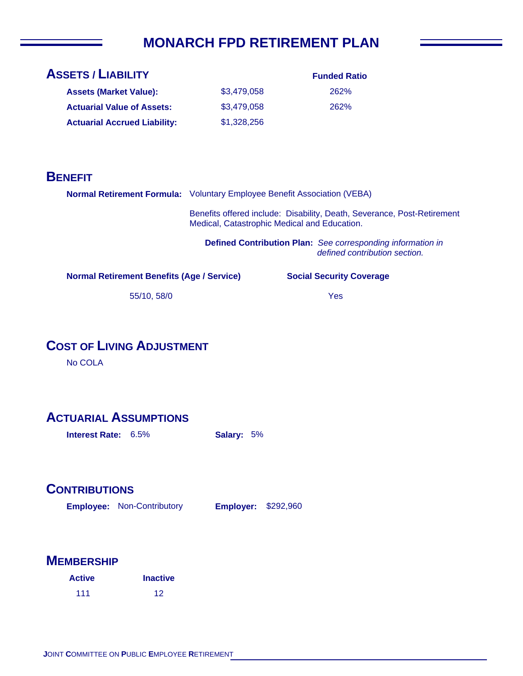## **MONARCH FPD RETIREMENT PLAN**

| <b>ASSETS / LIABILITY</b>           |             | <b>Funded Ratio</b> |
|-------------------------------------|-------------|---------------------|
| <b>Assets (Market Value):</b>       | \$3.479.058 | 262%                |
| <b>Actuarial Value of Assets:</b>   | \$3,479,058 | 262%                |
| <b>Actuarial Accrued Liability:</b> | \$1,328,256 |                     |

#### **BENEFIT**

|                                                   | <b>Normal Retirement Formula:</b> Voluntary Employee Benefit Association (VEBA)                                         |                                 |  |
|---------------------------------------------------|-------------------------------------------------------------------------------------------------------------------------|---------------------------------|--|
|                                                   | Benefits offered include: Disability, Death, Severance, Post-Retirement<br>Medical, Catastrophic Medical and Education. |                                 |  |
|                                                   | Defined Contribution Plan: See corresponding information in<br>defined contribution section.                            |                                 |  |
| <b>Normal Retirement Benefits (Age / Service)</b> |                                                                                                                         | <b>Social Security Coverage</b> |  |

55/10, 58/0

Yes

## **COST OF LIVING ADJUSTMENT**

No COLA

## **ACTUARIAL ASSUMPTIONS**

**Interest Rate:** 6.5% **Salary:** 5%

#### **CONTRIBUTIONS**

**Employee: Employer:** Non-Contributory **Employer: \$292,960** 

| <b>Active</b> | <b>Inactive</b> |
|---------------|-----------------|
| 111           | 12              |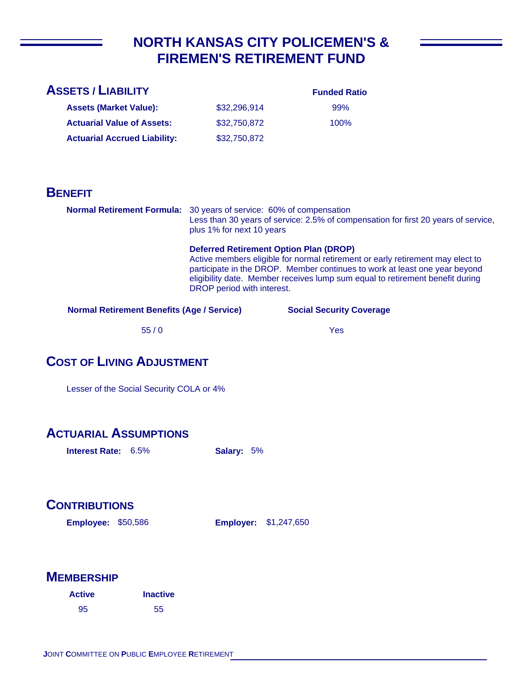## **NORTH KANSAS CITY POLICEMEN'S & FIREMEN'S RETIREMENT FUND**

| <b>ASSETS / LIABILITY</b>           |              | <b>Funded Ratio</b> |
|-------------------------------------|--------------|---------------------|
| <b>Assets (Market Value):</b>       | \$32,296,914 | 99%                 |
| <b>Actuarial Value of Assets:</b>   | \$32,750,872 | $100\%$             |
| <b>Actuarial Accrued Liability:</b> | \$32,750,872 |                     |

#### **BENEFIT**

**Normal Retirement Formula:** 30 years of service: 60% of compensation Less than 30 years of service: 2.5% of compensation for first 20 years of service, plus 1% for next 10 years

#### **Deferred Retirement Option Plan (DROP)**

Active members eligible for normal retirement or early retirement may elect to participate in the DROP. Member continues to work at least one year beyond eligibility date. Member receives lump sum equal to retirement benefit during DROP period with interest.

**Normal Retirement Benefits (Age / Service)**

**Social Security Coverage**

55 / 0

Yes

#### **COST OF LIVING ADJUSTMENT**

Lesser of the Social Security COLA or 4%

#### **ACTUARIAL ASSUMPTIONS**

**Interest Rate:** 6.5% **Salary:** 5%

#### **CONTRIBUTIONS**

**Employee: Employer:** \$50,586 **Employer: \$1,247,650** 

| <b>Active</b> | <b>Inactive</b> |
|---------------|-----------------|
| 95            | 55              |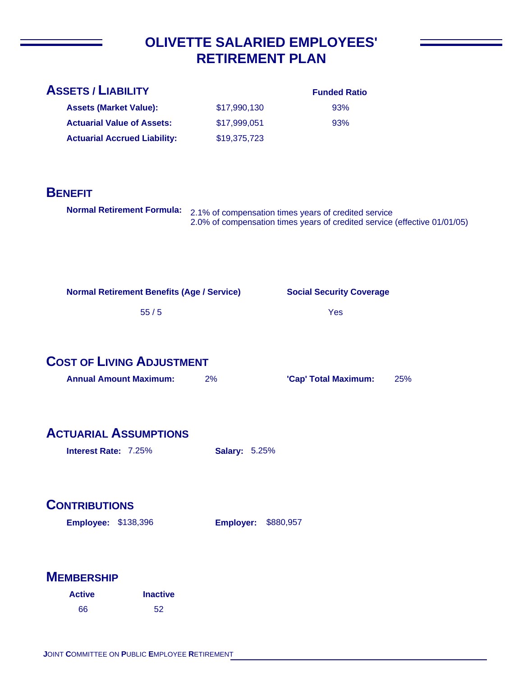## **OLIVETTE SALARIED EMPLOYEES' RETIREMENT PLAN**

| <b>ASSETS / LIABILITY</b>                         |                      | <b>Funded Ratio</b>                                                                                                               |     |
|---------------------------------------------------|----------------------|-----------------------------------------------------------------------------------------------------------------------------------|-----|
| <b>Assets (Market Value):</b>                     | \$17,990,130         | 93%                                                                                                                               |     |
| <b>Actuarial Value of Assets:</b>                 | \$17,999,051         | 93%                                                                                                                               |     |
| <b>Actuarial Accrued Liability:</b>               | \$19,375,723         |                                                                                                                                   |     |
| <b>BENEFIT</b>                                    |                      |                                                                                                                                   |     |
| <b>Normal Retirement Formula:</b>                 |                      | 2.1% of compensation times years of credited service<br>2.0% of compensation times years of credited service (effective 01/01/05) |     |
|                                                   |                      |                                                                                                                                   |     |
| <b>Normal Retirement Benefits (Age / Service)</b> |                      | <b>Social Security Coverage</b>                                                                                                   |     |
| 55/5                                              |                      | Yes                                                                                                                               |     |
|                                                   |                      |                                                                                                                                   |     |
| <b>COST OF LIVING ADJUSTMENT</b>                  |                      |                                                                                                                                   |     |
| <b>Annual Amount Maximum:</b>                     | 2%                   | 'Cap' Total Maximum:                                                                                                              | 25% |
|                                                   |                      |                                                                                                                                   |     |
| <b>ACTUARIAL ASSUMPTIONS</b>                      |                      |                                                                                                                                   |     |
| Interest Rate: 7.25%                              | <b>Salary: 5.25%</b> |                                                                                                                                   |     |

## **CONTRIBUTIONS**

**Employee: Employer:** \$138,396 **Employer: \$880,957** 

| <b>Active</b> | <b>Inactive</b> |
|---------------|-----------------|
| 66            | 52              |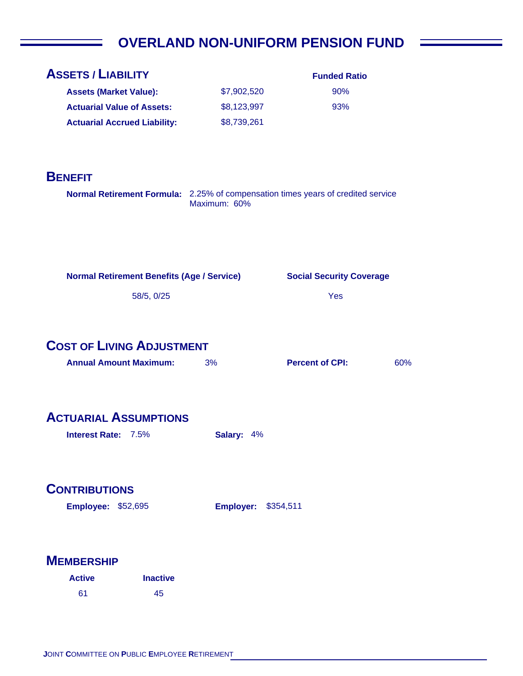# **OVERLAND NON-UNIFORM PENSION FUND**

| <b>ASSETS / LIABILITY</b>                                         |                 |                            | <b>Funded Ratio</b>                                                              |     |
|-------------------------------------------------------------------|-----------------|----------------------------|----------------------------------------------------------------------------------|-----|
| <b>Assets (Market Value):</b>                                     |                 | \$7,902,520                | 90%                                                                              |     |
| <b>Actuarial Value of Assets:</b>                                 |                 | \$8,123,997                | 93%                                                                              |     |
| <b>Actuarial Accrued Liability:</b>                               |                 | \$8,739,261                |                                                                                  |     |
|                                                                   |                 |                            |                                                                                  |     |
| <b>BENEFIT</b>                                                    |                 |                            |                                                                                  |     |
|                                                                   |                 | Maximum: 60%               | Normal Retirement Formula: 2.25% of compensation times years of credited service |     |
|                                                                   |                 |                            |                                                                                  |     |
| <b>Normal Retirement Benefits (Age / Service)</b>                 |                 |                            | <b>Social Security Coverage</b>                                                  |     |
|                                                                   | 58/5, 0/25      |                            | Yes                                                                              |     |
| <b>COST OF LIVING ADJUSTMENT</b><br><b>Annual Amount Maximum:</b> |                 | 3%                         | <b>Percent of CPI:</b>                                                           | 60% |
| <b>ACTUARIAL ASSUMPTIONS</b>                                      |                 |                            |                                                                                  |     |
| Interest Rate: 7.5%                                               |                 | Salary: 4%                 |                                                                                  |     |
| <b>CONTRIBUTIONS</b>                                              |                 |                            |                                                                                  |     |
| <b>Employee: \$52,695</b>                                         |                 | <b>Employer: \$354,511</b> |                                                                                  |     |
| <b>MEMBERSHIP</b>                                                 |                 |                            |                                                                                  |     |
| <b>Active</b>                                                     | <b>Inactive</b> |                            |                                                                                  |     |
| 61                                                                | 45              |                            |                                                                                  |     |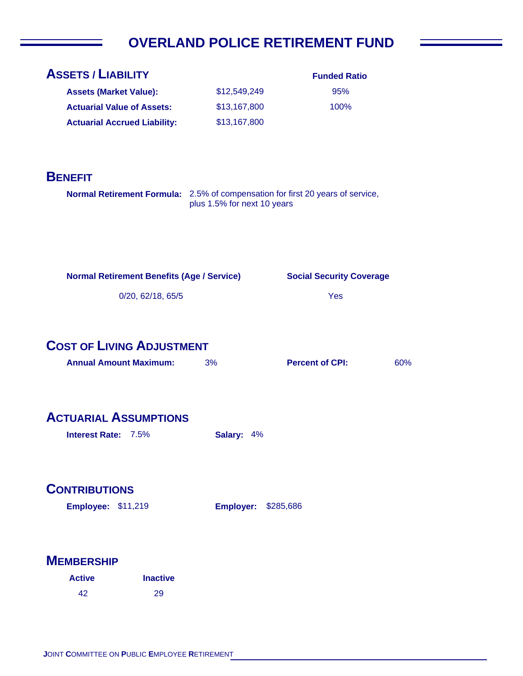# **OVERLAND POLICE RETIREMENT FUND**

| <b>ASSETS / LIABILITY</b>                                                      |                             | <b>Funded Ratio</b>             |     |
|--------------------------------------------------------------------------------|-----------------------------|---------------------------------|-----|
| <b>Assets (Market Value):</b>                                                  | \$12,549,249                | 95%                             |     |
| <b>Actuarial Value of Assets:</b>                                              | \$13,167,800                | 100%                            |     |
| <b>Actuarial Accrued Liability:</b>                                            | \$13,167,800                |                                 |     |
|                                                                                |                             |                                 |     |
| <b>BENEFIT</b>                                                                 |                             |                                 |     |
| Normal Retirement Formula: 2.5% of compensation for first 20 years of service, |                             |                                 |     |
|                                                                                | plus 1.5% for next 10 years |                                 |     |
|                                                                                |                             |                                 |     |
|                                                                                |                             |                                 |     |
|                                                                                |                             |                                 |     |
| <b>Normal Retirement Benefits (Age / Service)</b>                              |                             | <b>Social Security Coverage</b> |     |
| 0/20, 62/18, 65/5                                                              |                             | Yes                             |     |
|                                                                                |                             |                                 |     |
|                                                                                |                             |                                 |     |
| <b>COST OF LIVING ADJUSTMENT</b>                                               |                             |                                 |     |
| <b>Annual Amount Maximum:</b>                                                  | 3%                          | <b>Percent of CPI:</b>          | 60% |
|                                                                                |                             |                                 |     |
|                                                                                |                             |                                 |     |
| <b>ACTUARIAL ASSUMPTIONS</b>                                                   |                             |                                 |     |
| Interest Rate: 7.5%                                                            | <b>Salary:</b><br>4%        |                                 |     |
|                                                                                |                             |                                 |     |
|                                                                                |                             |                                 |     |
| <b>CONTRIBUTIONS</b>                                                           |                             |                                 |     |
| <b>Employee: \$11,219</b>                                                      | <b>Employer:</b>            | \$285,686                       |     |
|                                                                                |                             |                                 |     |
|                                                                                |                             |                                 |     |
| <b>MEMBERSHIP</b>                                                              |                             |                                 |     |
| <b>Inactive</b><br><b>Active</b>                                               |                             |                                 |     |
| 42<br>29                                                                       |                             |                                 |     |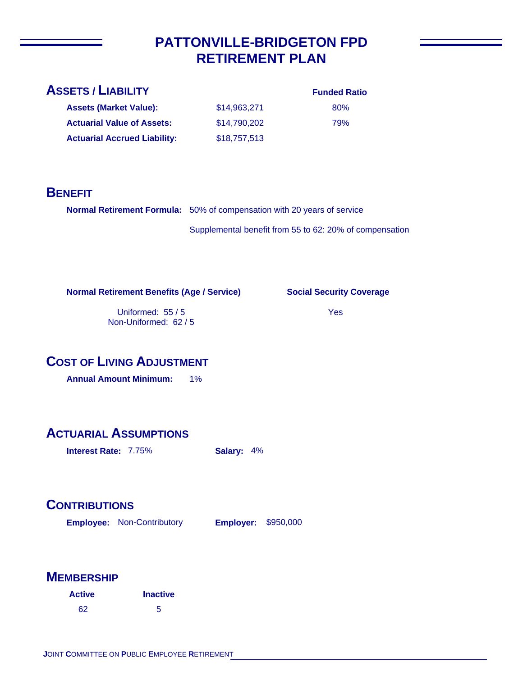## **PATTONVILLE-BRIDGETON FPD RETIREMENT PLAN**

#### **ASSETS / LIABILITY**

**Assets (Market Value): Actuarial Value of Assets:**

**Actuarial Accrued Liability:**

80% 79%

**BENEFIT**

**Normal Retirement Formula:** 50% of compensation with 20 years of service Supplemental benefit from 55 to 62: 20% of compensation

\$14,963,271 \$14,790,202

\$18,757,513

**Normal Retirement Benefits (Age / Service)**

**Social Security Coverage**

Uniformed: 55 / 5 Non-Uniformed: 62 / 5 Yes

#### **COST OF LIVING ADJUSTMENT**

**Annual Amount Minimum:** 1%

#### **ACTUARIAL ASSUMPTIONS**

**Interest Rate:** 7.75% **Salary:** 4%

## **CONTRIBUTIONS**

**Employee: Employer:** Non-Contributory **Employer: \$950,000** 

| <b>Active</b> | <b>Inactive</b> |
|---------------|-----------------|
| 62            | 5               |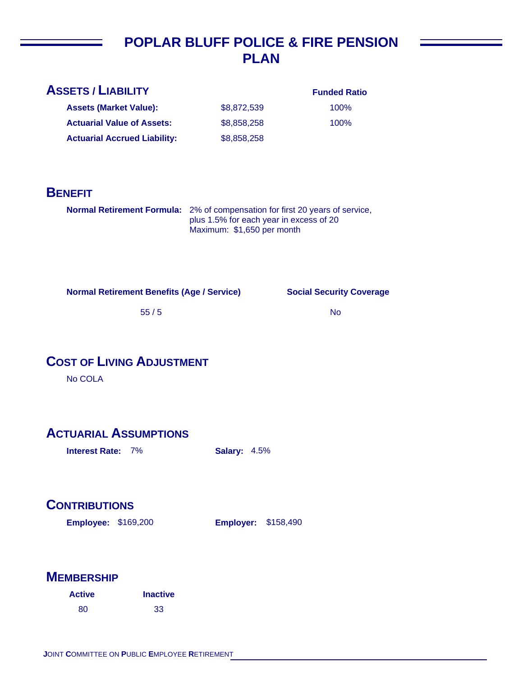## **POPLAR BLUFF POLICE & FIRE PENSION PLAN**

| <b>ASSETS / LIABILITY</b>           |             | <b>Funded Ratio</b> |
|-------------------------------------|-------------|---------------------|
| <b>Assets (Market Value):</b>       | \$8,872,539 | 100%                |
| <b>Actuarial Value of Assets:</b>   | \$8,858,258 | 100%                |
| <b>Actuarial Accrued Liability:</b> | \$8,858,258 |                     |
|                                     |             |                     |

#### **BENEFIT**

**Normal Retirement Formula:** 2% of compensation for first 20 years of service, plus 1.5% for each year in excess of 20 Maximum: \$1,650 per month

**Normal Retirement Benefits (Age / Service)**

**Social Security Coverage**

55 / 5

No

## **COST OF LIVING ADJUSTMENT**

No COLA

## **ACTUARIAL ASSUMPTIONS**

**Interest Rate:** 7% **Salary:** 4.5%

## **CONTRIBUTIONS**

**Employee: Employer:** \$169,200 **Employer: \$158,490** 

| <b>Active</b> | <b>Inactive</b> |
|---------------|-----------------|
| 80            | 33              |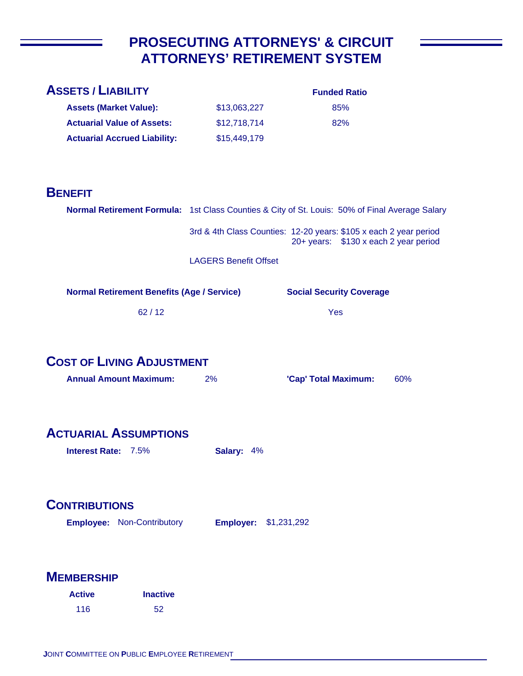## **PROSECUTING ATTORNEYS' & CIRCUIT ATTORNEYS' RETIREMENT SYSTEM**

| <b>ASSETS / LIABILITY</b>                                                                      |                              | <b>Funded Ratio</b>                                               |     |
|------------------------------------------------------------------------------------------------|------------------------------|-------------------------------------------------------------------|-----|
| <b>Assets (Market Value):</b>                                                                  | \$13,063,227                 | 85%                                                               |     |
| <b>Actuarial Value of Assets:</b>                                                              | \$12,718,714                 | 82%                                                               |     |
| <b>Actuarial Accrued Liability:</b>                                                            | \$15,449,179                 |                                                                   |     |
|                                                                                                |                              |                                                                   |     |
|                                                                                                |                              |                                                                   |     |
| <b>BENEFIT</b>                                                                                 |                              |                                                                   |     |
| Normal Retirement Formula: 1st Class Counties & City of St. Louis: 50% of Final Average Salary |                              |                                                                   |     |
|                                                                                                |                              | 3rd & 4th Class Counties: 12-20 years: \$105 x each 2 year period |     |
|                                                                                                |                              | 20+ years: \$130 x each 2 year period                             |     |
|                                                                                                | <b>LAGERS Benefit Offset</b> |                                                                   |     |
|                                                                                                |                              |                                                                   |     |
| <b>Normal Retirement Benefits (Age / Service)</b>                                              |                              | <b>Social Security Coverage</b>                                   |     |
| 62/12                                                                                          |                              | Yes                                                               |     |
|                                                                                                |                              |                                                                   |     |
|                                                                                                |                              |                                                                   |     |
| <b>COST OF LIVING ADJUSTMENT</b>                                                               |                              |                                                                   |     |
| <b>Annual Amount Maximum:</b>                                                                  | 2%                           | 'Cap' Total Maximum:                                              | 60% |
|                                                                                                |                              |                                                                   |     |
|                                                                                                |                              |                                                                   |     |
| <b>ACTUARIAL ASSUMPTIONS</b>                                                                   |                              |                                                                   |     |
| <b>Interest Rate: 7.5%</b>                                                                     | Salary: 4%                   |                                                                   |     |
|                                                                                                |                              |                                                                   |     |
|                                                                                                |                              |                                                                   |     |
| <b>CONTRIBUTIONS</b>                                                                           |                              |                                                                   |     |
| <b>Employee: Non-Contributory</b>                                                              | <b>Employer: \$1,231,292</b> |                                                                   |     |
|                                                                                                |                              |                                                                   |     |
|                                                                                                |                              |                                                                   |     |
| <b>MEMBERSHIP</b>                                                                              |                              |                                                                   |     |

| <b>Active</b> | <b>Inactive</b> |
|---------------|-----------------|
| 116           | 52              |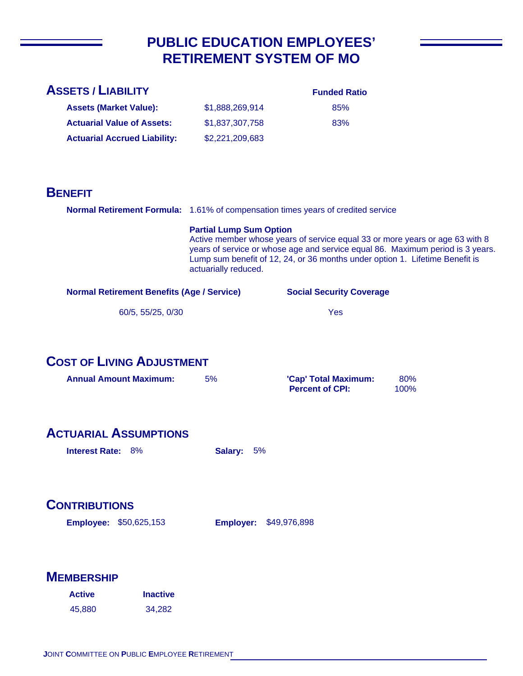## **PUBLIC EDUCATION EMPLOYEES' RETIREMENT SYSTEM OF MO**

| <b>ASSETS / LIABILITY</b>                                                        |                                                        |                                                                                                                                                              |                                                                                |
|----------------------------------------------------------------------------------|--------------------------------------------------------|--------------------------------------------------------------------------------------------------------------------------------------------------------------|--------------------------------------------------------------------------------|
|                                                                                  |                                                        | <b>Funded Ratio</b>                                                                                                                                          |                                                                                |
| <b>Assets (Market Value):</b>                                                    | \$1,888,269,914                                        | 85%                                                                                                                                                          |                                                                                |
| <b>Actuarial Value of Assets:</b>                                                | \$1,837,307,758                                        | 83%                                                                                                                                                          |                                                                                |
| <b>Actuarial Accrued Liability:</b>                                              | \$2,221,209,683                                        |                                                                                                                                                              |                                                                                |
|                                                                                  |                                                        |                                                                                                                                                              |                                                                                |
|                                                                                  |                                                        |                                                                                                                                                              |                                                                                |
| <b>BENEFIT</b>                                                                   |                                                        |                                                                                                                                                              |                                                                                |
| Normal Retirement Formula: 1.61% of compensation times years of credited service |                                                        |                                                                                                                                                              |                                                                                |
|                                                                                  | <b>Partial Lump Sum Option</b><br>actuarially reduced. | Active member whose years of service equal 33 or more years or age 63 with 8<br>Lump sum benefit of 12, 24, or 36 months under option 1. Lifetime Benefit is | years of service or whose age and service equal 86. Maximum period is 3 years. |
| <b>Normal Retirement Benefits (Age / Service)</b>                                |                                                        | <b>Social Security Coverage</b>                                                                                                                              |                                                                                |
| 60/5, 55/25, 0/30                                                                |                                                        | Yes                                                                                                                                                          |                                                                                |
|                                                                                  |                                                        |                                                                                                                                                              |                                                                                |
| <b>COST OF LIVING ADJUSTMENT</b><br><b>Annual Amount Maximum:</b>                | 5%                                                     | 'Cap' Total Maximum:<br><b>Percent of CPI:</b>                                                                                                               | 80%<br>100%                                                                    |
| <b>ACTUARIAL ASSUMPTIONS</b><br><b>Interest Rate: 8%</b>                         | 5%<br>Salary:                                          |                                                                                                                                                              |                                                                                |
| <b>CONTRIBUTIONS</b>                                                             |                                                        |                                                                                                                                                              |                                                                                |
| <b>Employee: \$50,625,153</b>                                                    | <b>Employer:</b>                                       | \$49,976,898                                                                                                                                                 |                                                                                |
| <b>MEMBERSHIP</b>                                                                |                                                        |                                                                                                                                                              |                                                                                |
| <b>Active</b><br><b>Inactive</b>                                                 |                                                        |                                                                                                                                                              |                                                                                |
| 45,880<br>34,282                                                                 |                                                        |                                                                                                                                                              |                                                                                |
|                                                                                  |                                                        |                                                                                                                                                              |                                                                                |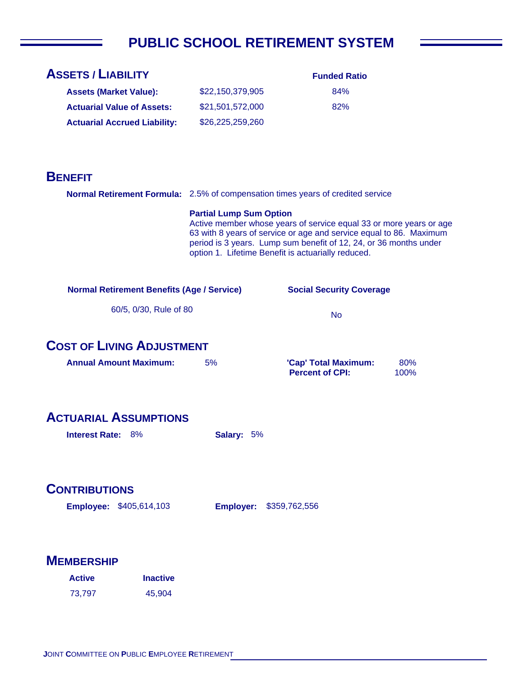# **PUBLIC SCHOOL RETIREMENT SYSTEM**

| <b>ASSETS / LIABILITY</b>                                                       |                                | <b>Funded Ratio</b>                                                                                                                                                                                                                                                 |             |
|---------------------------------------------------------------------------------|--------------------------------|---------------------------------------------------------------------------------------------------------------------------------------------------------------------------------------------------------------------------------------------------------------------|-------------|
| <b>Assets (Market Value):</b>                                                   | \$22,150,379,905               | 84%                                                                                                                                                                                                                                                                 |             |
| <b>Actuarial Value of Assets:</b>                                               | \$21,501,572,000               | 82%                                                                                                                                                                                                                                                                 |             |
| <b>Actuarial Accrued Liability:</b>                                             | \$26,225,259,260               |                                                                                                                                                                                                                                                                     |             |
|                                                                                 |                                |                                                                                                                                                                                                                                                                     |             |
|                                                                                 |                                |                                                                                                                                                                                                                                                                     |             |
| <b>BENEFIT</b>                                                                  |                                |                                                                                                                                                                                                                                                                     |             |
| Normal Retirement Formula: 2.5% of compensation times years of credited service |                                |                                                                                                                                                                                                                                                                     |             |
|                                                                                 | <b>Partial Lump Sum Option</b> | Active member whose years of service equal 33 or more years or age<br>63 with 8 years of service or age and service equal to 86. Maximum<br>period is 3 years. Lump sum benefit of 12, 24, or 36 months under<br>option 1. Lifetime Benefit is actuarially reduced. |             |
| <b>Normal Retirement Benefits (Age / Service)</b>                               |                                | <b>Social Security Coverage</b>                                                                                                                                                                                                                                     |             |
| 60/5, 0/30, Rule of 80                                                          |                                | <b>No</b>                                                                                                                                                                                                                                                           |             |
| <b>COST OF LIVING ADJUSTMENT</b>                                                |                                |                                                                                                                                                                                                                                                                     |             |
| <b>Annual Amount Maximum:</b>                                                   | 5%                             | 'Cap' Total Maximum:<br><b>Percent of CPI:</b>                                                                                                                                                                                                                      | 80%<br>100% |
| <b>ACTUARIAL ASSUMPTIONS</b>                                                    |                                |                                                                                                                                                                                                                                                                     |             |
| <b>Interest Rate: 8%</b>                                                        | Salary: 5%                     |                                                                                                                                                                                                                                                                     |             |
| <b>CONTRIBUTIONS</b>                                                            |                                |                                                                                                                                                                                                                                                                     |             |
| <b>Employee: \$405,614,103</b>                                                  | <b>Employer:</b>               | \$359,762,556                                                                                                                                                                                                                                                       |             |
|                                                                                 |                                |                                                                                                                                                                                                                                                                     |             |
| <b>MEMBERSHIP</b>                                                               |                                |                                                                                                                                                                                                                                                                     |             |
| <b>Inactive</b><br><b>Active</b>                                                |                                |                                                                                                                                                                                                                                                                     |             |
| 73,797<br>45,904                                                                |                                |                                                                                                                                                                                                                                                                     |             |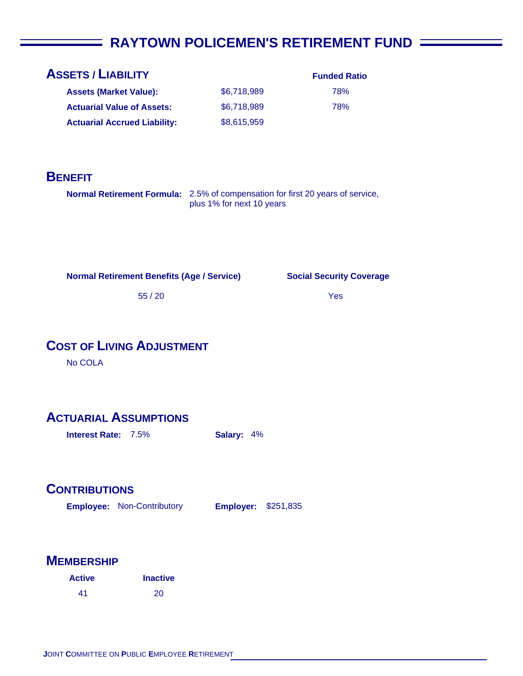## **FINAYTOWN POLICEMEN'S RETIREMENT FUND =**

| <b>ASSETS / LIABILITY</b>           |             | <b>Funded Ratio</b> |
|-------------------------------------|-------------|---------------------|
| <b>Assets (Market Value):</b>       | \$6.718.989 | 78%                 |
| <b>Actuarial Value of Assets:</b>   | \$6,718,989 | 78%                 |
| <b>Actuarial Accrued Liability:</b> | \$8,615,959 |                     |

#### **BENEFIT**

**Normal Retirement Formula:** 2.5% of compensation for first 20 years of service, plus 1% for next 10 years

**Normal Retirement Benefits (Age / Service)**

#### **Social Security Coverage**

Yes

55 / 20

## **COST OF LIVING ADJUSTMENT**

No COLA

#### **ACTUARIAL ASSUMPTIONS**

**Interest Rate:** 7.5% **Salary:** 4%

#### **CONTRIBUTIONS**

**Employee: Employer:** Non-Contributory **Employer: \$251,835** 

| <b>Active</b> | <b>Inactive</b> |
|---------------|-----------------|
| 41            | 20              |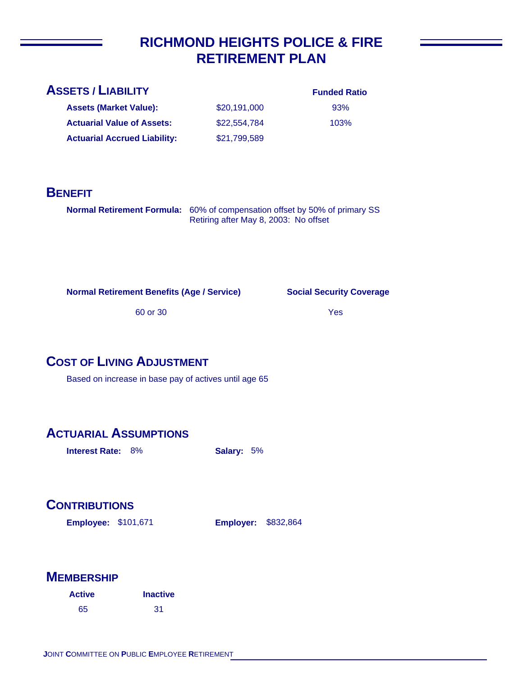## **RICHMOND HEIGHTS POLICE & FIRE RETIREMENT PLAN**

\$20,191,000 \$22,554,784

\$21,799,589

| <b>ASSETS / LIABILITY</b> |  |
|---------------------------|--|
|                           |  |

**Assets (Market Value): Actuarial Value of Assets:**

**Actuarial Accrued Liability:**

|  | <b>Funded Ratio</b> |
|--|---------------------|
|  |                     |

93% 103%

#### **BENEFIT**

**Normal Retirement Formula:** 60% of compensation offset by 50% of primary SS Retiring after May 8, 2003: No offset

**Normal Retirement Benefits (Age / Service)**

**Social Security Coverage**

60 or 30

Yes

## **COST OF LIVING ADJUSTMENT**

Based on increase in base pay of actives until age 65

## **ACTUARIAL ASSUMPTIONS**

**Interest Rate:** 8% **Salary:** 5%

## **CONTRIBUTIONS**

**Employee: Employer:** \$101,671

**Employer: \$832,864** 

| <b>Active</b> | <b>Inactive</b> |
|---------------|-----------------|
| 65            | -31             |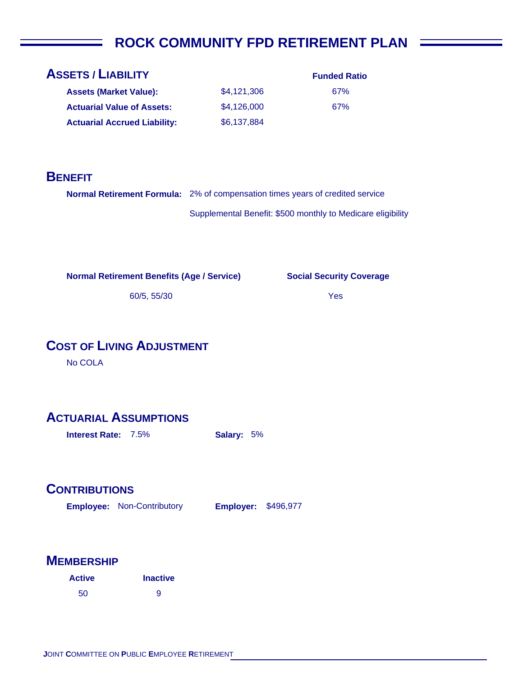## **ROCK COMMUNITY FPD RETIREMENT PLAN**

| <b>ASSETS / LIABILITY</b>           |             |  |
|-------------------------------------|-------------|--|
| <b>Assets (Market Value):</b>       | \$4,121,306 |  |
| <b>Actuarial Value of Assets:</b>   | \$4,126,000 |  |
| <b>Actuarial Accrued Liability:</b> | \$6,137,884 |  |

| <b>Funded Ratio</b> |
|---------------------|
| 67%                 |
| 67%                 |

#### **BENEFIT**

**Normal Retirement Formula:** 2% of compensation times years of credited service

Supplemental Benefit: \$500 monthly to Medicare eligibility

**Normal Retirement Benefits (Age / Service)**

**Social Security Coverage**

Yes

60/5, 55/30

## **COST OF LIVING ADJUSTMENT**

No COLA

## **ACTUARIAL ASSUMPTIONS**

**Interest Rate:** 7.5% **Salary:** 5%

#### **CONTRIBUTIONS**

**Employee: Employer:** Non-Contributory **Employer: \$496,977** 

| <b>Active</b> | <b>Inactive</b> |
|---------------|-----------------|
| 50            | 9               |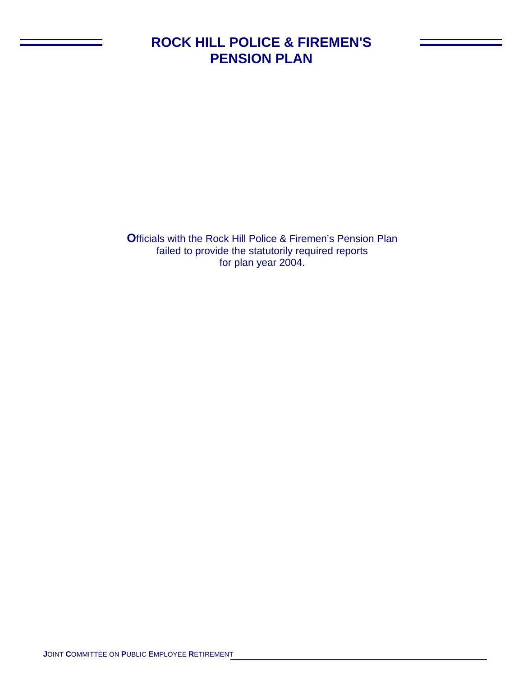## **ROCK HILL POLICE & FIREMEN'S PENSION PLAN**

**O**fficials with the Rock Hill Police & Firemen's Pension Plan failed to provide the statutorily required reports for plan year 2004.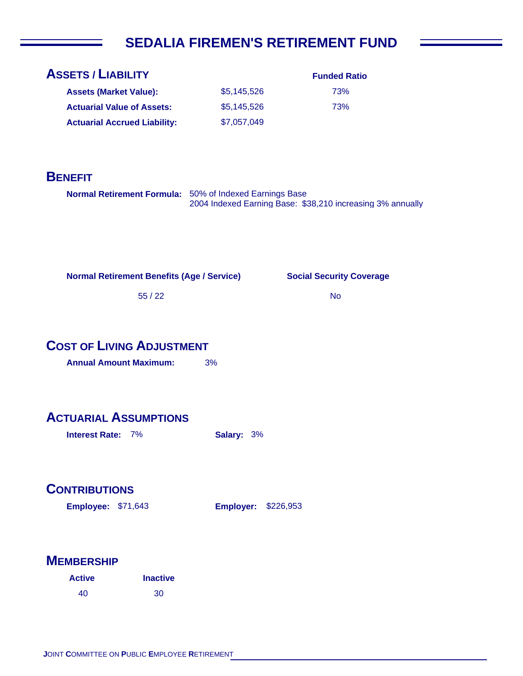# **SEDALIA FIREMEN'S RETIREMENT FUND**

| <b>ASSETS / LIABILITY</b>                               |                  | <b>Funded Ratio</b>                                        |
|---------------------------------------------------------|------------------|------------------------------------------------------------|
| <b>Assets (Market Value):</b>                           | \$5,145,526      | 73%                                                        |
| <b>Actuarial Value of Assets:</b>                       | \$5,145,526      | 73%                                                        |
| <b>Actuarial Accrued Liability:</b>                     | \$7,057,049      |                                                            |
|                                                         |                  |                                                            |
| <b>BENEFIT</b>                                          |                  |                                                            |
| Normal Retirement Formula: 50% of Indexed Earnings Base |                  | 2004 Indexed Earning Base: \$38,210 increasing 3% annually |
| <b>Normal Retirement Benefits (Age / Service)</b>       |                  | <b>Social Security Coverage</b>                            |
| 55/22                                                   |                  | <b>No</b>                                                  |
|                                                         |                  |                                                            |
| <b>COST OF LIVING ADJUSTMENT</b>                        |                  |                                                            |
| <b>Annual Amount Maximum:</b>                           | 3%               |                                                            |
| <b>ACTUARIAL ASSUMPTIONS</b>                            |                  |                                                            |
| <b>Interest Rate: 7%</b>                                | Salary: 3%       |                                                            |
|                                                         |                  |                                                            |
| <b>CONTRIBUTIONS</b>                                    |                  |                                                            |
| <b>Employee: \$71,643</b>                               | <b>Employer:</b> | \$226,953                                                  |
|                                                         |                  |                                                            |
| <b>MEMBERSHIP</b>                                       |                  |                                                            |
| <b>Inactive</b><br><b>Active</b>                        |                  |                                                            |
| 40<br>30                                                |                  |                                                            |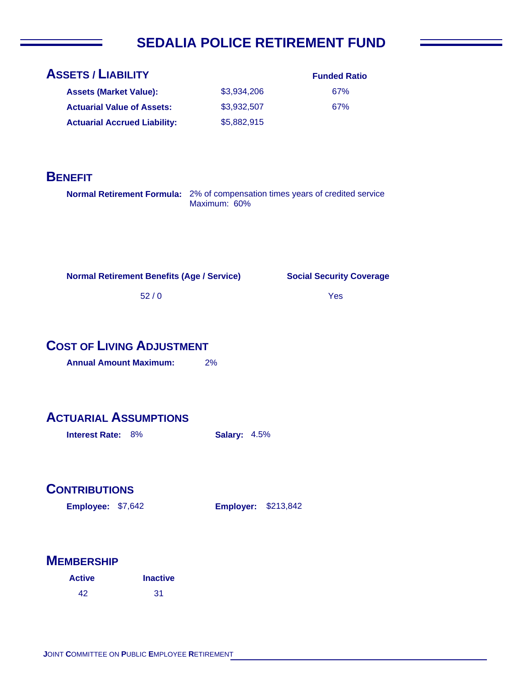# **SEDALIA POLICE RETIREMENT FUND**

| <b>ASSETS / LIABILITY</b>                                                     |                     | <b>Funded Ratio</b>             |
|-------------------------------------------------------------------------------|---------------------|---------------------------------|
| <b>Assets (Market Value):</b>                                                 | \$3,934,206         | 67%                             |
| <b>Actuarial Value of Assets:</b>                                             | \$3,932,507         | 67%                             |
| <b>Actuarial Accrued Liability:</b>                                           | \$5,882,915         |                                 |
|                                                                               |                     |                                 |
|                                                                               |                     |                                 |
| <b>BENEFIT</b>                                                                |                     |                                 |
| Normal Retirement Formula: 2% of compensation times years of credited service | Maximum: 60%        |                                 |
|                                                                               |                     |                                 |
|                                                                               |                     |                                 |
| <b>Normal Retirement Benefits (Age / Service)</b>                             |                     | <b>Social Security Coverage</b> |
| $52/0$                                                                        |                     | Yes                             |
|                                                                               |                     |                                 |
| <b>COST OF LIVING ADJUSTMENT</b>                                              |                     |                                 |
| <b>Annual Amount Maximum:</b>                                                 | 2%                  |                                 |
|                                                                               |                     |                                 |
| <b>ACTUARIAL ASSUMPTIONS</b>                                                  |                     |                                 |
| 8%<br><b>Interest Rate:</b>                                                   | <b>Salary: 4.5%</b> |                                 |
|                                                                               |                     |                                 |
|                                                                               |                     |                                 |
| <b>CONTRIBUTIONS</b>                                                          |                     |                                 |
| Employee: \$7,642                                                             | <b>Employer:</b>    | \$213,842                       |
|                                                                               |                     |                                 |
|                                                                               |                     |                                 |
| <b>MEMBERSHIP</b>                                                             |                     |                                 |
| <b>Inactive</b><br><b>Active</b>                                              |                     |                                 |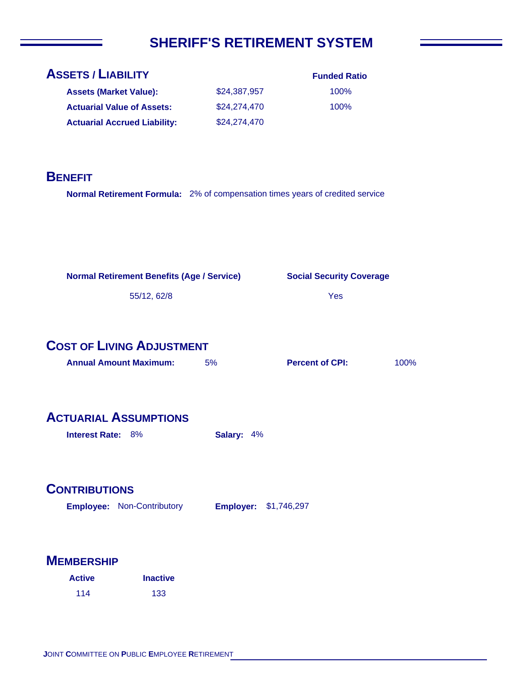# **SHERIFF'S RETIREMENT SYSTEM**

| <b>ASSETS / LIABILITY</b>                                                     |                  | <b>Funded Ratio</b>             |      |
|-------------------------------------------------------------------------------|------------------|---------------------------------|------|
| <b>Assets (Market Value):</b>                                                 | \$24,387,957     | 100%                            |      |
| <b>Actuarial Value of Assets:</b>                                             | \$24,274,470     | 100%                            |      |
| <b>Actuarial Accrued Liability:</b>                                           | \$24,274,470     |                                 |      |
|                                                                               |                  |                                 |      |
|                                                                               |                  |                                 |      |
| <b>BENEFIT</b>                                                                |                  |                                 |      |
| Normal Retirement Formula: 2% of compensation times years of credited service |                  |                                 |      |
|                                                                               |                  |                                 |      |
|                                                                               |                  |                                 |      |
|                                                                               |                  |                                 |      |
|                                                                               |                  |                                 |      |
| <b>Normal Retirement Benefits (Age / Service)</b>                             |                  | <b>Social Security Coverage</b> |      |
|                                                                               |                  |                                 |      |
| 55/12, 62/8                                                                   |                  | Yes                             |      |
|                                                                               |                  |                                 |      |
|                                                                               |                  |                                 |      |
| <b>COST OF LIVING ADJUSTMENT</b>                                              |                  |                                 |      |
| <b>Annual Amount Maximum:</b>                                                 | 5%               | <b>Percent of CPI:</b>          | 100% |
|                                                                               |                  |                                 |      |
|                                                                               |                  |                                 |      |
| <b>ACTUARIAL ASSUMPTIONS</b>                                                  |                  |                                 |      |
| Interest Rate: 8%                                                             | Salary: 4%       |                                 |      |
|                                                                               |                  |                                 |      |
|                                                                               |                  |                                 |      |
| <b>CONTRIBUTIONS</b>                                                          |                  |                                 |      |
|                                                                               |                  |                                 |      |
| <b>Employee: Non-Contributory</b>                                             | <b>Employer:</b> | \$1,746,297                     |      |
|                                                                               |                  |                                 |      |
|                                                                               |                  |                                 |      |
| <b>MEMBERSHIP</b>                                                             |                  |                                 |      |

| <b>Active</b> | <b>Inactive</b> |
|---------------|-----------------|
| 114           | 133             |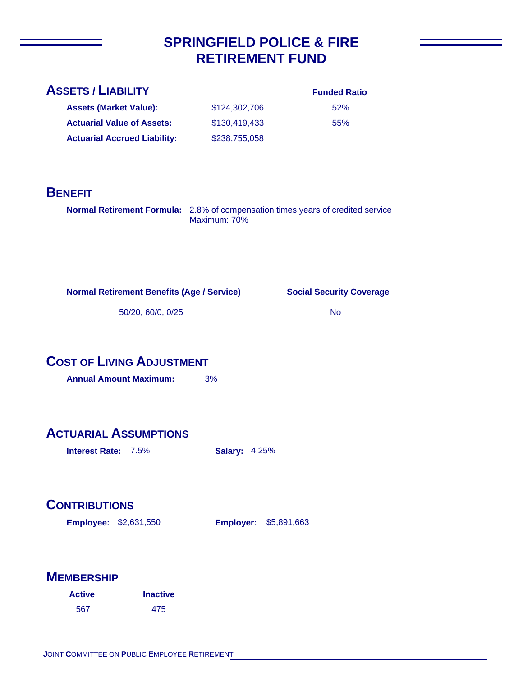## **SPRINGFIELD POLICE & FIRE RETIREMENT FUND**

#### **ASSETS / LIABILITY**

**Assets (Market Value): Actuarial Value of Assets:**

**Actuarial Accrued Liability:**

#### **Funded Ratio**

| 52% |
|-----|
| 55% |

#### **BENEFIT**

**Normal Retirement Formula:** 2.8% of compensation times years of credited service Maximum: 70%

\$124,302,706 \$130,419,433

\$238,755,058

**Normal Retirement Benefits (Age / Service)**

**Social Security Coverage**

50/20, 60/0, 0/25

No

## **COST OF LIVING ADJUSTMENT**

**Annual Amount Maximum:** 3%

#### **ACTUARIAL ASSUMPTIONS**

**Interest Rate:** 7.5% **Salary:** 4.25%

## **CONTRIBUTIONS**

**Employee: Employer:** \$2,631,550 **Employer: \$5,891,663** 

| <b>Active</b> | <b>Inactive</b> |
|---------------|-----------------|
| 567           | 475             |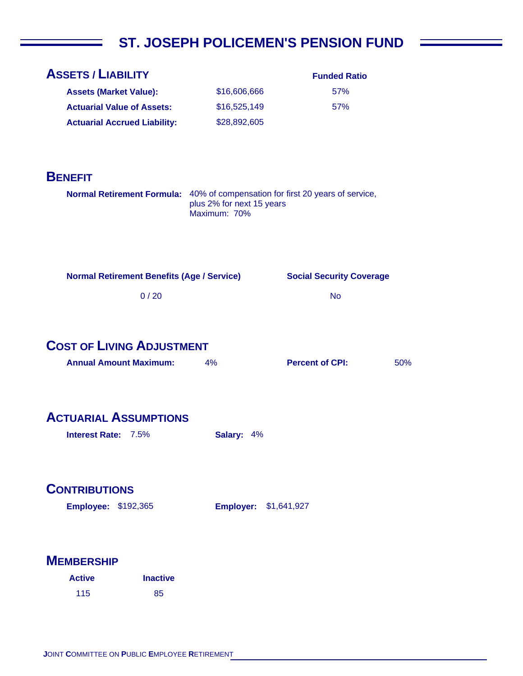# **ST. JOSEPH POLICEMEN'S PENSION FUND**

 $\overline{\phantom{a}}$ 

| <b>ASSETS / LIABILITY</b>                                                     |                                           | <b>Funded Ratio</b>             |     |
|-------------------------------------------------------------------------------|-------------------------------------------|---------------------------------|-----|
| <b>Assets (Market Value):</b>                                                 | \$16,606,666                              | 57%                             |     |
| <b>Actuarial Value of Assets:</b>                                             | \$16,525,149                              | 57%                             |     |
| <b>Actuarial Accrued Liability:</b>                                           | \$28,892,605                              |                                 |     |
|                                                                               |                                           |                                 |     |
| <b>BENEFIT</b>                                                                |                                           |                                 |     |
| Normal Retirement Formula: 40% of compensation for first 20 years of service, | plus 2% for next 15 years<br>Maximum: 70% |                                 |     |
| <b>Normal Retirement Benefits (Age / Service)</b>                             |                                           | <b>Social Security Coverage</b> |     |
|                                                                               |                                           |                                 |     |
| 0/20                                                                          |                                           | <b>No</b>                       |     |
| <b>COST OF LIVING ADJUSTMENT</b><br><b>Annual Amount Maximum:</b>             | 4%                                        | <b>Percent of CPI:</b>          | 50% |
| <b>ACTUARIAL ASSUMPTIONS</b>                                                  |                                           |                                 |     |
| Interest Rate: 7.5%                                                           | Salary: 4%                                |                                 |     |
|                                                                               |                                           |                                 |     |
| <b>CONTRIBUTIONS</b>                                                          |                                           |                                 |     |
| <b>Employee: \$192,365</b>                                                    | <b>Employer:</b>                          | \$1,641,927                     |     |
|                                                                               |                                           |                                 |     |
| <b>MEMBERSHIP</b>                                                             |                                           |                                 |     |
| <b>Inactive</b><br><b>Active</b>                                              |                                           |                                 |     |
| 115<br>85                                                                     |                                           |                                 |     |

 $\overline{\phantom{a}}$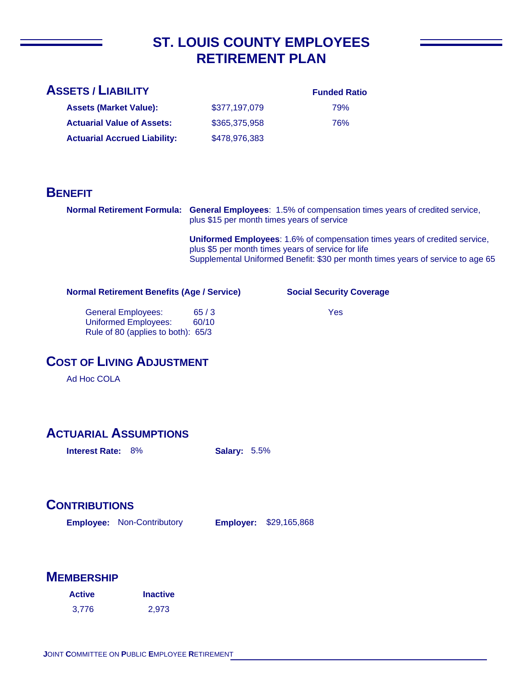## **ST. LOUIS COUNTY EMPLOYEES RETIREMENT PLAN**

| <b>ASSETS / LIABILITY</b>           |               | <b>Funded Ratio</b> |
|-------------------------------------|---------------|---------------------|
| <b>Assets (Market Value):</b>       | \$377.197.079 | 79%                 |
| <b>Actuarial Value of Assets:</b>   | \$365,375,958 | 76%                 |
| <b>Actuarial Accrued Liability:</b> | \$478,976,383 |                     |

#### **BENEFIT**

**Normal Retirement Formula: General Employees**: 1.5% of compensation times years of credited service, plus \$15 per month times years of service

> **Uniformed Employees**: 1.6% of compensation times years of credited service, plus \$5 per month times years of service for life Supplemental Uniformed Benefit: \$30 per month times years of service to age 65

**Normal Retirement Benefits (Age / Service)**

**Social Security Coverage**

 General Employees: 65 / 3 Uniformed Employees: 60/10 Rule of 80 (applies to both): 65/3

Yes

#### **COST OF LIVING ADJUSTMENT**

Ad Hoc COLA

#### **ACTUARIAL ASSUMPTIONS**

**Interest Rate:** 8% **Salary:** 5.5%

#### **CONTRIBUTIONS**

**Employee: Employer:** Non-Contributory **Employer: \$29,165,868** 

| <b>Active</b> | <b>Inactive</b> |  |
|---------------|-----------------|--|
| 3,776         | 2,973           |  |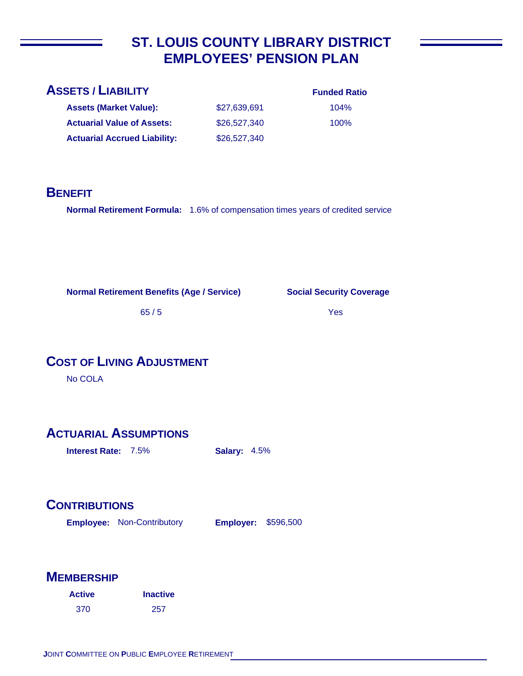## **ST. LOUIS COUNTY LIBRARY DISTRICT EMPLOYEES' PENSION PLAN**

| <b>ASSETS / LIABILITY</b>           |              | <b>Funded Ratio</b> |
|-------------------------------------|--------------|---------------------|
| <b>Assets (Market Value):</b>       | \$27,639,691 | 104%                |
| <b>Actuarial Value of Assets:</b>   | \$26,527,340 | $100\%$             |
| <b>Actuarial Accrued Liability:</b> | \$26,527,340 |                     |
|                                     |              |                     |

#### **BENEFIT**

**Normal Retirement Formula:** 1.6% of compensation times years of credited service

**Normal Retirement Benefits (Age / Service)**

**Social Security Coverage**

65 / 5

Yes

## **COST OF LIVING ADJUSTMENT**

No COLA

## **ACTUARIAL ASSUMPTIONS**

**Interest Rate:** 7.5% **Salary:** 4.5%

## **CONTRIBUTIONS**

**Employee: Employer:** Non-Contributory **Employer: \$596,500** 

| <b>Active</b> | <b>Inactive</b> |
|---------------|-----------------|
| 370           | -257            |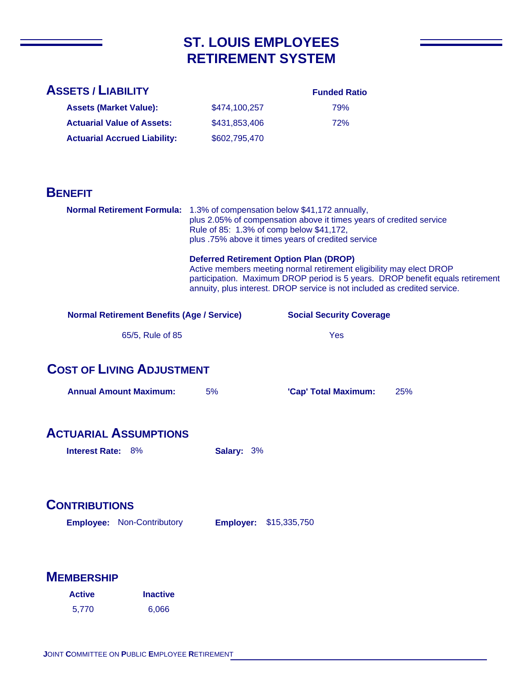## **ST. LOUIS EMPLOYEES RETIREMENT SYSTEM**

#### **Funded Ratio**

| <b>Assets (Market Value):</b>       | \$474.100.257 | 79% |
|-------------------------------------|---------------|-----|
| <b>Actuarial Value of Assets:</b>   | \$431,853,406 | 72% |
| <b>Actuarial Accrued Liability:</b> | \$602,795,470 |     |

#### **BENEFIT**

|                                                           | Normal Retirement Formula: 1.3% of compensation below \$41,172 annually,<br>plus 2.05% of compensation above it times years of credited service<br>Rule of 85: 1.3% of comp below \$41,172,<br>plus .75% above it times years of credited service<br><b>Deferred Retirement Option Plan (DROP)</b><br>Active members meeting normal retirement eligibility may elect DROP<br>participation. Maximum DROP period is 5 years. DROP benefit equals retirement<br>annuity, plus interest. DROP service is not included as credited service. |                                 |     |
|-----------------------------------------------------------|-----------------------------------------------------------------------------------------------------------------------------------------------------------------------------------------------------------------------------------------------------------------------------------------------------------------------------------------------------------------------------------------------------------------------------------------------------------------------------------------------------------------------------------------|---------------------------------|-----|
| <b>Normal Retirement Benefits (Age / Service)</b>         |                                                                                                                                                                                                                                                                                                                                                                                                                                                                                                                                         | <b>Social Security Coverage</b> |     |
| 65/5, Rule of 85                                          |                                                                                                                                                                                                                                                                                                                                                                                                                                                                                                                                         | <b>Yes</b>                      |     |
| <b>COST OF LIVING ADJUSTMENT</b>                          |                                                                                                                                                                                                                                                                                                                                                                                                                                                                                                                                         |                                 |     |
| <b>Annual Amount Maximum:</b>                             | 5%                                                                                                                                                                                                                                                                                                                                                                                                                                                                                                                                      | 'Cap' Total Maximum:            | 25% |
| <b>ACTUARIAL ASSUMPTIONS</b><br><b>Interest Rate: 8%</b>  | Salary: 3%                                                                                                                                                                                                                                                                                                                                                                                                                                                                                                                              |                                 |     |
| <b>CONTRIBUTIONS</b><br><b>Employee: Non-Contributory</b> | <b>Employer:</b>                                                                                                                                                                                                                                                                                                                                                                                                                                                                                                                        | \$15,335,750                    |     |
| <b>MEMBERSHIP</b>                                         |                                                                                                                                                                                                                                                                                                                                                                                                                                                                                                                                         |                                 |     |
| <b>Active</b><br><b>Inactive</b>                          |                                                                                                                                                                                                                                                                                                                                                                                                                                                                                                                                         |                                 |     |
| 5,770<br>6,066                                            |                                                                                                                                                                                                                                                                                                                                                                                                                                                                                                                                         |                                 |     |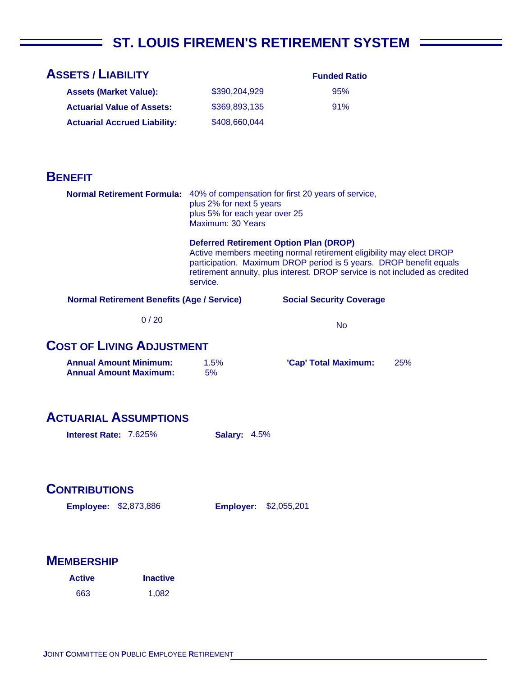# ST. LOUIS FIREMEN'S RETIREMENT SYSTEM

| <b>ASSETS / LIABILITY</b>                                      |                                                                                                                                                                                                                                      | <b>Funded Ratio</b>             |     |
|----------------------------------------------------------------|--------------------------------------------------------------------------------------------------------------------------------------------------------------------------------------------------------------------------------------|---------------------------------|-----|
| <b>Assets (Market Value):</b>                                  | \$390,204,929                                                                                                                                                                                                                        | 95%                             |     |
| <b>Actuarial Value of Assets:</b>                              | \$369,893,135                                                                                                                                                                                                                        | 91%                             |     |
| <b>Actuarial Accrued Liability:</b>                            | \$408,660,044                                                                                                                                                                                                                        |                                 |     |
|                                                                |                                                                                                                                                                                                                                      |                                 |     |
|                                                                |                                                                                                                                                                                                                                      |                                 |     |
| <b>BENEFIT</b>                                                 |                                                                                                                                                                                                                                      |                                 |     |
|                                                                | <b>Normal Retirement Formula:</b> 40% of compensation for first 20 years of service,<br>plus 2% for next 5 years<br>plus 5% for each year over 25<br>Maximum: 30 Years                                                               |                                 |     |
|                                                                | <b>Deferred Retirement Option Plan (DROP)</b>                                                                                                                                                                                        |                                 |     |
|                                                                | Active members meeting normal retirement eligibility may elect DROP<br>participation. Maximum DROP period is 5 years. DROP benefit equals<br>retirement annuity, plus interest. DROP service is not included as credited<br>service. |                                 |     |
| <b>Normal Retirement Benefits (Age / Service)</b>              |                                                                                                                                                                                                                                      | <b>Social Security Coverage</b> |     |
| 0/20                                                           |                                                                                                                                                                                                                                      | <b>No</b>                       |     |
| <b>COST OF LIVING ADJUSTMENT</b>                               |                                                                                                                                                                                                                                      |                                 |     |
|                                                                |                                                                                                                                                                                                                                      |                                 |     |
| <b>Annual Amount Minimum:</b><br><b>Annual Amount Maximum:</b> | 1.5%<br>5%                                                                                                                                                                                                                           | 'Cap' Total Maximum:            | 25% |
|                                                                |                                                                                                                                                                                                                                      |                                 |     |
|                                                                |                                                                                                                                                                                                                                      |                                 |     |
| <b>ACTUARIAL ASSUMPTIONS</b>                                   |                                                                                                                                                                                                                                      |                                 |     |
| <b>Interest Rate: 7.625%</b>                                   | <b>Salary: 4.5%</b>                                                                                                                                                                                                                  |                                 |     |
|                                                                |                                                                                                                                                                                                                                      |                                 |     |
|                                                                |                                                                                                                                                                                                                                      |                                 |     |
| <b>CONTRIBUTIONS</b>                                           |                                                                                                                                                                                                                                      |                                 |     |
| <b>Employee: \$2,873,886</b>                                   | <b>Employer:</b>                                                                                                                                                                                                                     | \$2,055,201                     |     |
|                                                                |                                                                                                                                                                                                                                      |                                 |     |
|                                                                |                                                                                                                                                                                                                                      |                                 |     |
| <b>MEMBERSHIP</b>                                              |                                                                                                                                                                                                                                      |                                 |     |
| <b>Inactive</b><br><b>Active</b>                               |                                                                                                                                                                                                                                      |                                 |     |
| 663<br>1,082                                                   |                                                                                                                                                                                                                                      |                                 |     |
|                                                                |                                                                                                                                                                                                                                      |                                 |     |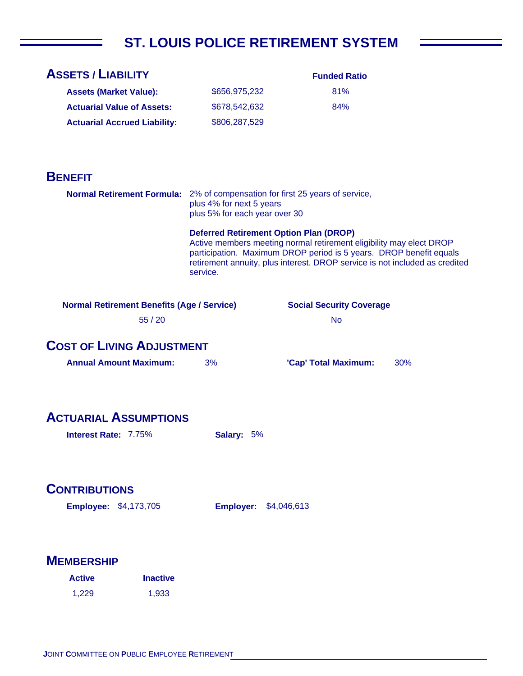# **ST. LOUIS POLICE RETIREMENT SYSTEM**

| <b>ASSETS / LIABILITY</b>                                                    |                                                           | <b>Funded Ratio</b>                                                                                                                                                                                                      |     |
|------------------------------------------------------------------------------|-----------------------------------------------------------|--------------------------------------------------------------------------------------------------------------------------------------------------------------------------------------------------------------------------|-----|
| <b>Assets (Market Value):</b>                                                | \$656,975,232                                             | 81%                                                                                                                                                                                                                      |     |
| <b>Actuarial Value of Assets:</b>                                            | \$678,542,632                                             | 84%                                                                                                                                                                                                                      |     |
| <b>Actuarial Accrued Liability:</b>                                          | \$806,287,529                                             |                                                                                                                                                                                                                          |     |
|                                                                              |                                                           |                                                                                                                                                                                                                          |     |
|                                                                              |                                                           |                                                                                                                                                                                                                          |     |
| <b>BENEFIT</b>                                                               |                                                           |                                                                                                                                                                                                                          |     |
| Normal Retirement Formula: 2% of compensation for first 25 years of service, | plus 4% for next 5 years<br>plus 5% for each year over 30 |                                                                                                                                                                                                                          |     |
|                                                                              | <b>Deferred Retirement Option Plan (DROP)</b><br>service. | Active members meeting normal retirement eligibility may elect DROP<br>participation. Maximum DROP period is 5 years. DROP benefit equals<br>retirement annuity, plus interest. DROP service is not included as credited |     |
| <b>Normal Retirement Benefits (Age / Service)</b>                            |                                                           | <b>Social Security Coverage</b>                                                                                                                                                                                          |     |
| 55/20                                                                        |                                                           | <b>No</b>                                                                                                                                                                                                                |     |
|                                                                              |                                                           |                                                                                                                                                                                                                          |     |
| <b>COST OF LIVING ADJUSTMENT</b>                                             |                                                           |                                                                                                                                                                                                                          |     |
| <b>Annual Amount Maximum:</b>                                                | 3%                                                        | 'Cap' Total Maximum:                                                                                                                                                                                                     | 30% |
|                                                                              |                                                           |                                                                                                                                                                                                                          |     |
|                                                                              |                                                           |                                                                                                                                                                                                                          |     |
| <b>ACTUARIAL ASSUMPTIONS</b>                                                 |                                                           |                                                                                                                                                                                                                          |     |
| Interest Rate: 7.75%                                                         | Salary: 5%                                                |                                                                                                                                                                                                                          |     |
|                                                                              |                                                           |                                                                                                                                                                                                                          |     |
|                                                                              |                                                           |                                                                                                                                                                                                                          |     |
| <b>CONTRIBUTIONS</b>                                                         |                                                           |                                                                                                                                                                                                                          |     |
| <b>Employee: \$4,173,705</b>                                                 | <b>Employer:</b>                                          | \$4,046,613                                                                                                                                                                                                              |     |
|                                                                              |                                                           |                                                                                                                                                                                                                          |     |
|                                                                              |                                                           |                                                                                                                                                                                                                          |     |
| <b>MEMBERSHIP</b>                                                            |                                                           |                                                                                                                                                                                                                          |     |
| <b>Inactive</b><br><b>Active</b>                                             |                                                           |                                                                                                                                                                                                                          |     |
| 1,933<br>1,229                                                               |                                                           |                                                                                                                                                                                                                          |     |
|                                                                              |                                                           |                                                                                                                                                                                                                          |     |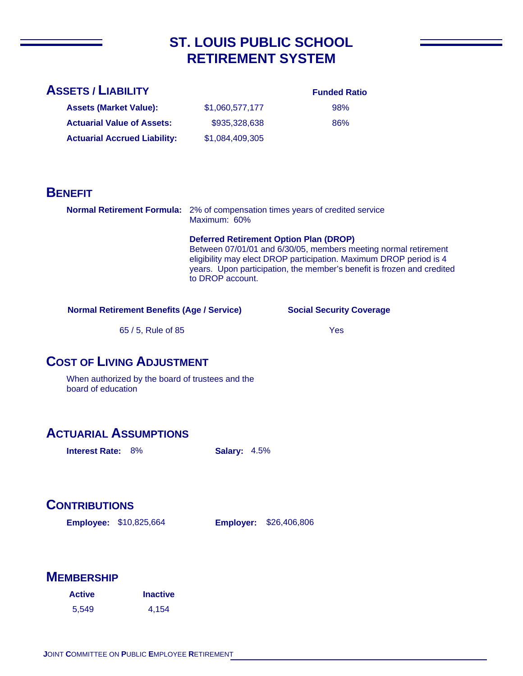## **ST. LOUIS PUBLIC SCHOOL RETIREMENT SYSTEM**

#### **ASSETS / LIABILITY**

#### **Funded Ratio** 98%

86%

| <b>Assets (Market Value):</b>       | \$1,060,577,177 |
|-------------------------------------|-----------------|
| <b>Actuarial Value of Assets:</b>   | \$935,328,638   |
| <b>Actuarial Accrued Liability:</b> | \$1.084.409.305 |

#### **BENEFIT**

**Normal Retirement Formula:** 2% of compensation times years of credited service Maximum: 60%

> **Deferred Retirement Option Plan (DROP)**  Between 07/01/01 and 6/30/05, members meeting normal retirement eligibility may elect DROP participation. Maximum DROP period is 4 years. Upon participation, the member's benefit is frozen and credited to DROP account.

#### **Normal Retirement Benefits (Age / Service)**

#### **Social Security Coverage**

65 / 5, Rule of 85

Yes

#### **COST OF LIVING ADJUSTMENT**

When authorized by the board of trustees and the board of education

#### **ACTUARIAL ASSUMPTIONS**

**Interest Rate:** 8% **Salary:** 4.5%

#### **CONTRIBUTIONS**

**Employee: Employer:** \$10,825,664

**Employer: \$26,406,806** 

| <b>Active</b> | <b>Inactive</b> |
|---------------|-----------------|
| 5,549         | 4,154           |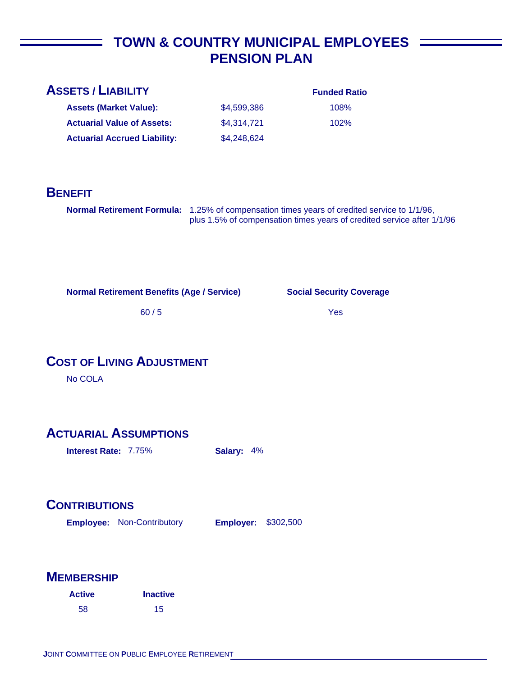## **TOWN & COUNTRY MUNICIPAL EMPLOYEES PENSION PLAN**

| <b>ASSETS / LIABILITY</b>           |             | <b>Funded Ratio</b> |
|-------------------------------------|-------------|---------------------|
| <b>Assets (Market Value):</b>       | \$4,599,386 | 108%                |
| <b>Actuarial Value of Assets:</b>   | \$4,314,721 | 102%                |
| <b>Actuarial Accrued Liability:</b> | \$4,248,624 |                     |
|                                     |             |                     |

#### **BENEFIT**

**Normal Retirement Formula:** 1.25% of compensation times years of credited service to 1/1/96, plus 1.5% of compensation times years of credited service after 1/1/96

**Normal Retirement Benefits (Age / Service)**

**Social Security Coverage**

60 / 5

Yes

#### **COST OF LIVING ADJUSTMENT**

No COLA

#### **ACTUARIAL ASSUMPTIONS**

**Interest Rate:** 7.75% **Salary:** 4%

## **CONTRIBUTIONS**

**Employee: Employer:** Non-Contributory **Employer: \$302,500** 

| <b>Active</b> | <b>Inactive</b> |
|---------------|-----------------|
| 58            | 15              |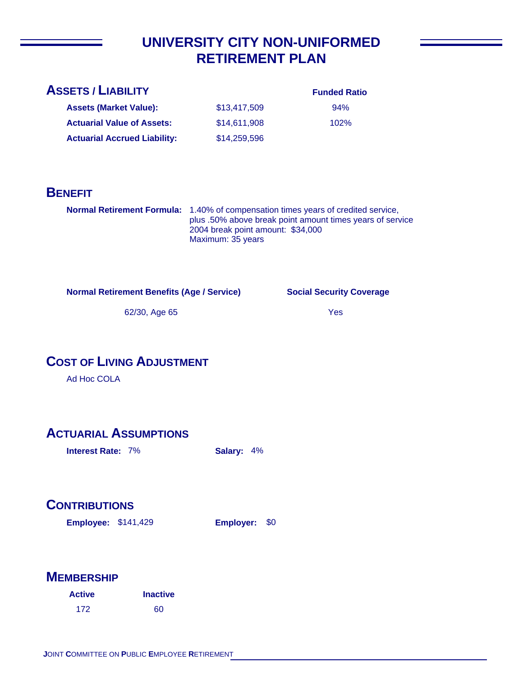## **UNIVERSITY CITY NON-UNIFORMED RETIREMENT PLAN**

| <b>ASSETS / LIABILITY</b>           |              | <b>Funded Ratio</b> |
|-------------------------------------|--------------|---------------------|
| <b>Assets (Market Value):</b>       | \$13,417,509 | 94%                 |
| <b>Actuarial Value of Assets:</b>   | \$14,611,908 | 102%                |
| <b>Actuarial Accrued Liability:</b> | \$14,259,596 |                     |
|                                     |              |                     |

#### **BENEFIT**

**Normal Retirement Formula:** 1.40% of compensation times years of credited service, plus .50% above break point amount times years of service 2004 break point amount: \$34,000 Maximum: 35 years

**Normal Retirement Benefits (Age / Service)**

**Social Security Coverage**

62/30, Age 65

Yes

## **COST OF LIVING ADJUSTMENT**

Ad Hoc COLA

#### **ACTUARIAL ASSUMPTIONS**

**Interest Rate:** 7% **Salary:** 4%

## **CONTRIBUTIONS**

**Employee: Employer:** \$141,429

Employer: \$0

| <b>Active</b> | <b>Inactive</b> |
|---------------|-----------------|
| 172           | 60              |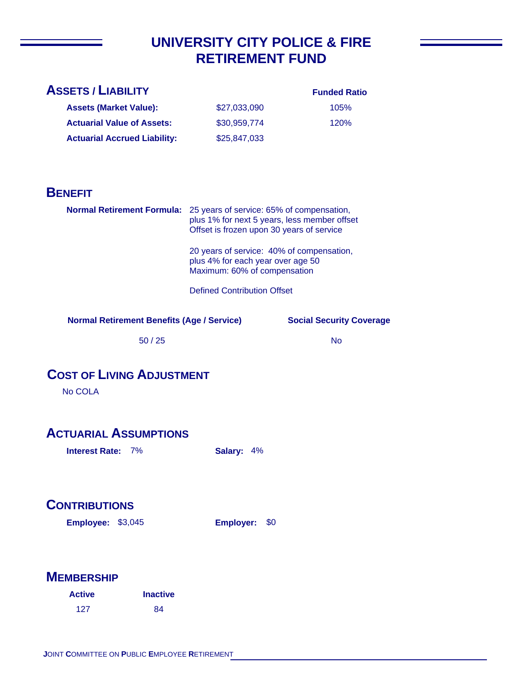# **UNIVERSITY CITY POLICE & FIRE RETIREMENT FUND**

| <b>ASSETS / LIABILITY</b>           |              | <b>Funded Ratio</b> |
|-------------------------------------|--------------|---------------------|
| <b>Assets (Market Value):</b>       | \$27,033,090 | 105%                |
| <b>Actuarial Value of Assets:</b>   | \$30,959,774 | 120%                |
| <b>Actuarial Accrued Liability:</b> | \$25,847,033 |                     |
|                                     |              |                     |

#### **BENEFIT**

| <b>Normal Retirement Formula:</b>          | 25 years of service: 65% of compensation,<br>plus 1% for next 5 years, less member offset<br>Offset is frozen upon 30 years of service |
|--------------------------------------------|----------------------------------------------------------------------------------------------------------------------------------------|
|                                            | 20 years of service: 40% of compensation,<br>plus 4% for each year over age 50<br>Maximum: 60% of compensation                         |
|                                            | <b>Defined Contribution Offset</b>                                                                                                     |
| Normal Potiroment Renefits (Age / Service) | Social Security Cover                                                                                                                  |

**Normal Retirement Benefits (Age / Service)**

**Social Security Coverage**

50 / 25

No

## **COST OF LIVING ADJUSTMENT**

No COLA

### **ACTUARIAL ASSUMPTIONS**

**Interest Rate:** 7% **Salary:** 4%

## **CONTRIBUTIONS**

**Employee: Employer:** \$3,045

Employer: \$0

### **MEMBERSHIP**

| <b>Active</b> | <b>Inactive</b> |
|---------------|-----------------|
| 127           | 84              |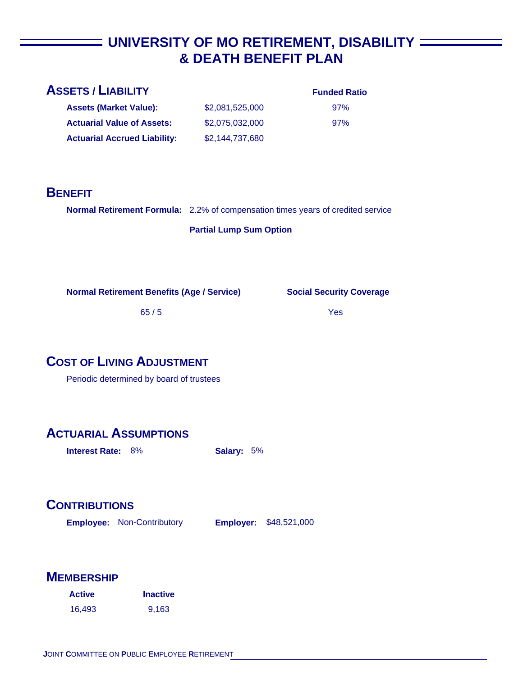# **UNIVERSITY OF MO RETIREMENT, DISABILITY & DEATH BENEFIT PLAN**

| <b>ASSETS / LIABILITY</b>                                                              |                                | <b>Funded Ratio</b>             |
|----------------------------------------------------------------------------------------|--------------------------------|---------------------------------|
| <b>Assets (Market Value):</b>                                                          | \$2,081,525,000                | 97%                             |
| <b>Actuarial Value of Assets:</b>                                                      | \$2,075,032,000                | 97%                             |
| <b>Actuarial Accrued Liability:</b>                                                    | \$2,144,737,680                |                                 |
|                                                                                        |                                |                                 |
|                                                                                        |                                |                                 |
| <b>BENEFIT</b>                                                                         |                                |                                 |
| <b>Normal Retirement Formula:</b> 2.2% of compensation times years of credited service |                                |                                 |
|                                                                                        | <b>Partial Lump Sum Option</b> |                                 |
|                                                                                        |                                |                                 |
|                                                                                        |                                |                                 |
| <b>Normal Retirement Benefits (Age / Service)</b>                                      |                                | <b>Social Security Coverage</b> |
| 65/5                                                                                   |                                | Yes                             |
|                                                                                        |                                |                                 |
|                                                                                        |                                |                                 |
| <b>COST OF LIVING ADJUSTMENT</b>                                                       |                                |                                 |

Periodic determined by board of trustees

## **ACTUARIAL ASSUMPTIONS**

**Interest Rate:** 8% **Salary:** 5%

## **CONTRIBUTIONS**

**Employee: Employer:** Non-Contributory Employer: \$48,521,000

### **MEMBERSHIP**

| <b>Active</b> | <b>Inactive</b> |
|---------------|-----------------|
| 16.493        | 9.163           |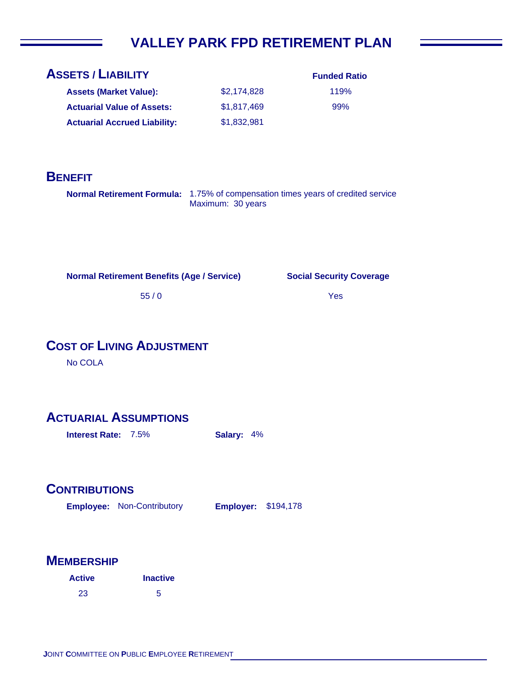# **VALLEY PARK FPD RETIREMENT PLAN**

| <b>ASSETS / LIABILITY</b>           |             |
|-------------------------------------|-------------|
| <b>Assets (Market Value):</b>       | \$2,174,828 |
| <b>Actuarial Value of Assets:</b>   | \$1,817,469 |
| <b>Actuarial Accrued Liability:</b> | \$1,832,981 |

| <b>Funded Ratio</b> |
|---------------------|
| 119%                |
| 99%                 |

### **BENEFIT**

**Normal Retirement Formula:** 1.75% of compensation times years of credited service Maximum: 30 years

**Normal Retirement Benefits (Age / Service)**

**Social Security Coverage**

Yes

55 / 0

### **COST OF LIVING ADJUSTMENT**

No COLA

### **ACTUARIAL ASSUMPTIONS**

**Interest Rate:** 7.5% **Salary:** 4%

#### **CONTRIBUTIONS**

**Employee: Employer:** Non-Contributory **Employer: \$194,178** 

#### **MEMBERSHIP**

| <b>Active</b> | <b>Inactive</b> |
|---------------|-----------------|
| 23            | 5               |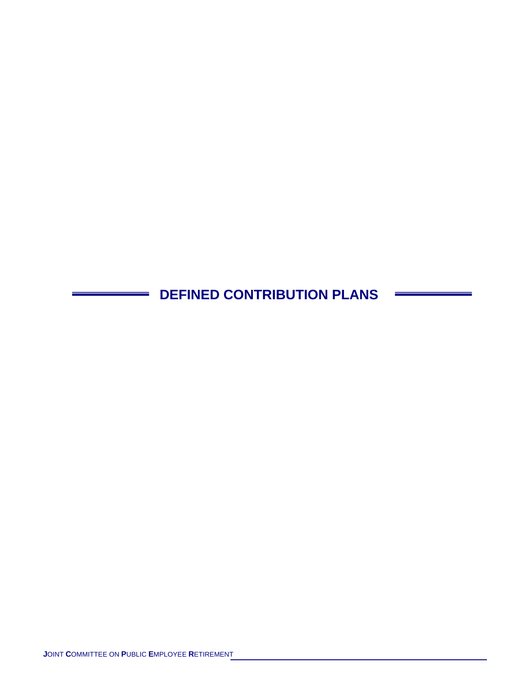**DEFINED CONTRIBUTION PLANS**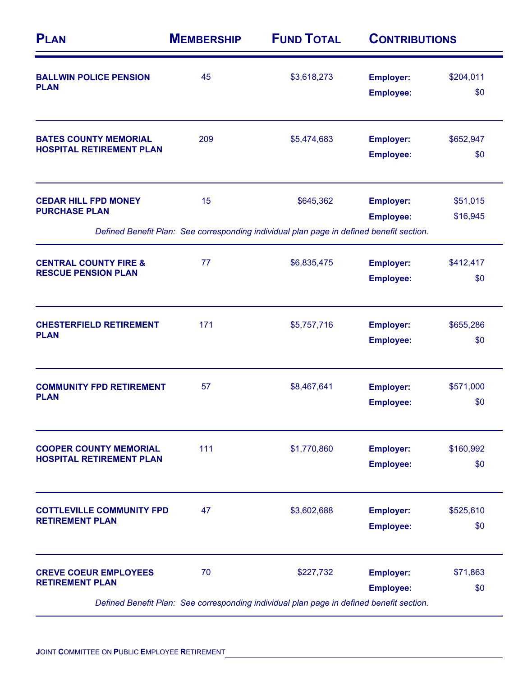| <b>PLAN</b>                                                      | <b>MEMBERSHIP</b> | <b>FUND TOTAL</b><br>\$3,618,273                                                         | <b>CONTRIBUTIONS</b>                 |                      |
|------------------------------------------------------------------|-------------------|------------------------------------------------------------------------------------------|--------------------------------------|----------------------|
| <b>BALLWIN POLICE PENSION</b><br><b>PLAN</b>                     | 45                |                                                                                          | <b>Employer:</b><br><b>Employee:</b> | \$204,011<br>\$0     |
| <b>BATES COUNTY MEMORIAL</b><br><b>HOSPITAL RETIREMENT PLAN</b>  | 209               | \$5,474,683                                                                              | <b>Employer:</b><br><b>Employee:</b> | \$652,947<br>\$0     |
| <b>CEDAR HILL FPD MONEY</b><br><b>PURCHASE PLAN</b>              | 15                | \$645,362                                                                                | <b>Employer:</b><br><b>Employee:</b> | \$51,015<br>\$16,945 |
|                                                                  |                   | Defined Benefit Plan: See corresponding individual plan page in defined benefit section. |                                      |                      |
| <b>CENTRAL COUNTY FIRE &amp;</b><br><b>RESCUE PENSION PLAN</b>   | 77                | \$6,835,475                                                                              | <b>Employer:</b><br><b>Employee:</b> | \$412,417<br>\$0     |
| <b>CHESTERFIELD RETIREMENT</b><br><b>PLAN</b>                    | 171               | \$5,757,716                                                                              | <b>Employer:</b><br><b>Employee:</b> | \$655,286<br>\$0     |
| <b>COMMUNITY FPD RETIREMENT</b><br><b>PLAN</b>                   | 57                | \$8,467,641                                                                              | <b>Employer:</b><br><b>Employee:</b> | \$571,000<br>\$0     |
| <b>COOPER COUNTY MEMORIAL</b><br><b>HOSPITAL RETIREMENT PLAN</b> | 111               | \$1,770,860                                                                              | <b>Employer:</b><br><b>Employee:</b> | \$160,992<br>\$0     |
| <b>COTTLEVILLE COMMUNITY FPD</b><br><b>RETIREMENT PLAN</b>       | 47                | \$3,602,688                                                                              | <b>Employer:</b><br><b>Employee:</b> | \$525,610<br>\$0     |
|                                                                  |                   |                                                                                          |                                      | \$71,863             |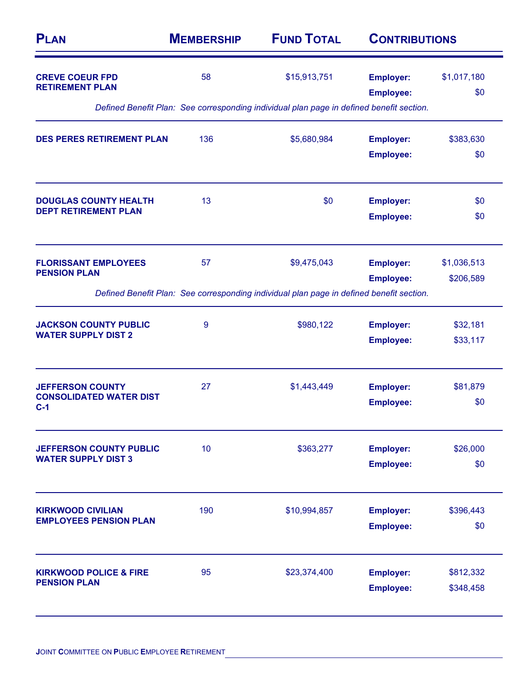| <b>PLAN</b>                                                | <b>MEMBERSHIP</b> | <b>FUND TOTAL</b>                                                                        | <b>CONTRIBUTIONS</b>                 |                      |
|------------------------------------------------------------|-------------------|------------------------------------------------------------------------------------------|--------------------------------------|----------------------|
| <b>CREVE COEUR FPD</b><br><b>RETIREMENT PLAN</b>           | 58                | \$15,913,751                                                                             | <b>Employer:</b><br><b>Employee:</b> | \$1,017,180<br>\$0   |
|                                                            |                   | Defined Benefit Plan: See corresponding individual plan page in defined benefit section. |                                      |                      |
| <b>DES PERES RETIREMENT PLAN</b>                           | 136               | \$5,680,984                                                                              | <b>Employer:</b>                     | \$383,630            |
|                                                            |                   |                                                                                          | <b>Employee:</b>                     | \$0                  |
| <b>DOUGLAS COUNTY HEALTH</b>                               | 13                | \$0                                                                                      | <b>Employer:</b>                     | \$0                  |
| <b>DEPT RETIREMENT PLAN</b>                                |                   |                                                                                          | <b>Employee:</b>                     | \$0                  |
| <b>FLORISSANT EMPLOYEES</b>                                | 57                | \$9,475,043                                                                              | <b>Employer:</b>                     | \$1,036,513          |
| <b>PENSION PLAN</b>                                        |                   | Defined Benefit Plan: See corresponding individual plan page in defined benefit section. | <b>Employee:</b>                     | \$206,589            |
|                                                            |                   |                                                                                          |                                      |                      |
| <b>JACKSON COUNTY PUBLIC</b><br><b>WATER SUPPLY DIST 2</b> | 9                 | \$980,122                                                                                | <b>Employer:</b><br><b>Employee:</b> | \$32,181<br>\$33,117 |
| <b>JEFFERSON COUNTY</b>                                    | 27                | \$1,443,449                                                                              | <b>Employer:</b>                     | \$81,879             |
| <b>CONSOLIDATED WATER DIST</b><br>$C-1$                    |                   |                                                                                          | <b>Employee:</b>                     | \$0                  |
| <b>JEFFERSON COUNTY PUBLIC</b>                             | 10                | \$363,277                                                                                | <b>Employer:</b>                     | \$26,000             |
| <b>WATER SUPPLY DIST 3</b>                                 |                   |                                                                                          | <b>Employee:</b>                     | \$0                  |
| <b>KIRKWOOD CIVILIAN</b>                                   | 190               | \$10,994,857                                                                             | <b>Employer:</b>                     | \$396,443            |
| <b>EMPLOYEES PENSION PLAN</b>                              |                   |                                                                                          | <b>Employee:</b>                     | \$0                  |
| <b>KIRKWOOD POLICE &amp; FIRE</b>                          | 95                | \$23,374,400                                                                             | <b>Employer:</b>                     | \$812,332            |
| <b>PENSION PLAN</b>                                        |                   |                                                                                          | <b>Employee:</b>                     | \$348,458            |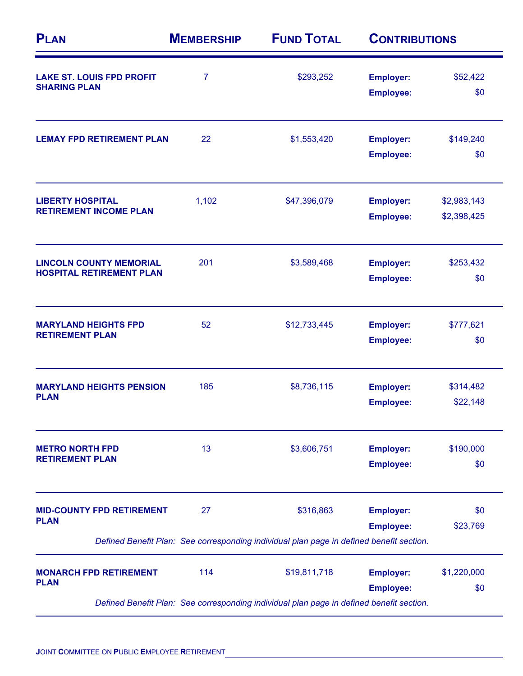| <b>PLAN</b>                                                       | <b>MEMBERSHIP</b> | <b>FUND TOTAL</b><br>\$293,252                                                           | <b>CONTRIBUTIONS</b>                 |                            |
|-------------------------------------------------------------------|-------------------|------------------------------------------------------------------------------------------|--------------------------------------|----------------------------|
| <b>LAKE ST. LOUIS FPD PROFIT</b><br><b>SHARING PLAN</b>           | $\overline{7}$    |                                                                                          | <b>Employer:</b><br><b>Employee:</b> | \$52,422<br>\$0            |
| <b>LEMAY FPD RETIREMENT PLAN</b>                                  | 22                | \$1,553,420                                                                              | <b>Employer:</b><br><b>Employee:</b> | \$149,240<br>\$0           |
| <b>LIBERTY HOSPITAL</b><br><b>RETIREMENT INCOME PLAN</b>          | 1,102             | \$47,396,079                                                                             | <b>Employer:</b><br><b>Employee:</b> | \$2,983,143<br>\$2,398,425 |
| <b>LINCOLN COUNTY MEMORIAL</b><br><b>HOSPITAL RETIREMENT PLAN</b> | 201               | \$3,589,468                                                                              | <b>Employer:</b><br><b>Employee:</b> | \$253,432<br>\$0           |
| <b>MARYLAND HEIGHTS FPD</b><br><b>RETIREMENT PLAN</b>             | 52                | \$12,733,445                                                                             | <b>Employer:</b><br><b>Employee:</b> | \$777,621<br>\$0           |
| <b>MARYLAND HEIGHTS PENSION</b><br><b>PLAN</b>                    | 185               | \$8,736,115                                                                              | <b>Employer:</b><br><b>Employee:</b> | \$314,482<br>\$22,148      |
| <b>METRO NORTH FPD</b><br><b>RETIREMENT PLAN</b>                  | 13                | \$3,606,751                                                                              | <b>Employer:</b><br><b>Employee:</b> | \$190,000<br>\$0           |
| <b>MID-COUNTY FPD RETIREMENT</b><br><b>PLAN</b>                   | 27                | \$316,863                                                                                | <b>Employer:</b><br><b>Employee:</b> | \$0<br>\$23,769            |
|                                                                   |                   | Defined Benefit Plan: See corresponding individual plan page in defined benefit section. |                                      |                            |
| <b>MONARCH FPD RETIREMENT</b><br><b>PLAN</b>                      | 114               | \$19,811,718                                                                             | <b>Employer:</b><br><b>Employee:</b> | \$1,220,000<br>\$0         |
|                                                                   |                   | Defined Benefit Plan: See corresponding individual plan page in defined benefit section. |                                      |                            |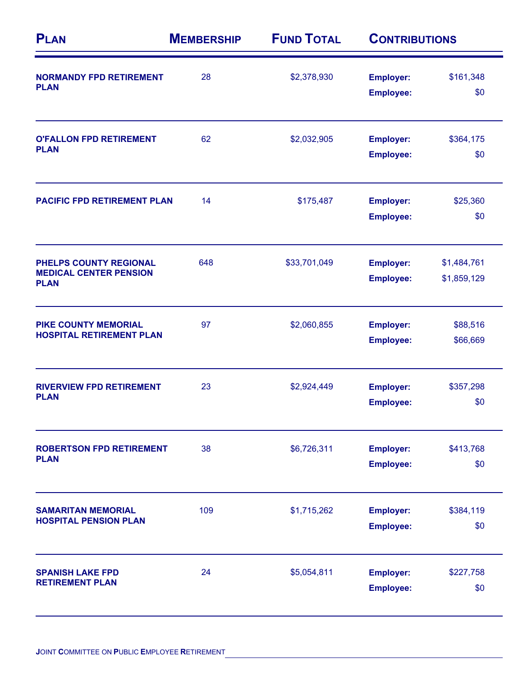| <b>PLAN</b>                                                            | <b>MEMBERSHIP</b> | <b>FUND TOTAL</b><br>\$2,378,930 | <b>CONTRIBUTIONS</b>                 |                            |
|------------------------------------------------------------------------|-------------------|----------------------------------|--------------------------------------|----------------------------|
| <b>NORMANDY FPD RETIREMENT</b><br><b>PLAN</b>                          | 28                |                                  | <b>Employer:</b><br><b>Employee:</b> | \$161,348<br>\$0           |
| <b>O'FALLON FPD RETIREMENT</b><br><b>PLAN</b>                          | 62                | \$2,032,905                      | <b>Employer:</b><br><b>Employee:</b> | \$364,175<br>\$0           |
| <b>PACIFIC FPD RETIREMENT PLAN</b>                                     | 14                | \$175,487                        | <b>Employer:</b><br><b>Employee:</b> | \$25,360<br>\$0            |
| PHELPS COUNTY REGIONAL<br><b>MEDICAL CENTER PENSION</b><br><b>PLAN</b> | 648               | \$33,701,049                     | <b>Employer:</b><br><b>Employee:</b> | \$1,484,761<br>\$1,859,129 |
| <b>PIKE COUNTY MEMORIAL</b><br><b>HOSPITAL RETIREMENT PLAN</b>         | 97                | \$2,060,855                      | <b>Employer:</b><br><b>Employee:</b> | \$88,516<br>\$66,669       |
| <b>RIVERVIEW FPD RETIREMENT</b><br><b>PLAN</b>                         | 23                | \$2,924,449                      | <b>Employer:</b><br><b>Employee:</b> | \$357,298<br>\$0           |
| <b>ROBERTSON FPD RETIREMENT</b><br><b>PLAN</b>                         | 38                | \$6,726,311                      | <b>Employer:</b><br><b>Employee:</b> | \$413,768<br>\$0           |
| <b>SAMARITAN MEMORIAL</b><br><b>HOSPITAL PENSION PLAN</b>              | 109               | \$1,715,262                      | <b>Employer:</b><br><b>Employee:</b> | \$384,119<br>\$0           |
| <b>SPANISH LAKE FPD</b><br><b>RETIREMENT PLAN</b>                      | 24                | \$5,054,811                      | <b>Employer:</b><br><b>Employee:</b> | \$227,758<br>\$0           |